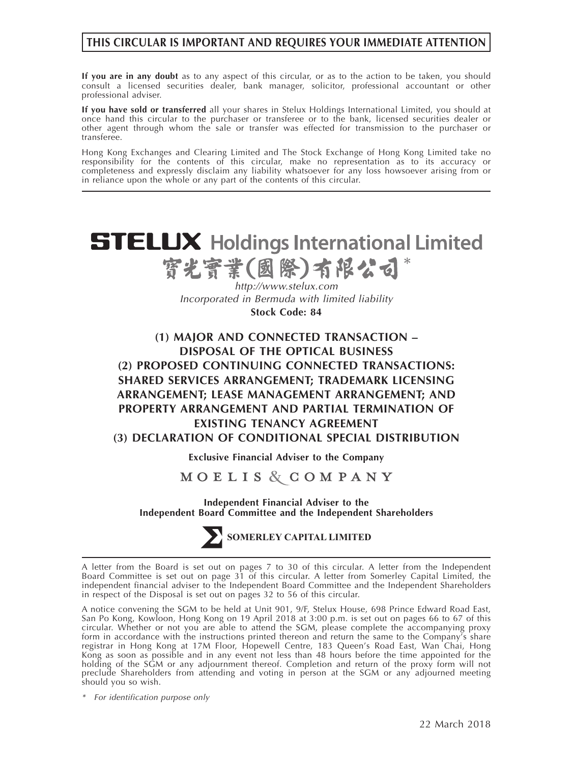# **THIS CIRCULAR IS IMPORTANT AND REQUIRES YOUR IMMEDIATE ATTENTION**

**If you are in any doubt** as to any aspect of this circular, or as to the action to be taken, you should consult a licensed securities dealer, bank manager, solicitor, professional accountant or other professional adviser.

**If you have sold or transferred** all your shares in Stelux Holdings International Limited, you should at once hand this circular to the purchaser or transferee or to the bank, licensed securities dealer or other agent through whom the sale or transfer was effected for transmission to the purchaser or transferee.

Hong Kong Exchanges and Clearing Limited and The Stock Exchange of Hong Kong Limited take no responsibility for the contents of this circular, make no representation as to its accuracy or completeness and expressly disclaim any liability whatsoever for any loss howsoever arising from or in reliance upon the whole or any part of the contents of this circular.



MOELIS & COMPANY

**Independent Financial Adviser to the Independent Board Committee and the Independent Shareholders**



SOMERLEY CAPITAL LIMITED

A letter from the Board is set out on pages 7 to 30 of this circular. A letter from the Independent Board Committee is set out on page 31 of this circular. A letter from Somerley Capital Limited, the independent financial adviser to the Independent Board Committee and the Independent Shareholders in respect of the Disposal is set out on pages 32 to 56 of this circular.

A notice convening the SGM to be held at Unit 901, 9/F, Stelux House, 698 Prince Edward Road East, San Po Kong, Kowloon, Hong Kong on 19 April 2018 at 3:00 p.m. is set out on pages 66 to 67 of this circular. Whether or not you are able to attend the SGM, please complete the accompanying proxy form in accordance with the instructions printed thereon and return the same to the Company's share registrar in Hong Kong at 17M Floor, Hopewell Centre, 183 Queen's Road East, Wan Chai, Hong Kong as soon as possible and in any event not less than 48 hours before the time appointed for the holding of the SGM or any adjournment thereof. Completion and return of the proxy form will not preclude Shareholders from attending and voting in person at the SGM or any adjourned meeting should you so wish.

*\* For identification purpose only*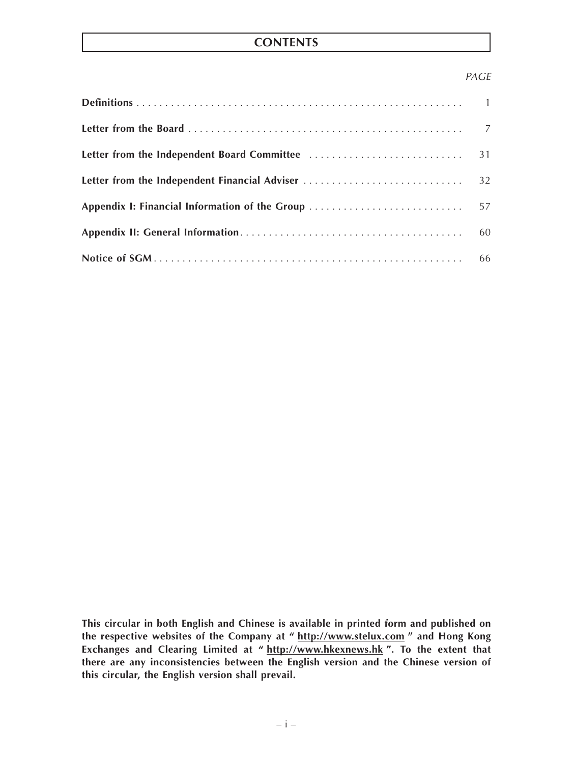# **CONTENTS**

# *PAGE*

|                                                | 31 |
|------------------------------------------------|----|
| Letter from the Independent Financial Adviser  | 32 |
| Appendix I: Financial Information of the Group | 57 |
|                                                | 60 |
|                                                |    |

**This circular in both English and Chinese is available in printed form and published on the respective websites of the Company at " http://www.stelux.com " and Hong Kong Exchanges and Clearing Limited at " http://www.hkexnews.hk ". To the extent that there are any inconsistencies between the English version and the Chinese version of this circular, the English version shall prevail.**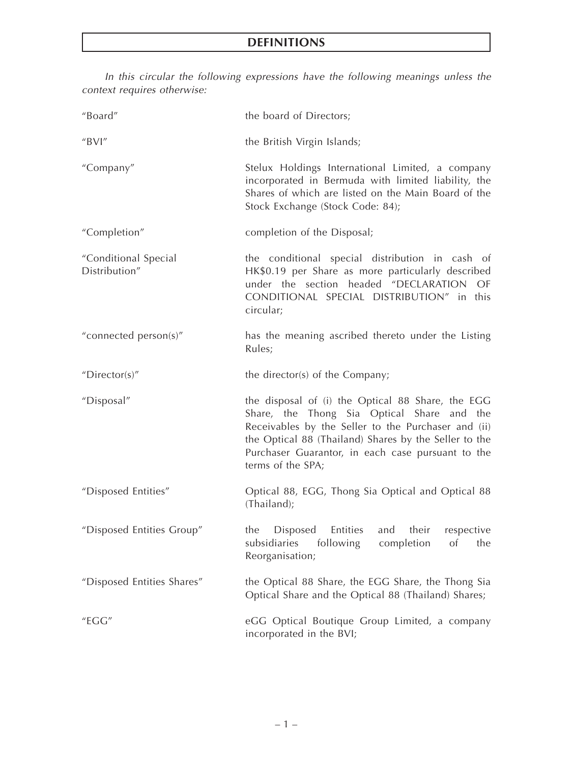*In this circular the following expressions have the following meanings unless the*

| context requires otherwise:           |                                                                                                                                                                                                                                                                                           |
|---------------------------------------|-------------------------------------------------------------------------------------------------------------------------------------------------------------------------------------------------------------------------------------------------------------------------------------------|
| "Board"                               | the board of Directors;                                                                                                                                                                                                                                                                   |
| "BVI"                                 | the British Virgin Islands;                                                                                                                                                                                                                                                               |
| "Company"                             | Stelux Holdings International Limited, a company<br>incorporated in Bermuda with limited liability, the<br>Shares of which are listed on the Main Board of the<br>Stock Exchange (Stock Code: 84);                                                                                        |
| "Completion"                          | completion of the Disposal;                                                                                                                                                                                                                                                               |
| "Conditional Special<br>Distribution" | the conditional special distribution in cash of<br>HK\$0.19 per Share as more particularly described<br>under the section headed "DECLARATION<br>OF<br>CONDITIONAL SPECIAL DISTRIBUTION" in this<br>circular;                                                                             |
| "connected person(s)"                 | has the meaning ascribed thereto under the Listing<br>Rules;                                                                                                                                                                                                                              |
| "Director(s)"                         | the director(s) of the Company;                                                                                                                                                                                                                                                           |
| "Disposal"                            | the disposal of (i) the Optical 88 Share, the EGG<br>Share, the Thong Sia Optical Share and the<br>Receivables by the Seller to the Purchaser and (ii)<br>the Optical 88 (Thailand) Shares by the Seller to the<br>Purchaser Guarantor, in each case pursuant to the<br>terms of the SPA; |
| "Disposed Entities"                   | Optical 88, EGG, Thong Sia Optical and Optical 88<br>(Thailand);                                                                                                                                                                                                                          |
| "Disposed Entities Group"             | Disposed<br>Entities<br>their<br>the<br>and<br>respective<br>subsidiaries<br>following<br>completion<br>of<br>the<br>Reorganisation;                                                                                                                                                      |
| "Disposed Entities Shares"            | the Optical 88 Share, the EGG Share, the Thong Sia<br>Optical Share and the Optical 88 (Thailand) Shares;                                                                                                                                                                                 |
| "EGG"                                 | eGG Optical Boutique Group Limited, a company<br>incorporated in the BVI;                                                                                                                                                                                                                 |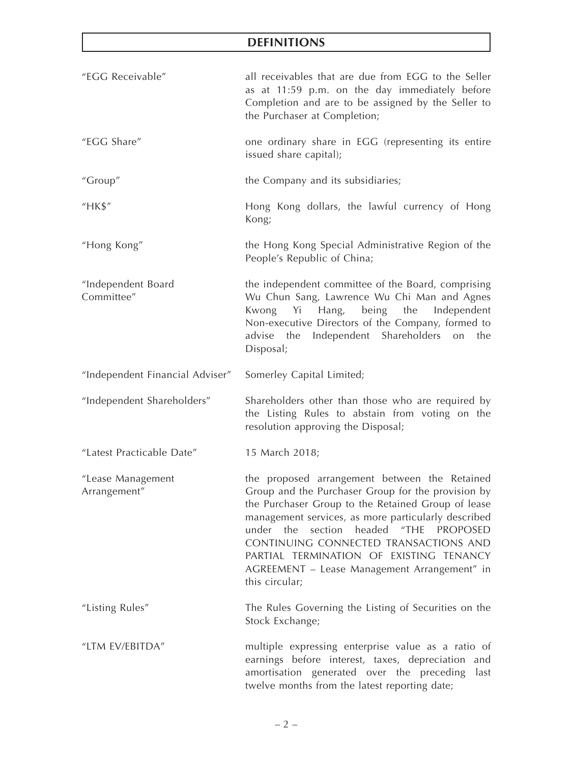| "EGG Receivable"                  | all receivables that are due from EGG to the Seller<br>as at 11:59 p.m. on the day immediately before<br>Completion and are to be assigned by the Seller to<br>the Purchaser at Completion;                                                                                                                                                                                                                         |
|-----------------------------------|---------------------------------------------------------------------------------------------------------------------------------------------------------------------------------------------------------------------------------------------------------------------------------------------------------------------------------------------------------------------------------------------------------------------|
| "EGG Share"                       | one ordinary share in EGG (representing its entire<br>issued share capital);                                                                                                                                                                                                                                                                                                                                        |
| "Group"                           | the Company and its subsidiaries;                                                                                                                                                                                                                                                                                                                                                                                   |
| "HK\$"                            | Hong Kong dollars, the lawful currency of Hong<br>Kong;                                                                                                                                                                                                                                                                                                                                                             |
| "Hong Kong"                       | the Hong Kong Special Administrative Region of the<br>People's Republic of China;                                                                                                                                                                                                                                                                                                                                   |
| "Independent Board<br>Committee"  | the independent committee of the Board, comprising<br>Wu Chun Sang, Lawrence Wu Chi Man and Agnes<br>Kwong Yi Hang,<br>being the Independent<br>Non-executive Directors of the Company, formed to<br>Independent Shareholders<br>advise the<br>on<br>the<br>Disposal;                                                                                                                                               |
| "Independent Financial Adviser"   | Somerley Capital Limited;                                                                                                                                                                                                                                                                                                                                                                                           |
| "Independent Shareholders"        | Shareholders other than those who are required by<br>the Listing Rules to abstain from voting on the<br>resolution approving the Disposal;                                                                                                                                                                                                                                                                          |
| "Latest Practicable Date"         | 15 March 2018;                                                                                                                                                                                                                                                                                                                                                                                                      |
| "Lease Management<br>Arrangement" | the proposed arrangement between the Retained<br>Group and the Purchaser Group for the provision by<br>the Purchaser Group to the Retained Group of lease<br>management services, as more particularly described<br>section headed "THE PROPOSED<br>under the<br>CONTINUING CONNECTED TRANSACTIONS AND<br>PARTIAL TERMINATION OF EXISTING TENANCY<br>AGREEMENT - Lease Management Arrangement" in<br>this circular; |
| "Listing Rules"                   | The Rules Governing the Listing of Securities on the<br>Stock Exchange;                                                                                                                                                                                                                                                                                                                                             |
| "LTM EV/EBITDA"                   | multiple expressing enterprise value as a ratio of<br>earnings before interest, taxes, depreciation<br>and<br>amortisation generated over the preceding<br>last<br>twelve months from the latest reporting date;                                                                                                                                                                                                    |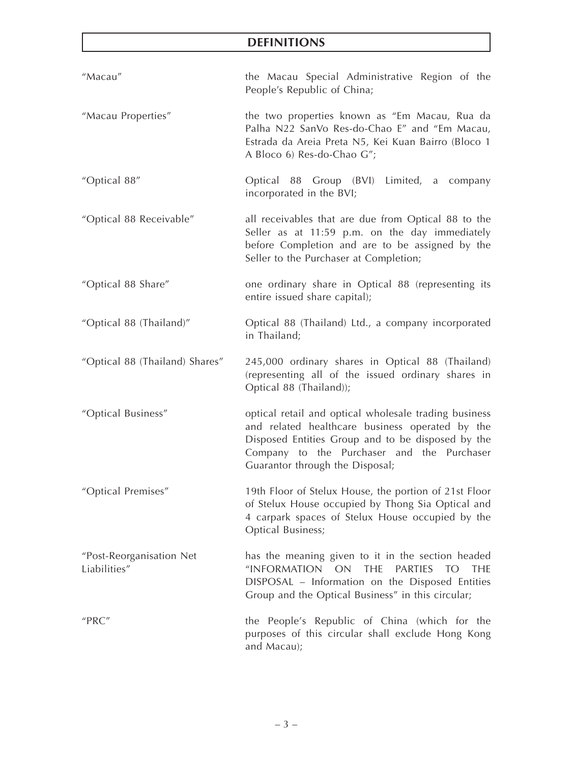| "Macau"                                  | the Macau Special Administrative Region of the<br>People's Republic of China;                                                                                                                                                                    |
|------------------------------------------|--------------------------------------------------------------------------------------------------------------------------------------------------------------------------------------------------------------------------------------------------|
| "Macau Properties"                       | the two properties known as "Em Macau, Rua da<br>Palha N22 SanVo Res-do-Chao E" and "Em Macau,<br>Estrada da Areia Preta N5, Kei Kuan Bairro (Bloco 1<br>A Bloco 6) Res-do-Chao G";                                                              |
| "Optical 88"                             | Optical 88 Group (BVI) Limited, a company<br>incorporated in the BVI;                                                                                                                                                                            |
| "Optical 88 Receivable"                  | all receivables that are due from Optical 88 to the<br>Seller as at 11:59 p.m. on the day immediately<br>before Completion and are to be assigned by the<br>Seller to the Purchaser at Completion;                                               |
| "Optical 88 Share"                       | one ordinary share in Optical 88 (representing its<br>entire issued share capital);                                                                                                                                                              |
| "Optical 88 (Thailand)"                  | Optical 88 (Thailand) Ltd., a company incorporated<br>in Thailand;                                                                                                                                                                               |
| "Optical 88 (Thailand) Shares"           | 245,000 ordinary shares in Optical 88 (Thailand)<br>(representing all of the issued ordinary shares in<br>Optical 88 (Thailand));                                                                                                                |
| "Optical Business"                       | optical retail and optical wholesale trading business<br>and related healthcare business operated by the<br>Disposed Entities Group and to be disposed by the<br>Company to the Purchaser and the Purchaser<br>Guarantor through the Disposal;   |
| "Optical Premises"                       | 19th Floor of Stelux House, the portion of 21st Floor<br>of Stelux House occupied by Thong Sia Optical and<br>4 carpark spaces of Stelux House occupied by the<br><b>Optical Business;</b>                                                       |
| "Post-Reorganisation Net<br>Liabilities" | has the meaning given to it in the section headed<br>"INFORMATION<br>ON<br><b>THE</b><br><b>PARTIFS</b><br>TO <sub>1</sub><br><b>THE</b><br>DISPOSAL - Information on the Disposed Entities<br>Group and the Optical Business" in this circular; |
| "PRC"                                    | the People's Republic of China (which for the<br>purposes of this circular shall exclude Hong Kong<br>and Macau);                                                                                                                                |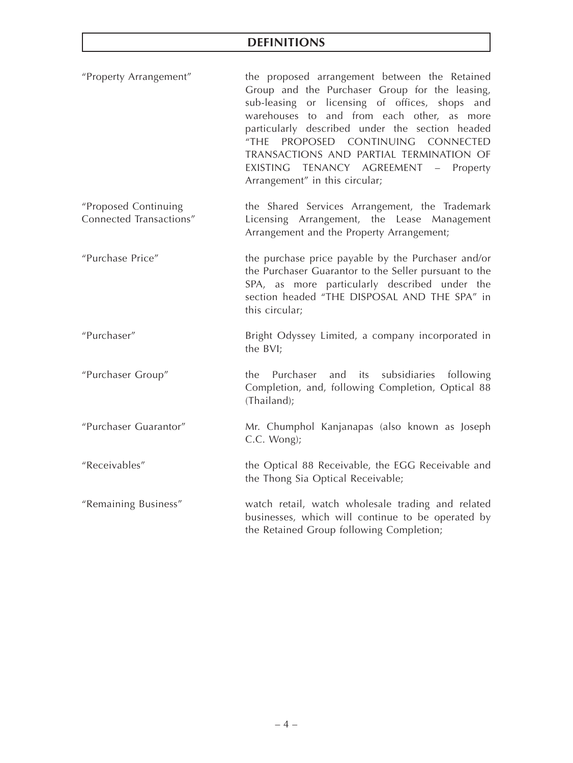| "Property Arrangement" | the proposed arrangement between the Retained   |
|------------------------|-------------------------------------------------|
|                        | Group and the Purchaser Group for the leasing,  |
|                        | sub-leasing or licensing of offices, shops and  |
|                        | warehouses to and from each other, as more      |
|                        | particularly described under the section headed |
|                        | "THE PROPOSED CONTINUING CONNECTED              |
|                        | TRANSACTIONS AND PARTIAL TERMINATION OF         |
|                        | EXISTING TENANCY AGREEMENT - Property           |
|                        | Arrangement" in this circular;                  |

- "Proposed Continuing Connected Transactions" the Shared Services Arrangement, the Trademark Licensing Arrangement, the Lease Management Arrangement and the Property Arrangement;
- "Purchase Price" the purchase price payable by the Purchaser and/or the Purchaser Guarantor to the Seller pursuant to the SPA, as more particularly described under the section headed "THE DISPOSAL AND THE SPA" in this circular;

# "Purchaser" Bright Odyssey Limited, a company incorporated in the BVI;

- "Purchaser Group" the Purchaser and its subsidiaries following Completion, and, following Completion, Optical 88 (Thailand);
- "Purchaser Guarantor" Mr. Chumphol Kanjanapas (also known as Joseph C.C. Wong);
- "Receivables" the Optical 88 Receivable, the EGG Receivable and the Thong Sia Optical Receivable;
- "Remaining Business" watch retail, watch wholesale trading and related businesses, which will continue to be operated by the Retained Group following Completion;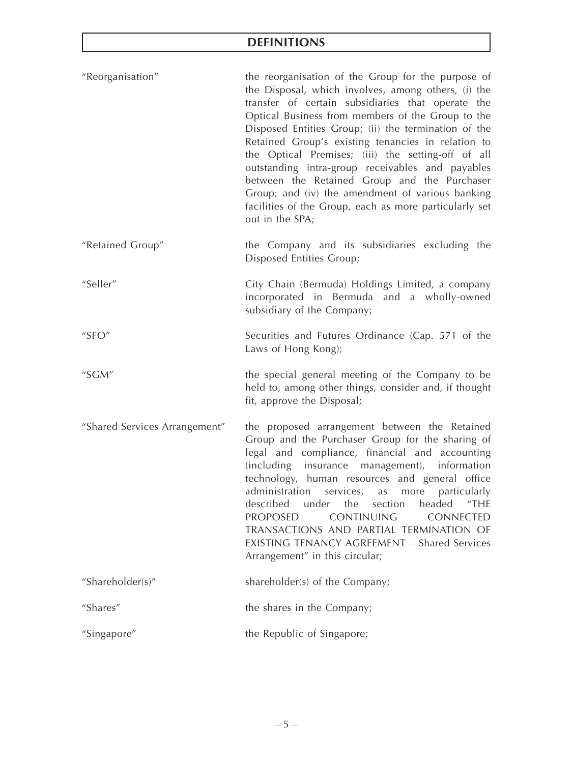| "Reorganisation" | the reorganisation of the Group for the purpose of<br>the Disposal, which involves, among others, (i) the<br>transfer of certain subsidiaries that operate the<br>Optical Business from members of the Group to the<br>Disposed Entities Group; (ii) the termination of the<br>Retained Group's existing tenancies in relation to<br>the Optical Premises; (iii) the setting-off of all<br>outstanding intra-group receivables and payables<br>between the Retained Group and the Purchaser<br>Group; and (iv) the amendment of various banking<br>facilities of the Group, each as more particularly set<br>out in the SPA; |
|------------------|------------------------------------------------------------------------------------------------------------------------------------------------------------------------------------------------------------------------------------------------------------------------------------------------------------------------------------------------------------------------------------------------------------------------------------------------------------------------------------------------------------------------------------------------------------------------------------------------------------------------------|
|                  |                                                                                                                                                                                                                                                                                                                                                                                                                                                                                                                                                                                                                              |

"Retained Group" the Company and its subsidiaries excluding the Disposed Entities Group;

"Seller" City Chain (Bermuda) Holdings Limited, a company incorporated in Bermuda and a wholly-owned subsidiary of the Company;

- "SFO" Securities and Futures Ordinance (Cap. 571 of the Laws of Hong Kong);
- "SGM" the special general meeting of the Company to be held to, among other things, consider and, if thought fit, approve the Disposal;
- "Shared Services Arrangement" the proposed arrangement between the Retained Group and the Purchaser Group for the sharing of legal and compliance, financial and accounting (including insurance management), information technology, human resources and general office administration services, as more particularly described under the section headed "THE PROPOSED CONTINUING CONNECTED TRANSACTIONS AND PARTIAL TERMINATION OF EXISTING TENANCY AGREEMENT – Shared Services Arrangement" in this circular;
- "Shareholder(s)" shareholder(s) of the Company;

"Shares" the shares in the Company;

"Singapore" the Republic of Singapore;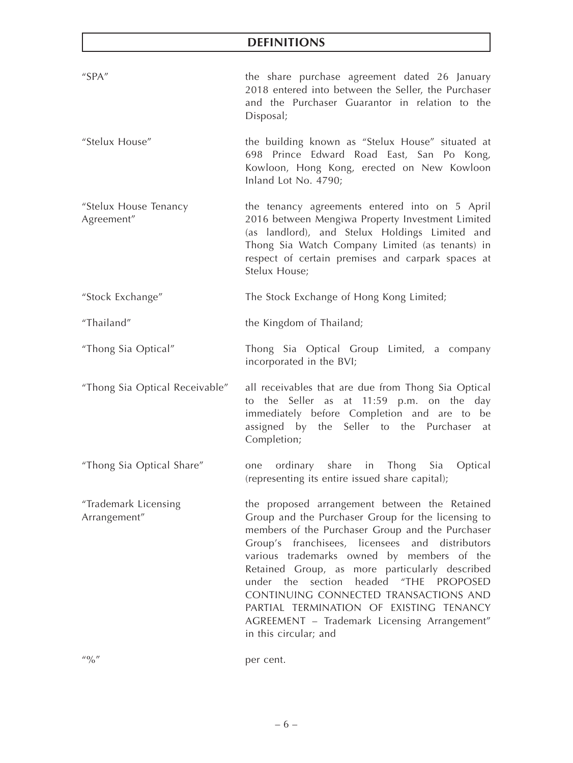| "SPA"                                | the share purchase agreement dated 26 January<br>2018 entered into between the Seller, the Purchaser<br>and the Purchaser Guarantor in relation to the<br>Disposal;                                                                                                                                                                                                                                                                                                                                                     |
|--------------------------------------|-------------------------------------------------------------------------------------------------------------------------------------------------------------------------------------------------------------------------------------------------------------------------------------------------------------------------------------------------------------------------------------------------------------------------------------------------------------------------------------------------------------------------|
| "Stelux House"                       | the building known as "Stelux House" situated at<br>698 Prince Edward Road East, San Po Kong,<br>Kowloon, Hong Kong, erected on New Kowloon<br>Inland Lot No. 4790;                                                                                                                                                                                                                                                                                                                                                     |
| "Stelux House Tenancy<br>Agreement"  | the tenancy agreements entered into on 5 April<br>2016 between Mengiwa Property Investment Limited<br>(as landlord), and Stelux Holdings Limited and<br>Thong Sia Watch Company Limited (as tenants) in<br>respect of certain premises and carpark spaces at<br>Stelux House;                                                                                                                                                                                                                                           |
| "Stock Exchange"                     | The Stock Exchange of Hong Kong Limited;                                                                                                                                                                                                                                                                                                                                                                                                                                                                                |
| "Thailand"                           | the Kingdom of Thailand;                                                                                                                                                                                                                                                                                                                                                                                                                                                                                                |
| "Thong Sia Optical"                  | Thong Sia Optical Group Limited, a company<br>incorporated in the BVI;                                                                                                                                                                                                                                                                                                                                                                                                                                                  |
| "Thong Sia Optical Receivable"       | all receivables that are due from Thong Sia Optical<br>to the Seller as at 11:59 p.m. on the day<br>immediately before Completion and are to be<br>assigned by the Seller to the Purchaser at<br>Completion;                                                                                                                                                                                                                                                                                                            |
| "Thong Sia Optical Share"            | ordinary share in Thong Sia<br>Optical<br>one<br>(representing its entire issued share capital);                                                                                                                                                                                                                                                                                                                                                                                                                        |
| "Trademark Licensing<br>Arrangement" | the proposed arrangement between the Retained<br>Group and the Purchaser Group for the licensing to<br>members of the Purchaser Group and the Purchaser<br>Group's franchisees, licensees and distributors<br>various trademarks owned by members of the<br>Retained Group, as more particularly described<br>section<br>headed "THE PROPOSED<br>under the<br>CONTINUING CONNECTED TRANSACTIONS AND<br>PARTIAL TERMINATION OF EXISTING TENANCY<br>AGREEMENT - Trademark Licensing Arrangement"<br>in this circular; and |

"%" per cent.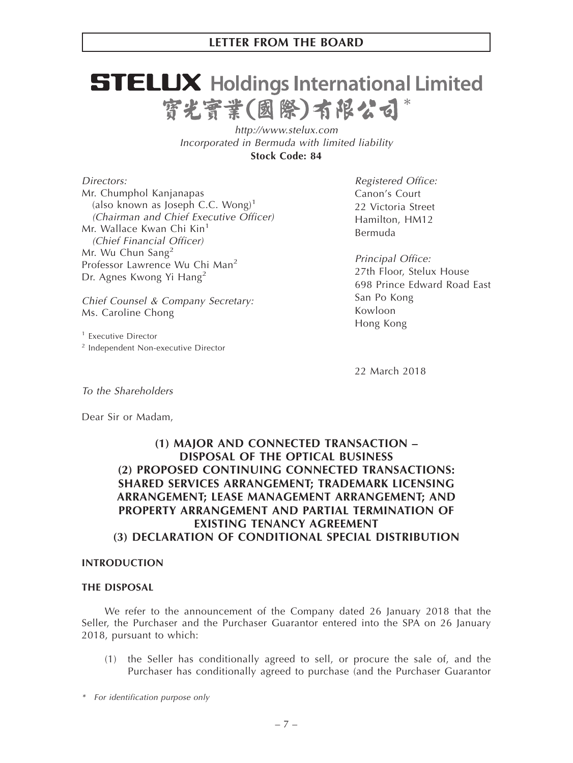# **STELUX** Holdings International Limited 寳光寳業(國際)有限公司

*http://www.stelux.com Incorporated in Bermuda with limited liability* **Stock Code: 84**

*Directors:* Mr. Chumphol Kanjanapas (also known as Joseph C.C. Wong)<sup>1</sup> *(Chairman and Chief Executive Officer)* Mr. Wallace Kwan Chi Kin<sup>1</sup> *(Chief Financial Officer)* Mr. Wu Chun Sang $2$ Professor Lawrence Wu Chi Man<sup>2</sup> Dr. Agnes Kwong Yi Hang<sup>2</sup>

*Chief Counsel & Company Secretary:* Ms. Caroline Chong

<sup>1</sup> Executive Director <sup>2</sup> Independent Non-executive Director

*Registered Office:* Canon's Court 22 Victoria Street Hamilton, HM12 Bermuda

*Principal Office:* 27th Floor, Stelux House 698 Prince Edward Road East San Po Kong Kowloon Hong Kong

22 March 2018

*To the Shareholders*

Dear Sir or Madam,

# **(1) MAJOR AND CONNECTED TRANSACTION – DISPOSAL OF THE OPTICAL BUSINESS (2) PROPOSED CONTINUING CONNECTED TRANSACTIONS: SHARED SERVICES ARRANGEMENT; TRADEMARK LICENSING ARRANGEMENT; LEASE MANAGEMENT ARRANGEMENT; AND PROPERTY ARRANGEMENT AND PARTIAL TERMINATION OF EXISTING TENANCY AGREEMENT (3) DECLARATION OF CONDITIONAL SPECIAL DISTRIBUTION**

## **INTRODUCTION**

## **THE DISPOSAL**

We refer to the announcement of the Company dated 26 January 2018 that the Seller, the Purchaser and the Purchaser Guarantor entered into the SPA on 26 January 2018, pursuant to which:

- (1) the Seller has conditionally agreed to sell, or procure the sale of, and the Purchaser has conditionally agreed to purchase (and the Purchaser Guarantor
- *\* For identification purpose only*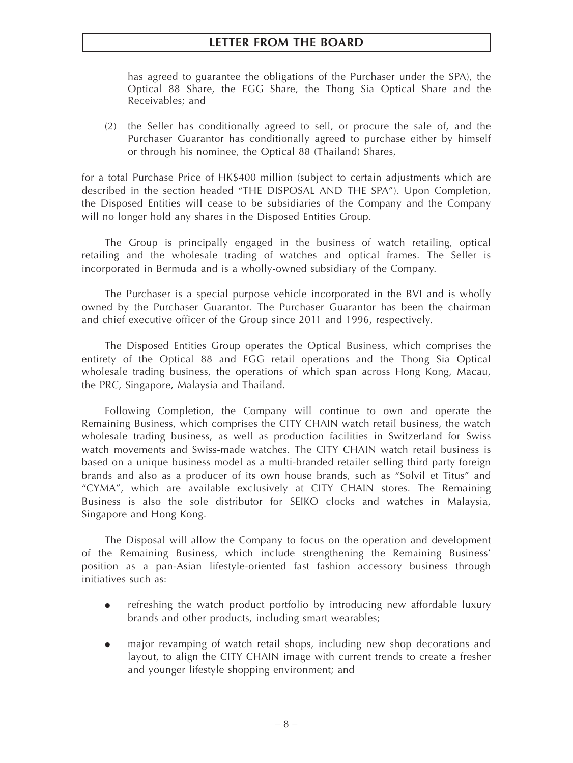has agreed to guarantee the obligations of the Purchaser under the SPA), the Optical 88 Share, the EGG Share, the Thong Sia Optical Share and the Receivables; and

(2) the Seller has conditionally agreed to sell, or procure the sale of, and the Purchaser Guarantor has conditionally agreed to purchase either by himself or through his nominee, the Optical 88 (Thailand) Shares,

for a total Purchase Price of HK\$400 million (subject to certain adjustments which are described in the section headed "THE DISPOSAL AND THE SPA"). Upon Completion, the Disposed Entities will cease to be subsidiaries of the Company and the Company will no longer hold any shares in the Disposed Entities Group.

The Group is principally engaged in the business of watch retailing, optical retailing and the wholesale trading of watches and optical frames. The Seller is incorporated in Bermuda and is a wholly-owned subsidiary of the Company.

The Purchaser is a special purpose vehicle incorporated in the BVI and is wholly owned by the Purchaser Guarantor. The Purchaser Guarantor has been the chairman and chief executive officer of the Group since 2011 and 1996, respectively.

The Disposed Entities Group operates the Optical Business, which comprises the entirety of the Optical 88 and EGG retail operations and the Thong Sia Optical wholesale trading business, the operations of which span across Hong Kong, Macau, the PRC, Singapore, Malaysia and Thailand.

Following Completion, the Company will continue to own and operate the Remaining Business, which comprises the CITY CHAIN watch retail business, the watch wholesale trading business, as well as production facilities in Switzerland for Swiss watch movements and Swiss-made watches. The CITY CHAIN watch retail business is based on a unique business model as a multi-branded retailer selling third party foreign brands and also as a producer of its own house brands, such as "Solvil et Titus" and "CYMA", which are available exclusively at CITY CHAIN stores. The Remaining Business is also the sole distributor for SEIKO clocks and watches in Malaysia, Singapore and Hong Kong.

The Disposal will allow the Company to focus on the operation and development of the Remaining Business, which include strengthening the Remaining Business' position as a pan-Asian lifestyle-oriented fast fashion accessory business through initiatives such as:

- $\bullet$  refreshing the watch product portfolio by introducing new affordable luxury brands and other products, including smart wearables;
- $\bullet$  major revamping of watch retail shops, including new shop decorations and layout, to align the CITY CHAIN image with current trends to create a fresher and younger lifestyle shopping environment; and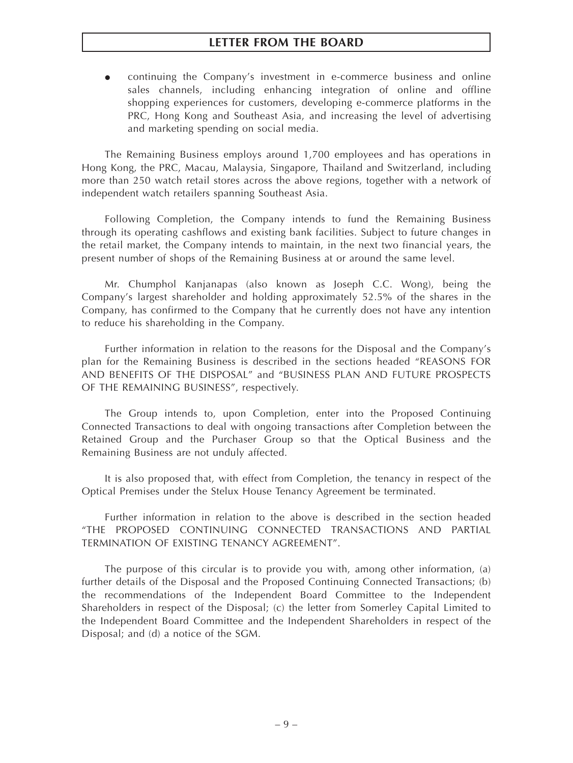$\bullet$  continuing the Company's investment in e-commerce business and online sales channels, including enhancing integration of online and offline shopping experiences for customers, developing e-commerce platforms in the PRC, Hong Kong and Southeast Asia, and increasing the level of advertising and marketing spending on social media.

The Remaining Business employs around 1,700 employees and has operations in Hong Kong, the PRC, Macau, Malaysia, Singapore, Thailand and Switzerland, including more than 250 watch retail stores across the above regions, together with a network of independent watch retailers spanning Southeast Asia.

Following Completion, the Company intends to fund the Remaining Business through its operating cashflows and existing bank facilities. Subject to future changes in the retail market, the Company intends to maintain, in the next two financial years, the present number of shops of the Remaining Business at or around the same level.

Mr. Chumphol Kanjanapas (also known as Joseph C.C. Wong), being the Company's largest shareholder and holding approximately 52.5% of the shares in the Company, has confirmed to the Company that he currently does not have any intention to reduce his shareholding in the Company.

Further information in relation to the reasons for the Disposal and the Company's plan for the Remaining Business is described in the sections headed "REASONS FOR AND BENEFITS OF THE DISPOSAL" and "BUSINESS PLAN AND FUTURE PROSPECTS OF THE REMAINING BUSINESS", respectively.

The Group intends to, upon Completion, enter into the Proposed Continuing Connected Transactions to deal with ongoing transactions after Completion between the Retained Group and the Purchaser Group so that the Optical Business and the Remaining Business are not unduly affected.

It is also proposed that, with effect from Completion, the tenancy in respect of the Optical Premises under the Stelux House Tenancy Agreement be terminated.

Further information in relation to the above is described in the section headed "THE PROPOSED CONTINUING CONNECTED TRANSACTIONS AND PARTIAL TERMINATION OF EXISTING TENANCY AGREEMENT".

The purpose of this circular is to provide you with, among other information, (a) further details of the Disposal and the Proposed Continuing Connected Transactions; (b) the recommendations of the Independent Board Committee to the Independent Shareholders in respect of the Disposal; (c) the letter from Somerley Capital Limited to the Independent Board Committee and the Independent Shareholders in respect of the Disposal; and (d) a notice of the SGM.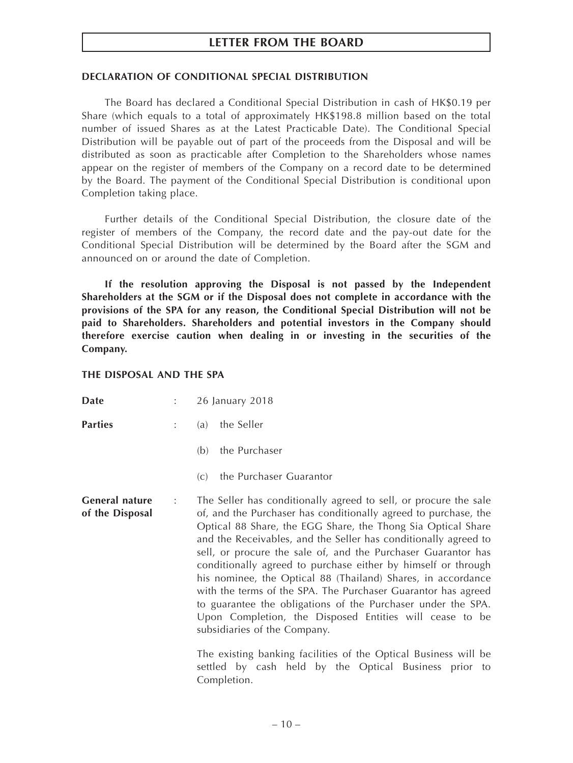### **DECLARATION OF CONDITIONAL SPECIAL DISTRIBUTION**

The Board has declared a Conditional Special Distribution in cash of HK\$0.19 per Share (which equals to a total of approximately HK\$198.8 million based on the total number of issued Shares as at the Latest Practicable Date). The Conditional Special Distribution will be payable out of part of the proceeds from the Disposal and will be distributed as soon as practicable after Completion to the Shareholders whose names appear on the register of members of the Company on a record date to be determined by the Board. The payment of the Conditional Special Distribution is conditional upon Completion taking place.

Further details of the Conditional Special Distribution, the closure date of the register of members of the Company, the record date and the pay-out date for the Conditional Special Distribution will be determined by the Board after the SGM and announced on or around the date of Completion.

**If the resolution approving the Disposal is not passed by the Independent Shareholders at the SGM or if the Disposal does not complete in accordance with the provisions of the SPA for any reason, the Conditional Special Distribution will not be paid to Shareholders. Shareholders and potential investors in the Company should therefore exercise caution when dealing in or investing in the securities of the Company.**

#### **THE DISPOSAL AND THE SPA**

| <b>Date</b>                       | $\mathbb{Z}^{\mathbb{Z}}$ | 26 January 2018                                                                                                                                                                                                                                                                                                                                                                                                                                                                                                                                                                                                                                                                                                                                                                                                                  |
|-----------------------------------|---------------------------|----------------------------------------------------------------------------------------------------------------------------------------------------------------------------------------------------------------------------------------------------------------------------------------------------------------------------------------------------------------------------------------------------------------------------------------------------------------------------------------------------------------------------------------------------------------------------------------------------------------------------------------------------------------------------------------------------------------------------------------------------------------------------------------------------------------------------------|
| Parties                           | $\mathbb{R}^{\mathbb{Z}}$ | the Seller<br>(a)                                                                                                                                                                                                                                                                                                                                                                                                                                                                                                                                                                                                                                                                                                                                                                                                                |
|                                   |                           | the Purchaser<br>(b)                                                                                                                                                                                                                                                                                                                                                                                                                                                                                                                                                                                                                                                                                                                                                                                                             |
|                                   |                           | the Purchaser Guarantor<br>(C)                                                                                                                                                                                                                                                                                                                                                                                                                                                                                                                                                                                                                                                                                                                                                                                                   |
| General nature<br>of the Disposal | $\mathbb{Z}^{\times}$ .   | The Seller has conditionally agreed to sell, or procure the sale<br>of, and the Purchaser has conditionally agreed to purchase, the<br>Optical 88 Share, the EGG Share, the Thong Sia Optical Share<br>and the Receivables, and the Seller has conditionally agreed to<br>sell, or procure the sale of, and the Purchaser Guarantor has<br>conditionally agreed to purchase either by himself or through<br>his nominee, the Optical 88 (Thailand) Shares, in accordance<br>with the terms of the SPA. The Purchaser Guarantor has agreed<br>to guarantee the obligations of the Purchaser under the SPA.<br>Upon Completion, the Disposed Entities will cease to be<br>subsidiaries of the Company.<br>The existing banking facilities of the Optical Business will be<br>settled by cash held by the Optical Business prior to |
|                                   |                           | Completion.                                                                                                                                                                                                                                                                                                                                                                                                                                                                                                                                                                                                                                                                                                                                                                                                                      |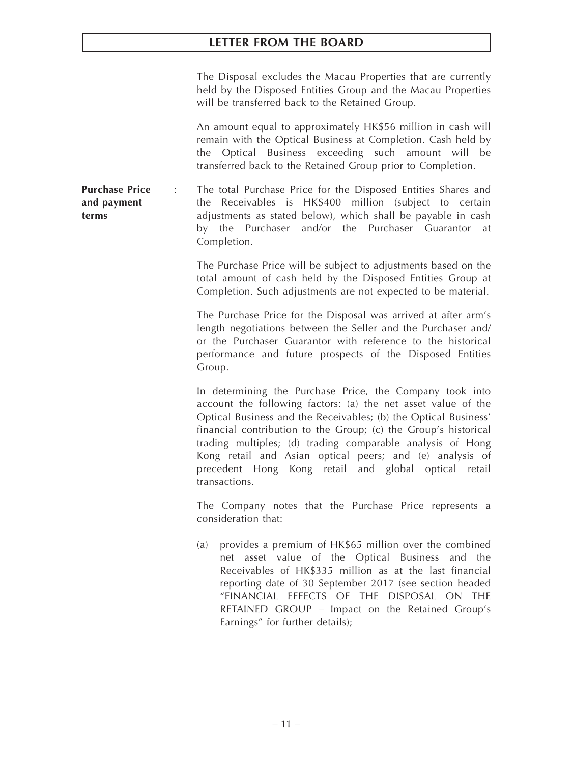The Disposal excludes the Macau Properties that are currently held by the Disposed Entities Group and the Macau Properties will be transferred back to the Retained Group.

An amount equal to approximately HK\$56 million in cash will remain with the Optical Business at Completion. Cash held by the Optical Business exceeding such amount will be transferred back to the Retained Group prior to Completion.

**Purchase Price and payment terms** : The total Purchase Price for the Disposed Entities Shares and the Receivables is HK\$400 million (subject to certain adjustments as stated below), which shall be payable in cash by the Purchaser and/or the Purchaser Guarantor at Completion.

> The Purchase Price will be subject to adjustments based on the total amount of cash held by the Disposed Entities Group at Completion. Such adjustments are not expected to be material.

> The Purchase Price for the Disposal was arrived at after arm's length negotiations between the Seller and the Purchaser and/ or the Purchaser Guarantor with reference to the historical performance and future prospects of the Disposed Entities Group.

> In determining the Purchase Price, the Company took into account the following factors: (a) the net asset value of the Optical Business and the Receivables; (b) the Optical Business' financial contribution to the Group; (c) the Group's historical trading multiples; (d) trading comparable analysis of Hong Kong retail and Asian optical peers; and (e) analysis of precedent Hong Kong retail and global optical retail transactions.

> The Company notes that the Purchase Price represents a consideration that:

> (a) provides a premium of HK\$65 million over the combined net asset value of the Optical Business and the Receivables of HK\$335 million as at the last financial reporting date of 30 September 2017 (see section headed "FINANCIAL EFFECTS OF THE DISPOSAL ON THE RETAINED GROUP – Impact on the Retained Group's Earnings" for further details);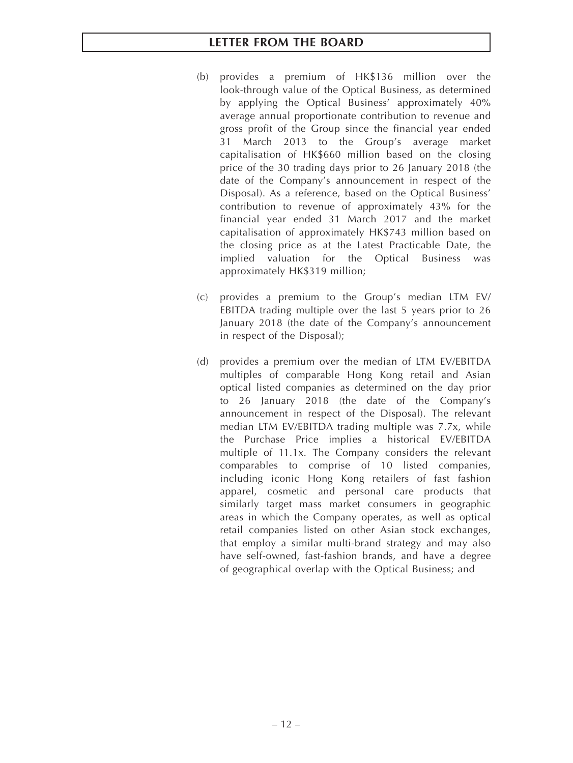- (b) provides a premium of HK\$136 million over the look-through value of the Optical Business, as determined by applying the Optical Business' approximately 40% average annual proportionate contribution to revenue and gross profit of the Group since the financial year ended 31 March 2013 to the Group's average market capitalisation of HK\$660 million based on the closing price of the 30 trading days prior to 26 January 2018 (the date of the Company's announcement in respect of the Disposal). As a reference, based on the Optical Business' contribution to revenue of approximately 43% for the financial year ended 31 March 2017 and the market capitalisation of approximately HK\$743 million based on the closing price as at the Latest Practicable Date, the implied valuation for the Optical Business was approximately HK\$319 million;
- (c) provides a premium to the Group's median LTM EV/ EBITDA trading multiple over the last 5 years prior to 26 January 2018 (the date of the Company's announcement in respect of the Disposal);
- (d) provides a premium over the median of LTM EV/EBITDA multiples of comparable Hong Kong retail and Asian optical listed companies as determined on the day prior to 26 January 2018 (the date of the Company's announcement in respect of the Disposal). The relevant median LTM EV/EBITDA trading multiple was 7.7x, while the Purchase Price implies a historical EV/EBITDA multiple of 11.1x. The Company considers the relevant comparables to comprise of 10 listed companies, including iconic Hong Kong retailers of fast fashion apparel, cosmetic and personal care products that similarly target mass market consumers in geographic areas in which the Company operates, as well as optical retail companies listed on other Asian stock exchanges, that employ a similar multi-brand strategy and may also have self-owned, fast-fashion brands, and have a degree of geographical overlap with the Optical Business; and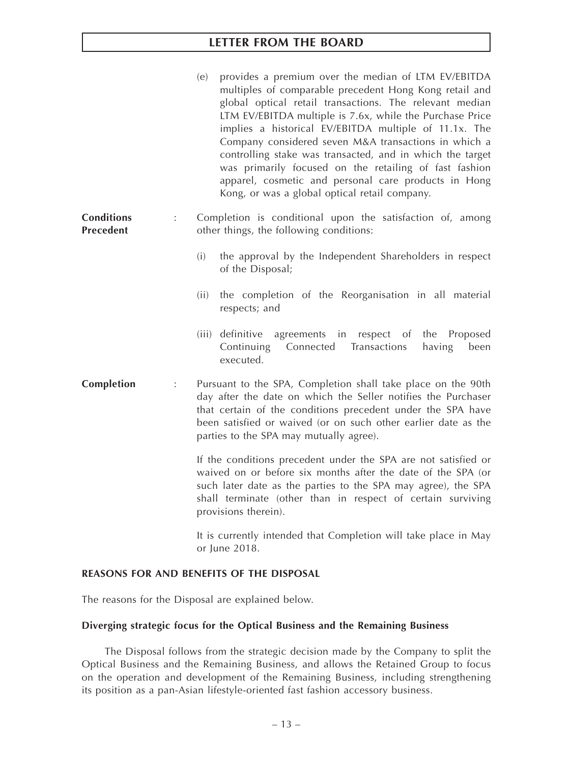|                                |                      | (e)<br>provides a premium over the median of LTM EV/EBITDA<br>multiples of comparable precedent Hong Kong retail and<br>global optical retail transactions. The relevant median<br>LTM EV/EBITDA multiple is 7.6x, while the Purchase Price<br>implies a historical EV/EBITDA multiple of 11.1x. The<br>Company considered seven M&A transactions in which a<br>controlling stake was transacted, and in which the target<br>was primarily focused on the retailing of fast fashion<br>apparel, cosmetic and personal care products in Hong<br>Kong, or was a global optical retail company. |
|--------------------------------|----------------------|----------------------------------------------------------------------------------------------------------------------------------------------------------------------------------------------------------------------------------------------------------------------------------------------------------------------------------------------------------------------------------------------------------------------------------------------------------------------------------------------------------------------------------------------------------------------------------------------|
| <b>Conditions</b><br>Precedent | $\ddot{\phantom{a}}$ | Completion is conditional upon the satisfaction of, among<br>other things, the following conditions:                                                                                                                                                                                                                                                                                                                                                                                                                                                                                         |
|                                |                      | (i)<br>the approval by the Independent Shareholders in respect<br>of the Disposal;                                                                                                                                                                                                                                                                                                                                                                                                                                                                                                           |
|                                |                      | the completion of the Reorganisation in all material<br>(ii)<br>respects; and                                                                                                                                                                                                                                                                                                                                                                                                                                                                                                                |
|                                |                      | (iii) definitive<br>agreements in<br>respect of<br>the<br>Proposed<br>Continuing<br>Connected<br>Transactions<br>having<br>been<br>executed.                                                                                                                                                                                                                                                                                                                                                                                                                                                 |
| Completion                     | $\ddot{\cdot}$       | Pursuant to the SPA, Completion shall take place on the 90th<br>day after the date on which the Seller notifies the Purchaser<br>that certain of the conditions precedent under the SPA have<br>been satisfied or waived (or on such other earlier date as the<br>parties to the SPA may mutually agree).                                                                                                                                                                                                                                                                                    |
|                                |                      | If the conditions precedent under the SPA are not satisfied or<br>waived on or before six months after the date of the SPA (or<br>such later date as the parties to the SPA may agree), the SPA<br>shall terminate (other than in respect of certain surviving<br>provisions therein).                                                                                                                                                                                                                                                                                                       |
|                                |                      | It is currently intended that Completion will take place in May<br>or June 2018.                                                                                                                                                                                                                                                                                                                                                                                                                                                                                                             |

# **REASONS FOR AND BENEFITS OF THE DISPOSAL**

The reasons for the Disposal are explained below.

## **Diverging strategic focus for the Optical Business and the Remaining Business**

The Disposal follows from the strategic decision made by the Company to split the Optical Business and the Remaining Business, and allows the Retained Group to focus on the operation and development of the Remaining Business, including strengthening its position as a pan-Asian lifestyle-oriented fast fashion accessory business.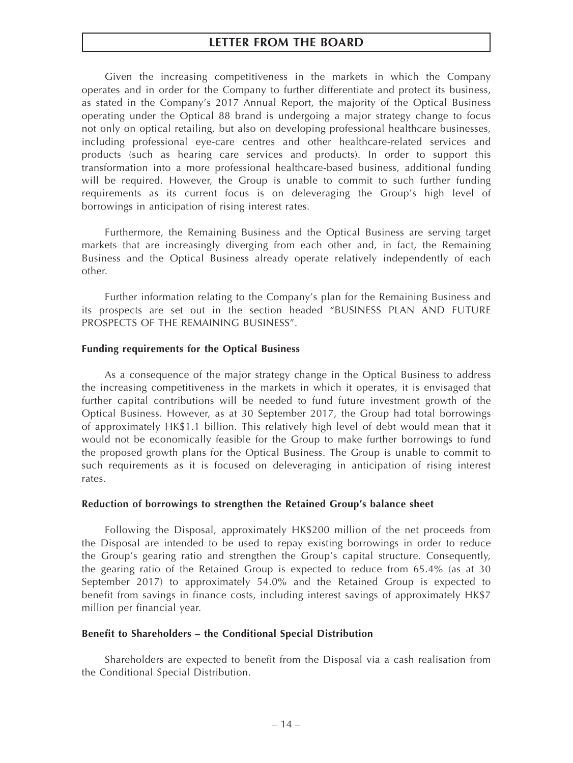Given the increasing competitiveness in the markets in which the Company operates and in order for the Company to further differentiate and protect its business, as stated in the Company's 2017 Annual Report, the majority of the Optical Business operating under the Optical 88 brand is undergoing a major strategy change to focus not only on optical retailing, but also on developing professional healthcare businesses, including professional eye-care centres and other healthcare-related services and products (such as hearing care services and products). In order to support this transformation into a more professional healthcare-based business, additional funding will be required. However, the Group is unable to commit to such further funding requirements as its current focus is on deleveraging the Group's high level of borrowings in anticipation of rising interest rates.

Furthermore, the Remaining Business and the Optical Business are serving target markets that are increasingly diverging from each other and, in fact, the Remaining Business and the Optical Business already operate relatively independently of each other.

Further information relating to the Company's plan for the Remaining Business and its prospects are set out in the section headed "BUSINESS PLAN AND FUTURE PROSPECTS OF THE REMAINING BUSINESS".

#### **Funding requirements for the Optical Business**

As a consequence of the major strategy change in the Optical Business to address the increasing competitiveness in the markets in which it operates, it is envisaged that further capital contributions will be needed to fund future investment growth of the Optical Business. However, as at 30 September 2017, the Group had total borrowings of approximately HK\$1.1 billion. This relatively high level of debt would mean that it would not be economically feasible for the Group to make further borrowings to fund the proposed growth plans for the Optical Business. The Group is unable to commit to such requirements as it is focused on deleveraging in anticipation of rising interest rates.

#### **Reduction of borrowings to strengthen the Retained Group's balance sheet**

Following the Disposal, approximately HK\$200 million of the net proceeds from the Disposal are intended to be used to repay existing borrowings in order to reduce the Group's gearing ratio and strengthen the Group's capital structure. Consequently, the gearing ratio of the Retained Group is expected to reduce from 65.4% (as at 30 September 2017) to approximately 54.0% and the Retained Group is expected to benefit from savings in finance costs, including interest savings of approximately HK\$7 million per financial year.

#### **Benefit to Shareholders – the Conditional Special Distribution**

Shareholders are expected to benefit from the Disposal via a cash realisation from the Conditional Special Distribution.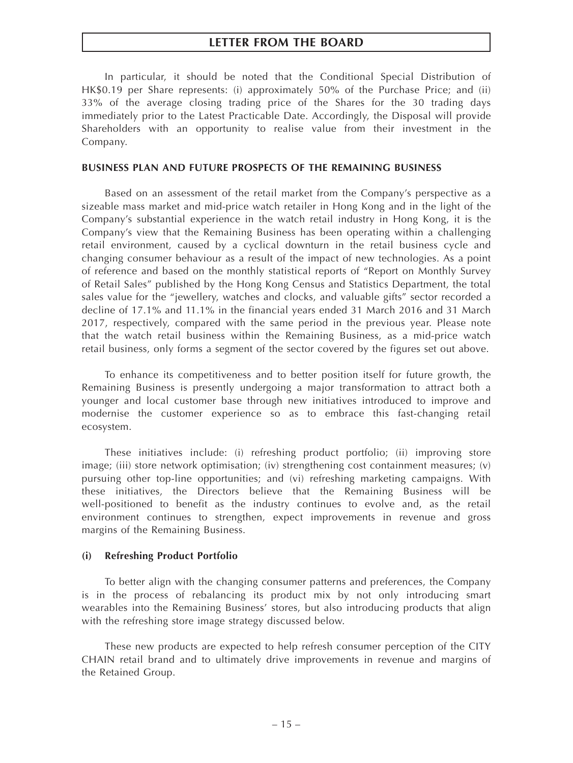In particular, it should be noted that the Conditional Special Distribution of HK\$0.19 per Share represents: (i) approximately 50% of the Purchase Price; and (ii) 33% of the average closing trading price of the Shares for the 30 trading days immediately prior to the Latest Practicable Date. Accordingly, the Disposal will provide Shareholders with an opportunity to realise value from their investment in the Company.

#### **BUSINESS PLAN AND FUTURE PROSPECTS OF THE REMAINING BUSINESS**

Based on an assessment of the retail market from the Company's perspective as a sizeable mass market and mid-price watch retailer in Hong Kong and in the light of the Company's substantial experience in the watch retail industry in Hong Kong, it is the Company's view that the Remaining Business has been operating within a challenging retail environment, caused by a cyclical downturn in the retail business cycle and changing consumer behaviour as a result of the impact of new technologies. As a point of reference and based on the monthly statistical reports of "Report on Monthly Survey of Retail Sales" published by the Hong Kong Census and Statistics Department, the total sales value for the "jewellery, watches and clocks, and valuable gifts" sector recorded a decline of 17.1% and 11.1% in the financial years ended 31 March 2016 and 31 March 2017, respectively, compared with the same period in the previous year. Please note that the watch retail business within the Remaining Business, as a mid-price watch retail business, only forms a segment of the sector covered by the figures set out above.

To enhance its competitiveness and to better position itself for future growth, the Remaining Business is presently undergoing a major transformation to attract both a younger and local customer base through new initiatives introduced to improve and modernise the customer experience so as to embrace this fast-changing retail ecosystem.

These initiatives include: (i) refreshing product portfolio; (ii) improving store image; (iii) store network optimisation; (iv) strengthening cost containment measures; (v) pursuing other top-line opportunities; and (vi) refreshing marketing campaigns. With these initiatives, the Directors believe that the Remaining Business will be well-positioned to benefit as the industry continues to evolve and, as the retail environment continues to strengthen, expect improvements in revenue and gross margins of the Remaining Business.

#### **(i) Refreshing Product Portfolio**

To better align with the changing consumer patterns and preferences, the Company is in the process of rebalancing its product mix by not only introducing smart wearables into the Remaining Business' stores, but also introducing products that align with the refreshing store image strategy discussed below.

These new products are expected to help refresh consumer perception of the CITY CHAIN retail brand and to ultimately drive improvements in revenue and margins of the Retained Group.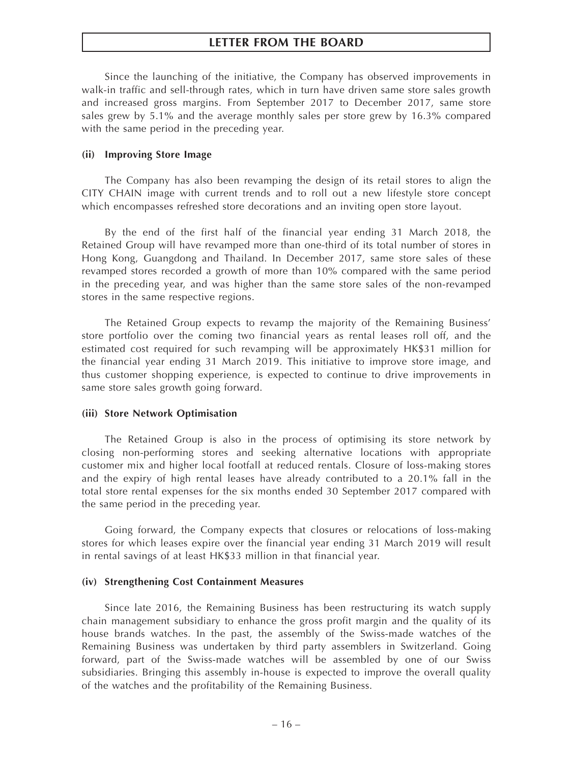Since the launching of the initiative, the Company has observed improvements in walk-in traffic and sell-through rates, which in turn have driven same store sales growth and increased gross margins. From September 2017 to December 2017, same store sales grew by 5.1% and the average monthly sales per store grew by 16.3% compared with the same period in the preceding year.

#### **(ii) Improving Store Image**

The Company has also been revamping the design of its retail stores to align the CITY CHAIN image with current trends and to roll out a new lifestyle store concept which encompasses refreshed store decorations and an inviting open store layout.

By the end of the first half of the financial year ending 31 March 2018, the Retained Group will have revamped more than one-third of its total number of stores in Hong Kong, Guangdong and Thailand. In December 2017, same store sales of these revamped stores recorded a growth of more than 10% compared with the same period in the preceding year, and was higher than the same store sales of the non-revamped stores in the same respective regions.

The Retained Group expects to revamp the majority of the Remaining Business' store portfolio over the coming two financial years as rental leases roll off, and the estimated cost required for such revamping will be approximately HK\$31 million for the financial year ending 31 March 2019. This initiative to improve store image, and thus customer shopping experience, is expected to continue to drive improvements in same store sales growth going forward.

#### **(iii) Store Network Optimisation**

The Retained Group is also in the process of optimising its store network by closing non-performing stores and seeking alternative locations with appropriate customer mix and higher local footfall at reduced rentals. Closure of loss-making stores and the expiry of high rental leases have already contributed to a 20.1% fall in the total store rental expenses for the six months ended 30 September 2017 compared with the same period in the preceding year.

Going forward, the Company expects that closures or relocations of loss-making stores for which leases expire over the financial year ending 31 March 2019 will result in rental savings of at least HK\$33 million in that financial year.

#### **(iv) Strengthening Cost Containment Measures**

Since late 2016, the Remaining Business has been restructuring its watch supply chain management subsidiary to enhance the gross profit margin and the quality of its house brands watches. In the past, the assembly of the Swiss-made watches of the Remaining Business was undertaken by third party assemblers in Switzerland. Going forward, part of the Swiss-made watches will be assembled by one of our Swiss subsidiaries. Bringing this assembly in-house is expected to improve the overall quality of the watches and the profitability of the Remaining Business.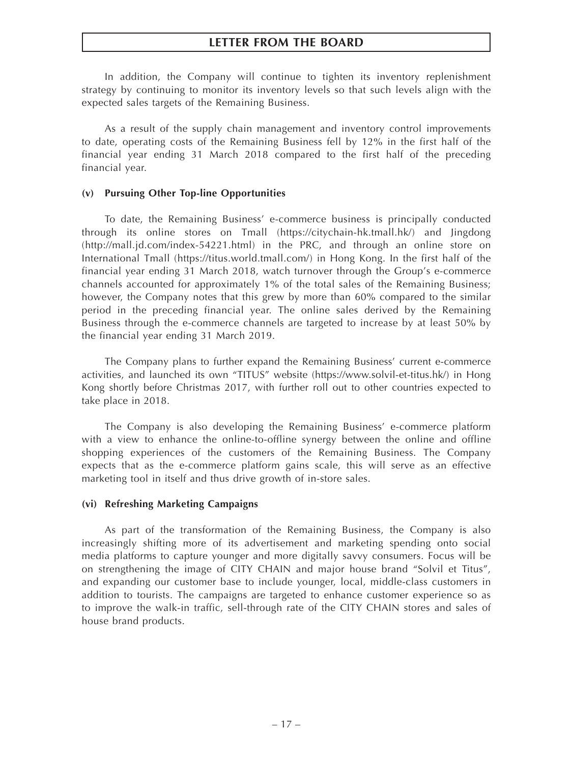In addition, the Company will continue to tighten its inventory replenishment strategy by continuing to monitor its inventory levels so that such levels align with the expected sales targets of the Remaining Business.

As a result of the supply chain management and inventory control improvements to date, operating costs of the Remaining Business fell by 12% in the first half of the financial year ending 31 March 2018 compared to the first half of the preceding financial year.

#### **(v) Pursuing Other Top-line Opportunities**

To date, the Remaining Business' e-commerce business is principally conducted through its online stores on Tmall (https://citychain-hk.tmall.hk/) and Jingdong (http://mall.jd.com/index-54221.html) in the PRC, and through an online store on International Tmall (https://titus.world.tmall.com/) in Hong Kong. In the first half of the financial year ending 31 March 2018, watch turnover through the Group's e-commerce channels accounted for approximately 1% of the total sales of the Remaining Business; however, the Company notes that this grew by more than 60% compared to the similar period in the preceding financial year. The online sales derived by the Remaining Business through the e-commerce channels are targeted to increase by at least 50% by the financial year ending 31 March 2019.

The Company plans to further expand the Remaining Business' current e-commerce activities, and launched its own "TITUS" website (https://www.solvil-et-titus.hk/) in Hong Kong shortly before Christmas 2017, with further roll out to other countries expected to take place in 2018.

The Company is also developing the Remaining Business' e-commerce platform with a view to enhance the online-to-offline synergy between the online and offline shopping experiences of the customers of the Remaining Business. The Company expects that as the e-commerce platform gains scale, this will serve as an effective marketing tool in itself and thus drive growth of in-store sales.

## **(vi) Refreshing Marketing Campaigns**

As part of the transformation of the Remaining Business, the Company is also increasingly shifting more of its advertisement and marketing spending onto social media platforms to capture younger and more digitally savvy consumers. Focus will be on strengthening the image of CITY CHAIN and major house brand "Solvil et Titus", and expanding our customer base to include younger, local, middle-class customers in addition to tourists. The campaigns are targeted to enhance customer experience so as to improve the walk-in traffic, sell-through rate of the CITY CHAIN stores and sales of house brand products.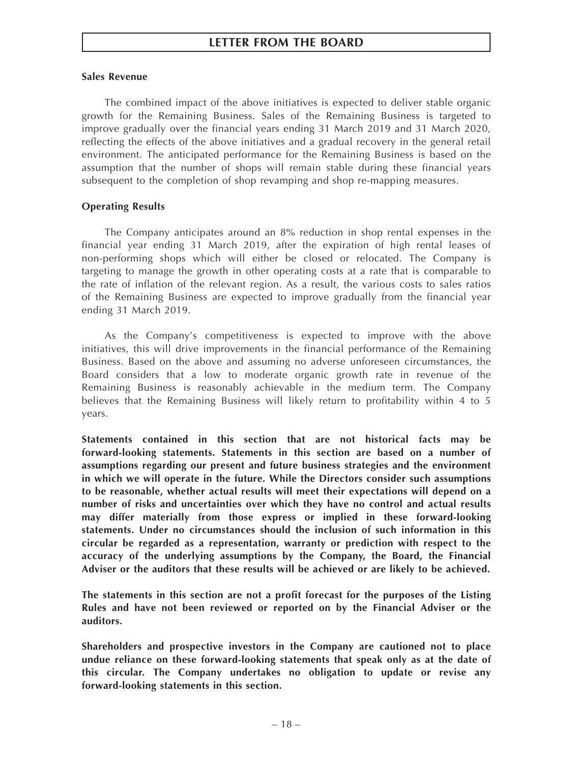# **Sales Revenue**

The combined impact of the above initiatives is expected to deliver stable organic growth for the Remaining Business. Sales of the Remaining Business is targeted to improve gradually over the financial years ending 31 March 2019 and 31 March 2020, reflecting the effects of the above initiatives and a gradual recovery in the general retail environment. The anticipated performance for the Remaining Business is based on the assumption that the number of shops will remain stable during these financial years subsequent to the completion of shop revamping and shop re-mapping measures.

# **Operating Results**

The Company anticipates around an 8% reduction in shop rental expenses in the financial year ending 31 March 2019, after the expiration of high rental leases of non-performing shops which will either be closed or relocated. The Company is targeting to manage the growth in other operating costs at a rate that is comparable to the rate of inflation of the relevant region. As a result, the various costs to sales ratios of the Remaining Business are expected to improve gradually from the financial year ending 31 March 2019.

As the Company's competitiveness is expected to improve with the above initiatives, this will drive improvements in the financial performance of the Remaining Business. Based on the above and assuming no adverse unforeseen circumstances, the Board considers that a low to moderate organic growth rate in revenue of the Remaining Business is reasonably achievable in the medium term. The Company believes that the Remaining Business will likely return to profitability within 4 to 5 years.

**Statements contained in this section that are not historical facts may be forward-looking statements. Statements in this section are based on a number of assumptions regarding our present and future business strategies and the environment in which we will operate in the future. While the Directors consider such assumptions to be reasonable, whether actual results will meet their expectations will depend on a number of risks and uncertainties over which they have no control and actual results may differ materially from those express or implied in these forward-looking statements. Under no circumstances should the inclusion of such information in this circular be regarded as a representation, warranty or prediction with respect to the accuracy of the underlying assumptions by the Company, the Board, the Financial Adviser or the auditors that these results will be achieved or are likely to be achieved.**

**The statements in this section are not a profit forecast for the purposes of the Listing Rules and have not been reviewed or reported on by the Financial Adviser or the auditors.**

**Shareholders and prospective investors in the Company are cautioned not to place undue reliance on these forward-looking statements that speak only as at the date of this circular. The Company undertakes no obligation to update or revise any forward-looking statements in this section.**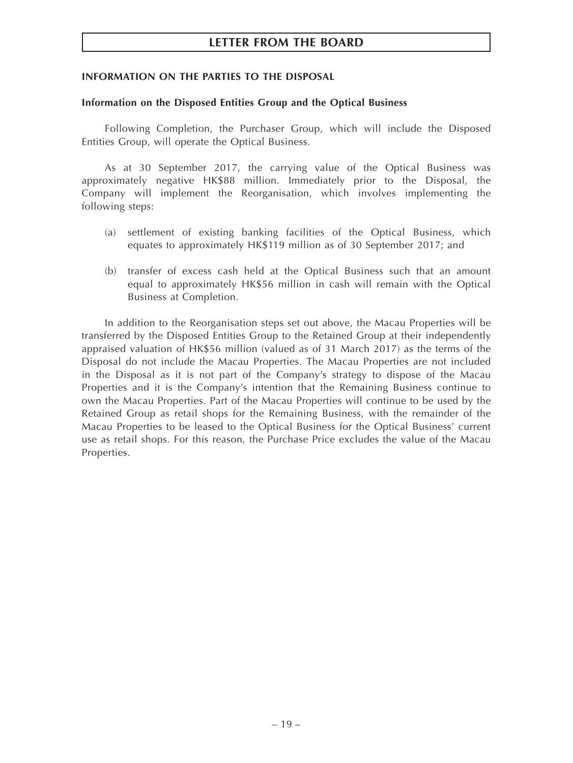### **INFORMATION ON THE PARTIES TO THE DISPOSAL**

#### **Information on the Disposed Entities Group and the Optical Business**

Following Completion, the Purchaser Group, which will include the Disposed Entities Group, will operate the Optical Business.

As at 30 September 2017, the carrying value of the Optical Business was approximately negative HK\$88 million. Immediately prior to the Disposal, the Company will implement the Reorganisation, which involves implementing the following steps:

- (a) settlement of existing banking facilities of the Optical Business, which equates to approximately HK\$119 million as of 30 September 2017; and
- (b) transfer of excess cash held at the Optical Business such that an amount equal to approximately HK\$56 million in cash will remain with the Optical Business at Completion.

In addition to the Reorganisation steps set out above, the Macau Properties will be transferred by the Disposed Entities Group to the Retained Group at their independently appraised valuation of HK\$56 million (valued as of 31 March 2017) as the terms of the Disposal do not include the Macau Properties. The Macau Properties are not included in the Disposal as it is not part of the Company's strategy to dispose of the Macau Properties and it is the Company's intention that the Remaining Business continue to own the Macau Properties. Part of the Macau Properties will continue to be used by the Retained Group as retail shops for the Remaining Business, with the remainder of the Macau Properties to be leased to the Optical Business for the Optical Business' current use as retail shops. For this reason, the Purchase Price excludes the value of the Macau Properties.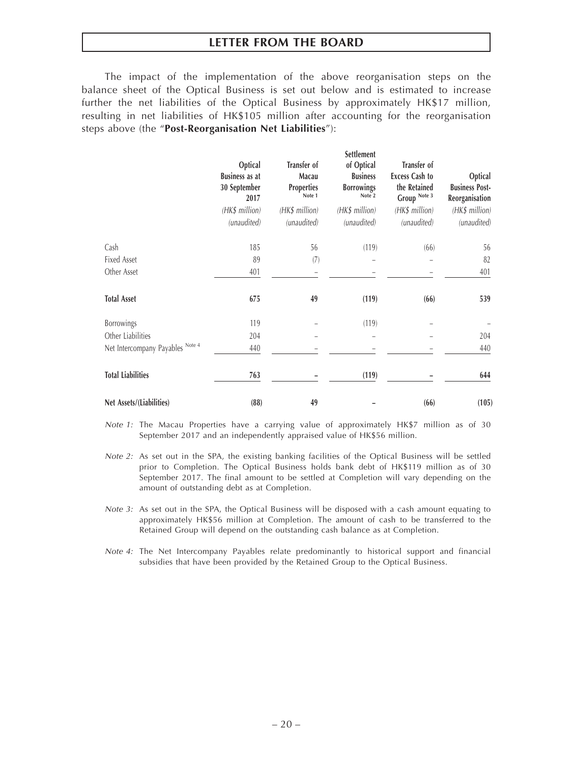The impact of the implementation of the above reorganisation steps on the balance sheet of the Optical Business is set out below and is estimated to increase further the net liabilities of the Optical Business by approximately HK\$17 million, resulting in net liabilities of HK\$105 million after accounting for the reorganisation steps above (the "**Post-Reorganisation Net Liabilities**"):

|                                  | Optical<br><b>Business as at</b><br>30 September<br>2017<br>(HK\$ million)<br>(unaudited) | Transfer of<br>Macau<br><b>Properties</b><br>Note 1<br>(HK\$ million)<br>(unaudited) | Settlement<br>of Optical<br><b>Business</b><br><b>Borrowings</b><br>Note 2<br>(HK\$ million)<br>(unaudited) | Transfer of<br><b>Excess Cash to</b><br>the Retained<br>Group $^{\rm Note\ 3}$<br>(HK\$ million)<br>(unaudited) | Optical<br><b>Business Post-</b><br>Reorganisation<br>(HK\$ million)<br>(unaudited) |
|----------------------------------|-------------------------------------------------------------------------------------------|--------------------------------------------------------------------------------------|-------------------------------------------------------------------------------------------------------------|-----------------------------------------------------------------------------------------------------------------|-------------------------------------------------------------------------------------|
|                                  |                                                                                           |                                                                                      |                                                                                                             |                                                                                                                 |                                                                                     |
| Cash                             | 185                                                                                       | 56                                                                                   | (119)                                                                                                       | (66)                                                                                                            | 56                                                                                  |
| <b>Fixed Asset</b>               | 89                                                                                        | (7)                                                                                  |                                                                                                             |                                                                                                                 | 82                                                                                  |
| Other Asset                      | 401                                                                                       |                                                                                      |                                                                                                             |                                                                                                                 | 401                                                                                 |
| <b>Total Asset</b>               | 675                                                                                       | 49                                                                                   | (119)                                                                                                       | (66)                                                                                                            | 539                                                                                 |
| Borrowings                       | 119                                                                                       |                                                                                      | (119)                                                                                                       |                                                                                                                 |                                                                                     |
| Other Liabilities                | 204                                                                                       |                                                                                      |                                                                                                             |                                                                                                                 | 204                                                                                 |
| Net Intercompany Payables Note 4 | 440                                                                                       |                                                                                      |                                                                                                             |                                                                                                                 | 440                                                                                 |
| <b>Total Liabilities</b>         | 763                                                                                       |                                                                                      | (119)                                                                                                       |                                                                                                                 | 644                                                                                 |
| Net Assets/(Liabilities)         | (88)                                                                                      | 49                                                                                   |                                                                                                             | (66)                                                                                                            | (105)                                                                               |

*Note 1:* The Macau Properties have a carrying value of approximately HK\$7 million as of 30 September 2017 and an independently appraised value of HK\$56 million.

*Note 2:* As set out in the SPA, the existing banking facilities of the Optical Business will be settled prior to Completion. The Optical Business holds bank debt of HK\$119 million as of 30 September 2017. The final amount to be settled at Completion will vary depending on the amount of outstanding debt as at Completion.

*Note 3:* As set out in the SPA, the Optical Business will be disposed with a cash amount equating to approximately HK\$56 million at Completion. The amount of cash to be transferred to the Retained Group will depend on the outstanding cash balance as at Completion.

*Note 4:* The Net Intercompany Payables relate predominantly to historical support and financial subsidies that have been provided by the Retained Group to the Optical Business.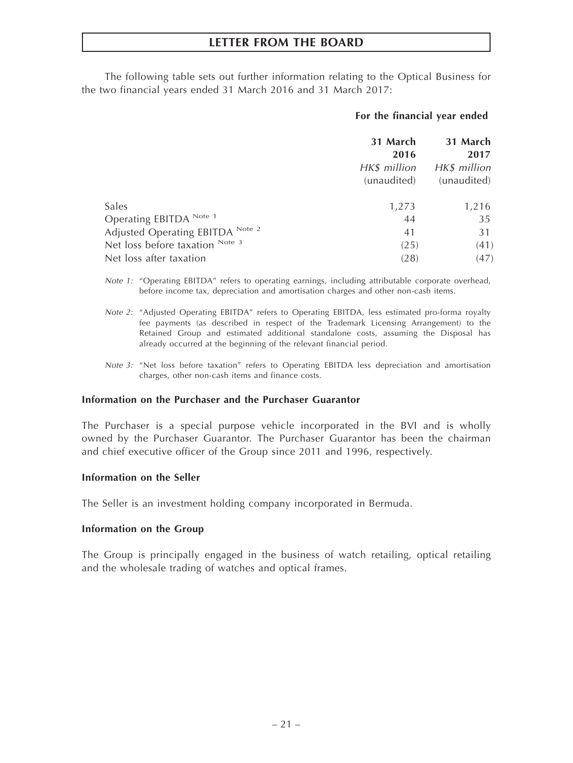The following table sets out further information relating to the Optical Business for the two financial years ended 31 March 2016 and 31 March 2017:

## **For the financial year ended**

|                                  | 31 March<br>2016 | 31 March<br>2017 |
|----------------------------------|------------------|------------------|
|                                  | HK\$ million     | HK\$ million     |
|                                  | (unaudited)      | (unaudited)      |
| Sales                            | 1,273            | 1,216            |
| Operating EBITDA Note 1          | 44               | 35               |
| Adjusted Operating EBITDA Note 2 | 41               | 31               |
| Net loss before taxation Note 3  | (25)             | (41)             |
| Net loss after taxation          | (28)             | (47)             |

- *Note 1:* "Operating EBITDA" refers to operating earnings, including attributable corporate overhead, before income tax, depreciation and amortisation charges and other non-cash items.
- *Note 2:* "Adjusted Operating EBITDA" refers to Operating EBITDA, less estimated pro-forma royalty fee payments (as described in respect of the Trademark Licensing Arrangement) to the Retained Group and estimated additional standalone costs, assuming the Disposal has already occurred at the beginning of the relevant financial period.
- *Note 3:* "Net loss before taxation" refers to Operating EBITDA less depreciation and amortisation charges, other non-cash items and finance costs.

#### **Information on the Purchaser and the Purchaser Guarantor**

The Purchaser is a special purpose vehicle incorporated in the BVI and is wholly owned by the Purchaser Guarantor. The Purchaser Guarantor has been the chairman and chief executive officer of the Group since 2011 and 1996, respectively.

#### **Information on the Seller**

The Seller is an investment holding company incorporated in Bermuda.

#### **Information on the Group**

The Group is principally engaged in the business of watch retailing, optical retailing and the wholesale trading of watches and optical frames.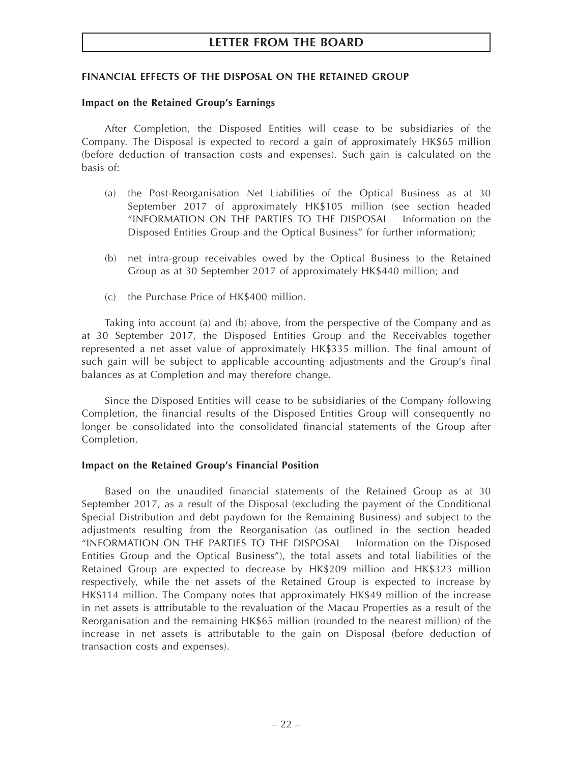## **FINANCIAL EFFECTS OF THE DISPOSAL ON THE RETAINED GROUP**

#### **Impact on the Retained Group's Earnings**

After Completion, the Disposed Entities will cease to be subsidiaries of the Company. The Disposal is expected to record a gain of approximately HK\$65 million (before deduction of transaction costs and expenses). Such gain is calculated on the basis of:

- (a) the Post-Reorganisation Net Liabilities of the Optical Business as at 30 September 2017 of approximately HK\$105 million (see section headed "INFORMATION ON THE PARTIES TO THE DISPOSAL – Information on the Disposed Entities Group and the Optical Business" for further information);
- (b) net intra-group receivables owed by the Optical Business to the Retained Group as at 30 September 2017 of approximately HK\$440 million; and
- (c) the Purchase Price of HK\$400 million.

Taking into account (a) and (b) above, from the perspective of the Company and as at 30 September 2017, the Disposed Entities Group and the Receivables together represented a net asset value of approximately HK\$335 million. The final amount of such gain will be subject to applicable accounting adjustments and the Group's final balances as at Completion and may therefore change.

Since the Disposed Entities will cease to be subsidiaries of the Company following Completion, the financial results of the Disposed Entities Group will consequently no longer be consolidated into the consolidated financial statements of the Group after Completion.

#### **Impact on the Retained Group's Financial Position**

Based on the unaudited financial statements of the Retained Group as at 30 September 2017, as a result of the Disposal (excluding the payment of the Conditional Special Distribution and debt paydown for the Remaining Business) and subject to the adjustments resulting from the Reorganisation (as outlined in the section headed "INFORMATION ON THE PARTIES TO THE DISPOSAL – Information on the Disposed Entities Group and the Optical Business"), the total assets and total liabilities of the Retained Group are expected to decrease by HK\$209 million and HK\$323 million respectively, while the net assets of the Retained Group is expected to increase by HK\$114 million. The Company notes that approximately HK\$49 million of the increase in net assets is attributable to the revaluation of the Macau Properties as a result of the Reorganisation and the remaining HK\$65 million (rounded to the nearest million) of the increase in net assets is attributable to the gain on Disposal (before deduction of transaction costs and expenses).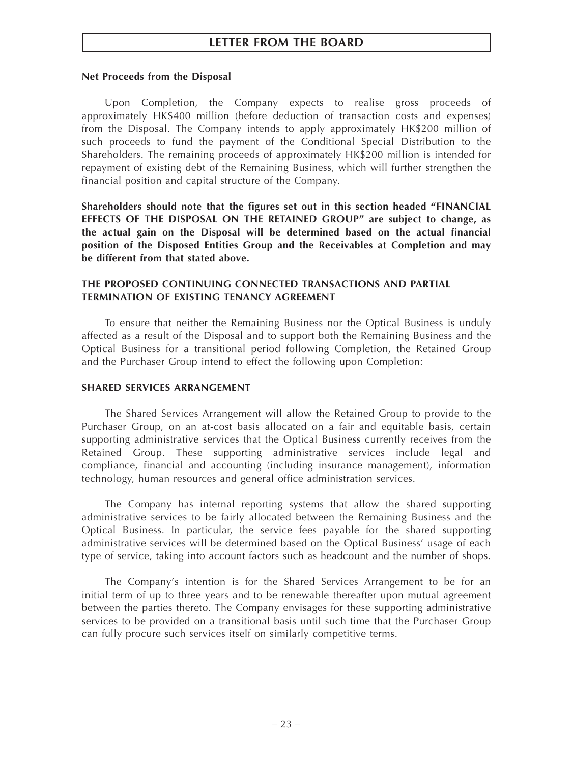#### **Net Proceeds from the Disposal**

Upon Completion, the Company expects to realise gross proceeds of approximately HK\$400 million (before deduction of transaction costs and expenses) from the Disposal. The Company intends to apply approximately HK\$200 million of such proceeds to fund the payment of the Conditional Special Distribution to the Shareholders. The remaining proceeds of approximately HK\$200 million is intended for repayment of existing debt of the Remaining Business, which will further strengthen the financial position and capital structure of the Company.

**Shareholders should note that the figures set out in this section headed "FINANCIAL EFFECTS OF THE DISPOSAL ON THE RETAINED GROUP" are subject to change, as the actual gain on the Disposal will be determined based on the actual financial position of the Disposed Entities Group and the Receivables at Completion and may be different from that stated above.**

# **THE PROPOSED CONTINUING CONNECTED TRANSACTIONS AND PARTIAL TERMINATION OF EXISTING TENANCY AGREEMENT**

To ensure that neither the Remaining Business nor the Optical Business is unduly affected as a result of the Disposal and to support both the Remaining Business and the Optical Business for a transitional period following Completion, the Retained Group and the Purchaser Group intend to effect the following upon Completion:

## **SHARED SERVICES ARRANGEMENT**

The Shared Services Arrangement will allow the Retained Group to provide to the Purchaser Group, on an at-cost basis allocated on a fair and equitable basis, certain supporting administrative services that the Optical Business currently receives from the Retained Group. These supporting administrative services include legal and compliance, financial and accounting (including insurance management), information technology, human resources and general office administration services.

The Company has internal reporting systems that allow the shared supporting administrative services to be fairly allocated between the Remaining Business and the Optical Business. In particular, the service fees payable for the shared supporting administrative services will be determined based on the Optical Business' usage of each type of service, taking into account factors such as headcount and the number of shops.

The Company's intention is for the Shared Services Arrangement to be for an initial term of up to three years and to be renewable thereafter upon mutual agreement between the parties thereto. The Company envisages for these supporting administrative services to be provided on a transitional basis until such time that the Purchaser Group can fully procure such services itself on similarly competitive terms.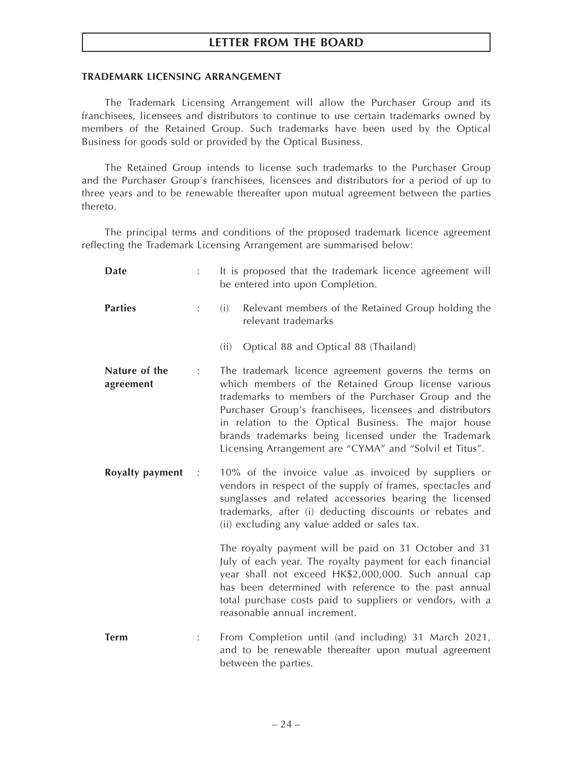# **TRADEMARK LICENSING ARRANGEMENT**

The Trademark Licensing Arrangement will allow the Purchaser Group and its franchisees, licensees and distributors to continue to use certain trademarks owned by members of the Retained Group. Such trademarks have been used by the Optical Business for goods sold or provided by the Optical Business.

The Retained Group intends to license such trademarks to the Purchaser Group and the Purchaser Group's franchisees, licensees and distributors for a period of up to three years and to be renewable thereafter upon mutual agreement between the parties thereto.

The principal terms and conditions of the proposed trademark licence agreement reflecting the Trademark Licensing Arrangement are summarised below:

| Date                       |                      | It is proposed that the trademark licence agreement will<br>be entered into upon Completion.                                                                                                                                                                                                                                                                                                                |  |  |
|----------------------------|----------------------|-------------------------------------------------------------------------------------------------------------------------------------------------------------------------------------------------------------------------------------------------------------------------------------------------------------------------------------------------------------------------------------------------------------|--|--|
| <b>Parties</b>             | ÷                    | (i)<br>Relevant members of the Retained Group holding the<br>relevant trademarks                                                                                                                                                                                                                                                                                                                            |  |  |
|                            |                      | Optical 88 and Optical 88 (Thailand)<br>(ii)                                                                                                                                                                                                                                                                                                                                                                |  |  |
| Nature of the<br>agreement | :                    | The trademark licence agreement governs the terms on<br>which members of the Retained Group license various<br>trademarks to members of the Purchaser Group and the<br>Purchaser Group's franchisees, licensees and distributors<br>in relation to the Optical Business. The major house<br>brands trademarks being licensed under the Trademark<br>Licensing Arrangement are "CYMA" and "Solvil et Titus". |  |  |
| Royalty payment            | $\ddot{\phantom{1}}$ | 10% of the invoice value as invoiced by suppliers or<br>vendors in respect of the supply of frames, spectacles and<br>sunglasses and related accessories bearing the licensed<br>trademarks, after (i) deducting discounts or rebates and<br>(ii) excluding any value added or sales tax.                                                                                                                   |  |  |
|                            |                      | The royalty payment will be paid on 31 October and 31<br>July of each year. The royalty payment for each financial<br>year shall not exceed HK\$2,000,000. Such annual cap<br>has been determined with reference to the past annual<br>total purchase costs paid to suppliers or vendors, with a<br>reasonable annual increment.                                                                            |  |  |
| <b>Term</b>                |                      | From Completion until (and including) 31 March 2021,<br>and to be renewable thereafter upon mutual agreement<br>between the parties.                                                                                                                                                                                                                                                                        |  |  |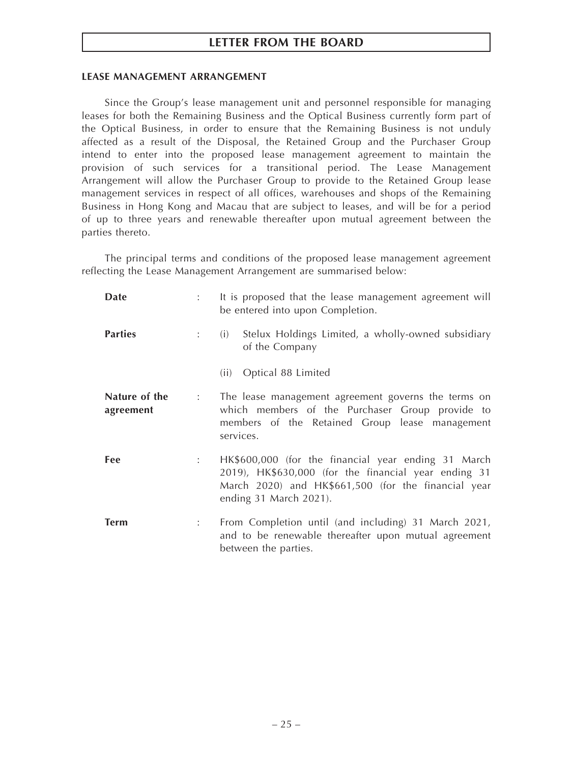#### **LEASE MANAGEMENT ARRANGEMENT**

Since the Group's lease management unit and personnel responsible for managing leases for both the Remaining Business and the Optical Business currently form part of the Optical Business, in order to ensure that the Remaining Business is not unduly affected as a result of the Disposal, the Retained Group and the Purchaser Group intend to enter into the proposed lease management agreement to maintain the provision of such services for a transitional period. The Lease Management Arrangement will allow the Purchaser Group to provide to the Retained Group lease management services in respect of all offices, warehouses and shops of the Remaining Business in Hong Kong and Macau that are subject to leases, and will be for a period of up to three years and renewable thereafter upon mutual agreement between the parties thereto.

The principal terms and conditions of the proposed lease management agreement reflecting the Lease Management Arrangement are summarised below:

| Date                       |                                                             | It is proposed that the lease management agreement will<br>be entered into upon Completion.                                                                                                  |
|----------------------------|-------------------------------------------------------------|----------------------------------------------------------------------------------------------------------------------------------------------------------------------------------------------|
| <b>Parties</b>             |                                                             | Stelux Holdings Limited, a wholly-owned subsidiary<br>(i)<br>of the Company                                                                                                                  |
|                            |                                                             | Optical 88 Limited<br>(ii)                                                                                                                                                                   |
| Nature of the<br>agreement | $\mathcal{I}^{\mathcal{I}}$ , $\mathcal{I}^{\mathcal{I}}$ , | The lease management agreement governs the terms on<br>which members of the Purchaser Group provide to<br>members of the Retained Group lease management<br>services.                        |
| Fee                        |                                                             | HK\$600,000 (for the financial year ending 31 March<br>2019), HK\$630,000 (for the financial year ending 31<br>March 2020) and HK\$661,500 (for the financial year<br>ending 31 March 2021). |
| <b>Term</b>                |                                                             | From Completion until (and including) 31 March 2021,<br>and to be renewable thereafter upon mutual agreement<br>between the parties.                                                         |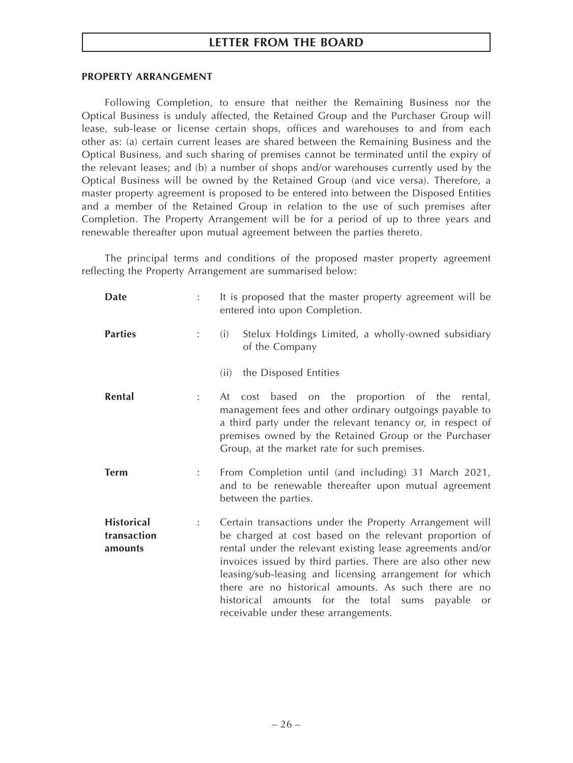#### **PROPERTY ARRANGEMENT**

Following Completion, to ensure that neither the Remaining Business nor the Optical Business is unduly affected, the Retained Group and the Purchaser Group will lease, sub-lease or license certain shops, offices and warehouses to and from each other as: (a) certain current leases are shared between the Remaining Business and the Optical Business, and such sharing of premises cannot be terminated until the expiry of the relevant leases; and (b) a number of shops and/or warehouses currently used by the Optical Business will be owned by the Retained Group (and vice versa). Therefore, a master property agreement is proposed to be entered into between the Disposed Entities and a member of the Retained Group in relation to the use of such premises after Completion. The Property Arrangement will be for a period of up to three years and renewable thereafter upon mutual agreement between the parties thereto.

The principal terms and conditions of the proposed master property agreement reflecting the Property Arrangement are summarised below:

| Date                                        |   | It is proposed that the master property agreement will be<br>entered into upon Completion.                                                                                                                                                                                                                                                                                                                                                                        |
|---------------------------------------------|---|-------------------------------------------------------------------------------------------------------------------------------------------------------------------------------------------------------------------------------------------------------------------------------------------------------------------------------------------------------------------------------------------------------------------------------------------------------------------|
| <b>Parties</b>                              |   | Stelux Holdings Limited, a wholly-owned subsidiary<br>(i)<br>of the Company                                                                                                                                                                                                                                                                                                                                                                                       |
|                                             |   | the Disposed Entities<br>(ii)                                                                                                                                                                                                                                                                                                                                                                                                                                     |
| Rental                                      |   | cost based on the proportion of the rental,<br>At<br>management fees and other ordinary outgoings payable to<br>a third party under the relevant tenancy or, in respect of<br>premises owned by the Retained Group or the Purchaser<br>Group, at the market rate for such premises.                                                                                                                                                                               |
| <b>Term</b>                                 |   | From Completion until (and including) 31 March 2021,<br>and to be renewable thereafter upon mutual agreement<br>between the parties.                                                                                                                                                                                                                                                                                                                              |
| <b>Historical</b><br>transaction<br>amounts | ÷ | Certain transactions under the Property Arrangement will<br>be charged at cost based on the relevant proportion of<br>rental under the relevant existing lease agreements and/or<br>invoices issued by third parties. There are also other new<br>leasing/sub-leasing and licensing arrangement for which<br>there are no historical amounts. As such there are no<br>historical amounts for the total sums payable<br>or<br>receivable under these arrangements. |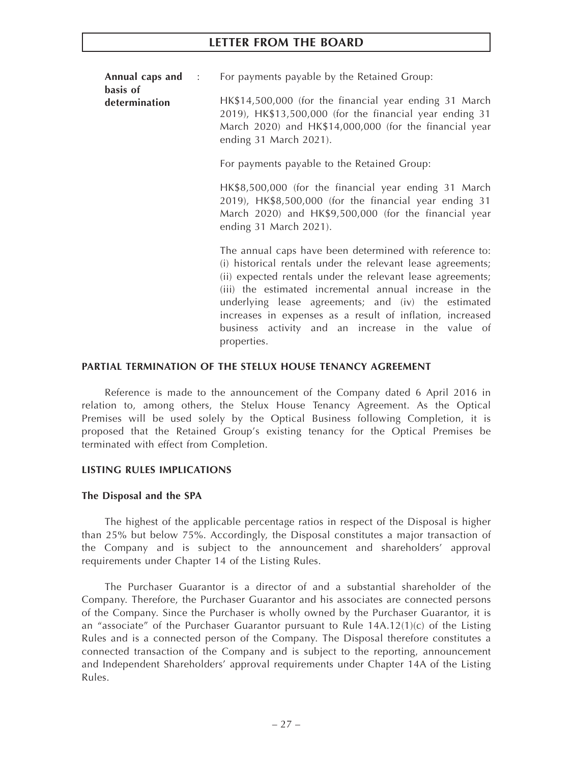**Annual caps and** : For payments payable by the Retained Group:

**determination** HK\$14,500,000 (for the financial year ending 31 March 2019), HK\$13,500,000 (for the financial year ending 31 March 2020) and HK\$14,000,000 (for the financial year ending 31 March 2021).

For payments payable to the Retained Group:

HK\$8,500,000 (for the financial year ending 31 March 2019), HK\$8,500,000 (for the financial year ending 31 March 2020) and HK\$9,500,000 (for the financial year ending 31 March 2021).

The annual caps have been determined with reference to: (i) historical rentals under the relevant lease agreements; (ii) expected rentals under the relevant lease agreements; (iii) the estimated incremental annual increase in the underlying lease agreements; and (iv) the estimated increases in expenses as a result of inflation, increased business activity and an increase in the value of properties.

#### **PARTIAL TERMINATION OF THE STELUX HOUSE TENANCY AGREEMENT**

Reference is made to the announcement of the Company dated 6 April 2016 in relation to, among others, the Stelux House Tenancy Agreement. As the Optical Premises will be used solely by the Optical Business following Completion, it is proposed that the Retained Group's existing tenancy for the Optical Premises be terminated with effect from Completion.

## **LISTING RULES IMPLICATIONS**

## **The Disposal and the SPA**

**basis of**

The highest of the applicable percentage ratios in respect of the Disposal is higher than 25% but below 75%. Accordingly, the Disposal constitutes a major transaction of the Company and is subject to the announcement and shareholders' approval requirements under Chapter 14 of the Listing Rules.

The Purchaser Guarantor is a director of and a substantial shareholder of the Company. Therefore, the Purchaser Guarantor and his associates are connected persons of the Company. Since the Purchaser is wholly owned by the Purchaser Guarantor, it is an "associate" of the Purchaser Guarantor pursuant to Rule  $14A.12(1)(c)$  of the Listing Rules and is a connected person of the Company. The Disposal therefore constitutes a connected transaction of the Company and is subject to the reporting, announcement and Independent Shareholders' approval requirements under Chapter 14A of the Listing Rules.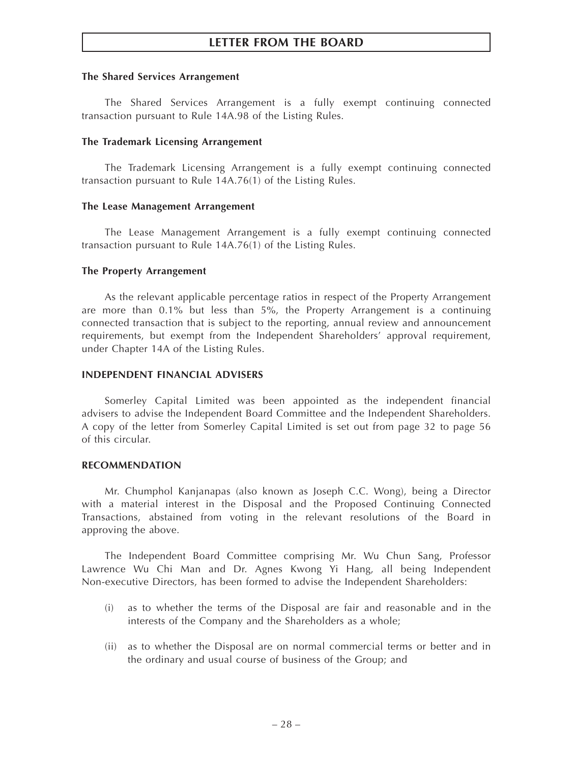#### **The Shared Services Arrangement**

The Shared Services Arrangement is a fully exempt continuing connected transaction pursuant to Rule 14A.98 of the Listing Rules.

#### **The Trademark Licensing Arrangement**

The Trademark Licensing Arrangement is a fully exempt continuing connected transaction pursuant to Rule 14A.76(1) of the Listing Rules.

#### **The Lease Management Arrangement**

The Lease Management Arrangement is a fully exempt continuing connected transaction pursuant to Rule 14A.76(1) of the Listing Rules.

#### **The Property Arrangement**

As the relevant applicable percentage ratios in respect of the Property Arrangement are more than 0.1% but less than 5%, the Property Arrangement is a continuing connected transaction that is subject to the reporting, annual review and announcement requirements, but exempt from the Independent Shareholders' approval requirement, under Chapter 14A of the Listing Rules.

### **INDEPENDENT FINANCIAL ADVISERS**

Somerley Capital Limited was been appointed as the independent financial advisers to advise the Independent Board Committee and the Independent Shareholders. A copy of the letter from Somerley Capital Limited is set out from page 32 to page 56 of this circular.

#### **RECOMMENDATION**

Mr. Chumphol Kanjanapas (also known as Joseph C.C. Wong), being a Director with a material interest in the Disposal and the Proposed Continuing Connected Transactions, abstained from voting in the relevant resolutions of the Board in approving the above.

The Independent Board Committee comprising Mr. Wu Chun Sang, Professor Lawrence Wu Chi Man and Dr. Agnes Kwong Yi Hang, all being Independent Non-executive Directors, has been formed to advise the Independent Shareholders:

- (i) as to whether the terms of the Disposal are fair and reasonable and in the interests of the Company and the Shareholders as a whole;
- (ii) as to whether the Disposal are on normal commercial terms or better and in the ordinary and usual course of business of the Group; and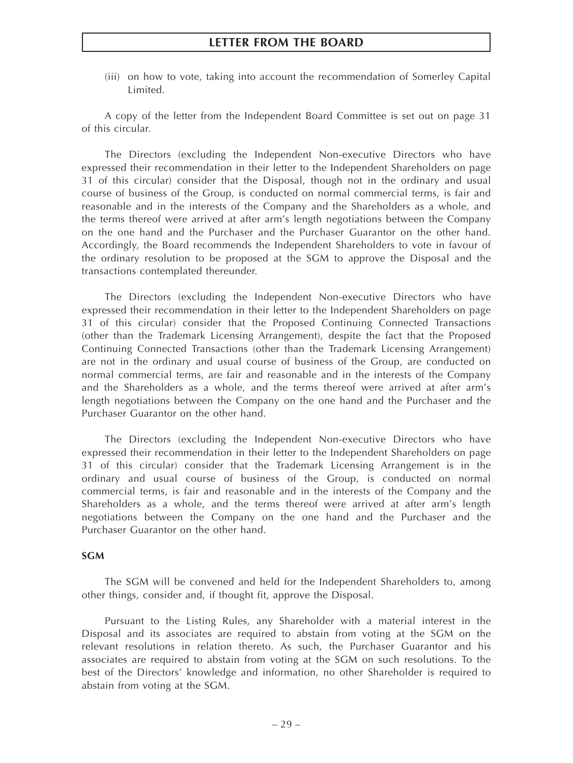(iii) on how to vote, taking into account the recommendation of Somerley Capital Limited.

A copy of the letter from the Independent Board Committee is set out on page 31 of this circular.

The Directors (excluding the Independent Non-executive Directors who have expressed their recommendation in their letter to the Independent Shareholders on page 31 of this circular) consider that the Disposal, though not in the ordinary and usual course of business of the Group, is conducted on normal commercial terms, is fair and reasonable and in the interests of the Company and the Shareholders as a whole, and the terms thereof were arrived at after arm's length negotiations between the Company on the one hand and the Purchaser and the Purchaser Guarantor on the other hand. Accordingly, the Board recommends the Independent Shareholders to vote in favour of the ordinary resolution to be proposed at the SGM to approve the Disposal and the transactions contemplated thereunder.

The Directors (excluding the Independent Non-executive Directors who have expressed their recommendation in their letter to the Independent Shareholders on page 31 of this circular) consider that the Proposed Continuing Connected Transactions (other than the Trademark Licensing Arrangement), despite the fact that the Proposed Continuing Connected Transactions (other than the Trademark Licensing Arrangement) are not in the ordinary and usual course of business of the Group, are conducted on normal commercial terms, are fair and reasonable and in the interests of the Company and the Shareholders as a whole, and the terms thereof were arrived at after arm's length negotiations between the Company on the one hand and the Purchaser and the Purchaser Guarantor on the other hand.

The Directors (excluding the Independent Non-executive Directors who have expressed their recommendation in their letter to the Independent Shareholders on page 31 of this circular) consider that the Trademark Licensing Arrangement is in the ordinary and usual course of business of the Group, is conducted on normal commercial terms, is fair and reasonable and in the interests of the Company and the Shareholders as a whole, and the terms thereof were arrived at after arm's length negotiations between the Company on the one hand and the Purchaser and the Purchaser Guarantor on the other hand.

#### **SGM**

The SGM will be convened and held for the Independent Shareholders to, among other things, consider and, if thought fit, approve the Disposal.

Pursuant to the Listing Rules, any Shareholder with a material interest in the Disposal and its associates are required to abstain from voting at the SGM on the relevant resolutions in relation thereto. As such, the Purchaser Guarantor and his associates are required to abstain from voting at the SGM on such resolutions. To the best of the Directors' knowledge and information, no other Shareholder is required to abstain from voting at the SGM.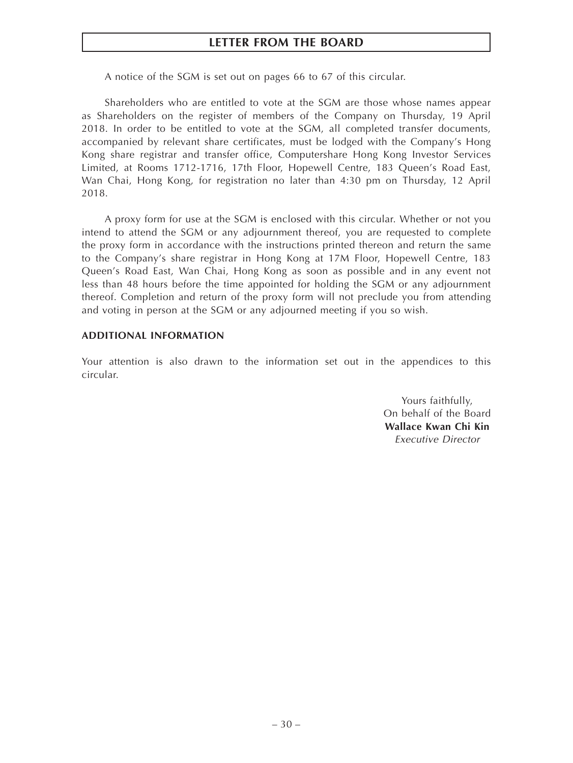A notice of the SGM is set out on pages 66 to 67 of this circular.

Shareholders who are entitled to vote at the SGM are those whose names appear as Shareholders on the register of members of the Company on Thursday, 19 April 2018. In order to be entitled to vote at the SGM, all completed transfer documents, accompanied by relevant share certificates, must be lodged with the Company's Hong Kong share registrar and transfer office, Computershare Hong Kong Investor Services Limited, at Rooms 1712-1716, 17th Floor, Hopewell Centre, 183 Queen's Road East, Wan Chai, Hong Kong, for registration no later than 4:30 pm on Thursday, 12 April 2018.

A proxy form for use at the SGM is enclosed with this circular. Whether or not you intend to attend the SGM or any adjournment thereof, you are requested to complete the proxy form in accordance with the instructions printed thereon and return the same to the Company's share registrar in Hong Kong at 17M Floor, Hopewell Centre, 183 Queen's Road East, Wan Chai, Hong Kong as soon as possible and in any event not less than 48 hours before the time appointed for holding the SGM or any adjournment thereof. Completion and return of the proxy form will not preclude you from attending and voting in person at the SGM or any adjourned meeting if you so wish.

#### **ADDITIONAL INFORMATION**

Your attention is also drawn to the information set out in the appendices to this circular.

> Yours faithfully, On behalf of the Board **Wallace Kwan Chi Kin** *Executive Director*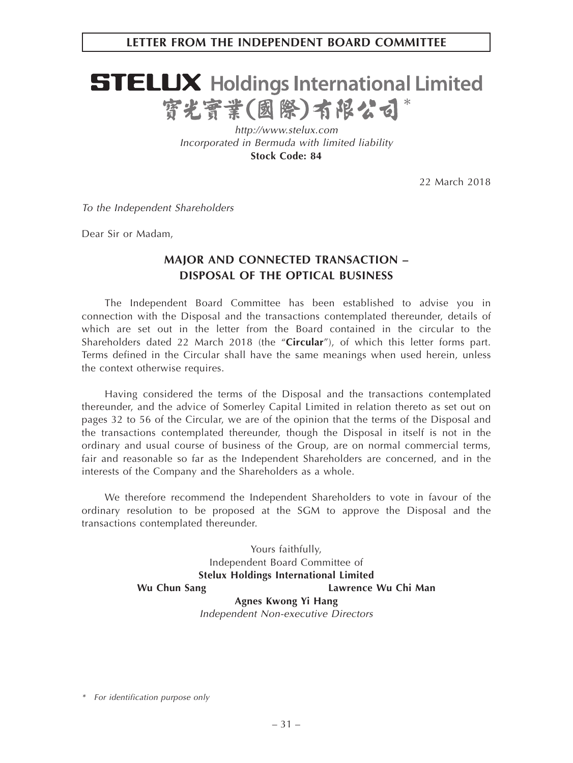# **LETTER FROM THE INDEPENDENT BOARD COMMITTEE**

# **STELUX** Holdings International Limited 寳光寳業(國際)有限公司\*

*http://www.stelux.com Incorporated in Bermuda with limited liability* **Stock Code: 84**

22 March 2018

*To the Independent Shareholders*

Dear Sir or Madam,

# **MAJOR AND CONNECTED TRANSACTION – DISPOSAL OF THE OPTICAL BUSINESS**

The Independent Board Committee has been established to advise you in connection with the Disposal and the transactions contemplated thereunder, details of which are set out in the letter from the Board contained in the circular to the Shareholders dated 22 March 2018 (the "**Circular**"), of which this letter forms part. Terms defined in the Circular shall have the same meanings when used herein, unless the context otherwise requires.

Having considered the terms of the Disposal and the transactions contemplated thereunder, and the advice of Somerley Capital Limited in relation thereto as set out on pages 32 to 56 of the Circular, we are of the opinion that the terms of the Disposal and the transactions contemplated thereunder, though the Disposal in itself is not in the ordinary and usual course of business of the Group, are on normal commercial terms, fair and reasonable so far as the Independent Shareholders are concerned, and in the interests of the Company and the Shareholders as a whole.

We therefore recommend the Independent Shareholders to vote in favour of the ordinary resolution to be proposed at the SGM to approve the Disposal and the transactions contemplated thereunder.

> Yours faithfully, Independent Board Committee of **Stelux Holdings International Limited** Wu Chun Sang **Lawrence Wu Chi Man Agnes Kwong Yi Hang** *Independent Non-executive Directors*

*\* For identification purpose only*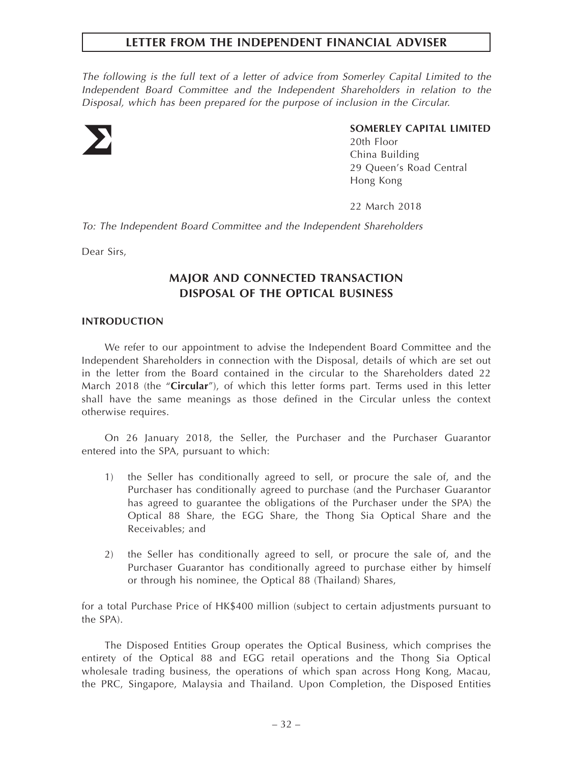*The following is the full text of a letter of advice from Somerley Capital Limited to the Independent Board Committee and the Independent Shareholders in relation to the Disposal, which has been prepared for the purpose of inclusion in the Circular.*



# **SOMERLEY CAPITAL LIMITED**

20th Floor China Building 29 Queen's Road Central Hong Kong

22 March 2018

*To: The Independent Board Committee and the Independent Shareholders*

Dear Sirs,

# **MAJOR AND CONNECTED TRANSACTION DISPOSAL OF THE OPTICAL BUSINESS**

#### **INTRODUCTION**

We refer to our appointment to advise the Independent Board Committee and the Independent Shareholders in connection with the Disposal, details of which are set out in the letter from the Board contained in the circular to the Shareholders dated 22 March 2018 (the "**Circular**"), of which this letter forms part. Terms used in this letter shall have the same meanings as those defined in the Circular unless the context otherwise requires.

On 26 January 2018, the Seller, the Purchaser and the Purchaser Guarantor entered into the SPA, pursuant to which:

- 1) the Seller has conditionally agreed to sell, or procure the sale of, and the Purchaser has conditionally agreed to purchase (and the Purchaser Guarantor has agreed to guarantee the obligations of the Purchaser under the SPA) the Optical 88 Share, the EGG Share, the Thong Sia Optical Share and the Receivables; and
- 2) the Seller has conditionally agreed to sell, or procure the sale of, and the Purchaser Guarantor has conditionally agreed to purchase either by himself or through his nominee, the Optical 88 (Thailand) Shares,

for a total Purchase Price of HK\$400 million (subject to certain adjustments pursuant to the SPA).

The Disposed Entities Group operates the Optical Business, which comprises the entirety of the Optical 88 and EGG retail operations and the Thong Sia Optical wholesale trading business, the operations of which span across Hong Kong, Macau, the PRC, Singapore, Malaysia and Thailand. Upon Completion, the Disposed Entities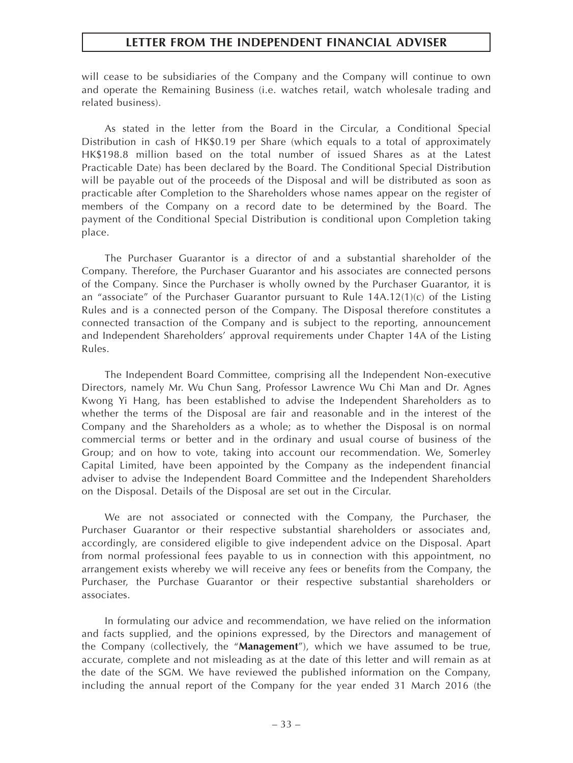will cease to be subsidiaries of the Company and the Company will continue to own and operate the Remaining Business (i.e. watches retail, watch wholesale trading and related business).

As stated in the letter from the Board in the Circular, a Conditional Special Distribution in cash of HK\$0.19 per Share (which equals to a total of approximately HK\$198.8 million based on the total number of issued Shares as at the Latest Practicable Date) has been declared by the Board. The Conditional Special Distribution will be payable out of the proceeds of the Disposal and will be distributed as soon as practicable after Completion to the Shareholders whose names appear on the register of members of the Company on a record date to be determined by the Board. The payment of the Conditional Special Distribution is conditional upon Completion taking place.

The Purchaser Guarantor is a director of and a substantial shareholder of the Company. Therefore, the Purchaser Guarantor and his associates are connected persons of the Company. Since the Purchaser is wholly owned by the Purchaser Guarantor, it is an "associate" of the Purchaser Guarantor pursuant to Rule 14A.12(1)(c) of the Listing Rules and is a connected person of the Company. The Disposal therefore constitutes a connected transaction of the Company and is subject to the reporting, announcement and Independent Shareholders' approval requirements under Chapter 14A of the Listing Rules.

The Independent Board Committee, comprising all the Independent Non-executive Directors, namely Mr. Wu Chun Sang, Professor Lawrence Wu Chi Man and Dr. Agnes Kwong Yi Hang, has been established to advise the Independent Shareholders as to whether the terms of the Disposal are fair and reasonable and in the interest of the Company and the Shareholders as a whole; as to whether the Disposal is on normal commercial terms or better and in the ordinary and usual course of business of the Group; and on how to vote, taking into account our recommendation. We, Somerley Capital Limited, have been appointed by the Company as the independent financial adviser to advise the Independent Board Committee and the Independent Shareholders on the Disposal. Details of the Disposal are set out in the Circular.

We are not associated or connected with the Company, the Purchaser, the Purchaser Guarantor or their respective substantial shareholders or associates and, accordingly, are considered eligible to give independent advice on the Disposal. Apart from normal professional fees payable to us in connection with this appointment, no arrangement exists whereby we will receive any fees or benefits from the Company, the Purchaser, the Purchase Guarantor or their respective substantial shareholders or associates.

In formulating our advice and recommendation, we have relied on the information and facts supplied, and the opinions expressed, by the Directors and management of the Company (collectively, the "**Management**"), which we have assumed to be true, accurate, complete and not misleading as at the date of this letter and will remain as at the date of the SGM. We have reviewed the published information on the Company, including the annual report of the Company for the year ended 31 March 2016 (the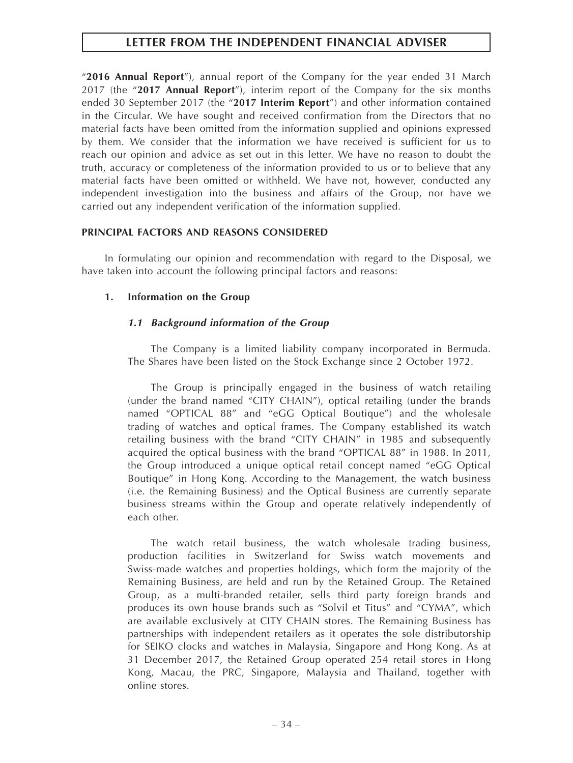"**2016 Annual Report**"), annual report of the Company for the year ended 31 March 2017 (the "**2017 Annual Report**"), interim report of the Company for the six months ended 30 September 2017 (the "**2017 Interim Report**") and other information contained in the Circular. We have sought and received confirmation from the Directors that no material facts have been omitted from the information supplied and opinions expressed by them. We consider that the information we have received is sufficient for us to reach our opinion and advice as set out in this letter. We have no reason to doubt the truth, accuracy or completeness of the information provided to us or to believe that any material facts have been omitted or withheld. We have not, however, conducted any independent investigation into the business and affairs of the Group, nor have we carried out any independent verification of the information supplied.

# **PRINCIPAL FACTORS AND REASONS CONSIDERED**

In formulating our opinion and recommendation with regard to the Disposal, we have taken into account the following principal factors and reasons:

# **1. Information on the Group**

# *1.1 Background information of the Group*

The Company is a limited liability company incorporated in Bermuda. The Shares have been listed on the Stock Exchange since 2 October 1972.

The Group is principally engaged in the business of watch retailing (under the brand named "CITY CHAIN"), optical retailing (under the brands named "OPTICAL 88" and "eGG Optical Boutique") and the wholesale trading of watches and optical frames. The Company established its watch retailing business with the brand "CITY CHAIN" in 1985 and subsequently acquired the optical business with the brand "OPTICAL 88" in 1988. In 2011, the Group introduced a unique optical retail concept named "eGG Optical Boutique" in Hong Kong. According to the Management, the watch business (i.e. the Remaining Business) and the Optical Business are currently separate business streams within the Group and operate relatively independently of each other.

The watch retail business, the watch wholesale trading business, production facilities in Switzerland for Swiss watch movements and Swiss-made watches and properties holdings, which form the majority of the Remaining Business, are held and run by the Retained Group. The Retained Group, as a multi-branded retailer, sells third party foreign brands and produces its own house brands such as "Solvil et Titus" and "CYMA", which are available exclusively at CITY CHAIN stores. The Remaining Business has partnerships with independent retailers as it operates the sole distributorship for SEIKO clocks and watches in Malaysia, Singapore and Hong Kong. As at 31 December 2017, the Retained Group operated 254 retail stores in Hong Kong, Macau, the PRC, Singapore, Malaysia and Thailand, together with online stores.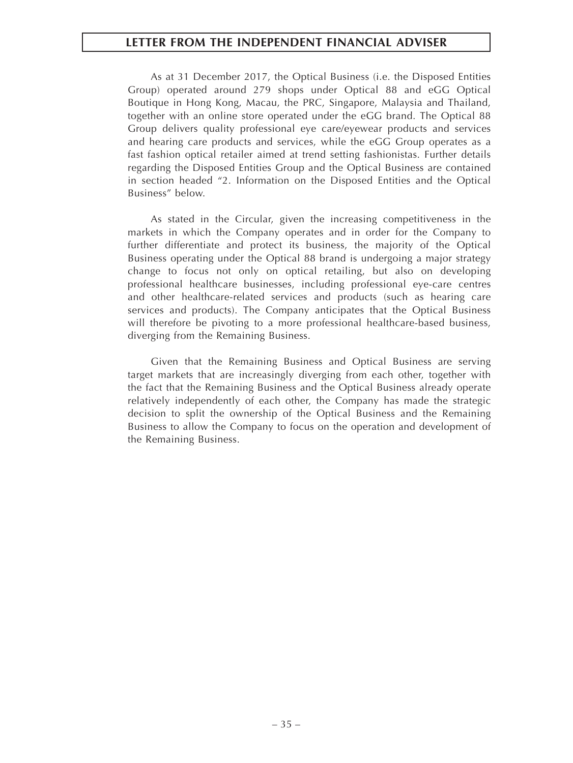As at 31 December 2017, the Optical Business (i.e. the Disposed Entities Group) operated around 279 shops under Optical 88 and eGG Optical Boutique in Hong Kong, Macau, the PRC, Singapore, Malaysia and Thailand, together with an online store operated under the eGG brand. The Optical 88 Group delivers quality professional eye care/eyewear products and services and hearing care products and services, while the eGG Group operates as a fast fashion optical retailer aimed at trend setting fashionistas. Further details regarding the Disposed Entities Group and the Optical Business are contained in section headed "2. Information on the Disposed Entities and the Optical Business" below.

As stated in the Circular, given the increasing competitiveness in the markets in which the Company operates and in order for the Company to further differentiate and protect its business, the majority of the Optical Business operating under the Optical 88 brand is undergoing a major strategy change to focus not only on optical retailing, but also on developing professional healthcare businesses, including professional eye-care centres and other healthcare-related services and products (such as hearing care services and products). The Company anticipates that the Optical Business will therefore be pivoting to a more professional healthcare-based business, diverging from the Remaining Business.

Given that the Remaining Business and Optical Business are serving target markets that are increasingly diverging from each other, together with the fact that the Remaining Business and the Optical Business already operate relatively independently of each other, the Company has made the strategic decision to split the ownership of the Optical Business and the Remaining Business to allow the Company to focus on the operation and development of the Remaining Business.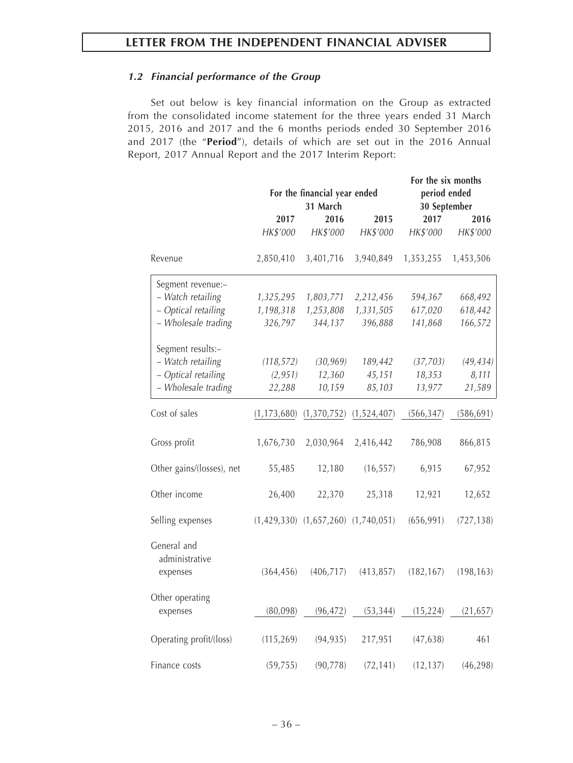# *1.2 Financial performance of the Group*

Set out below is key financial information on the Group as extracted from the consolidated income statement for the three years ended 31 March 2015, 2016 and 2017 and the 6 months periods ended 30 September 2016 and 2017 (the "**Period**"), details of which are set out in the 2016 Annual Report, 2017 Annual Report and the 2017 Interim Report:

|                                           | For the financial year ended<br>31 March |                                           |             | For the six months<br>period ended<br>30 September |            |  |
|-------------------------------------------|------------------------------------------|-------------------------------------------|-------------|----------------------------------------------------|------------|--|
|                                           | 2017                                     | 2016                                      | 2015        | 2017                                               | 2016       |  |
|                                           | HK\$'000                                 | HK\$'000                                  | HK\$'000    | HK\$'000                                           | HK\$'000   |  |
| Revenue                                   | 2,850,410                                | 3,401,716                                 | 3,940,849   | 1,353,255                                          | 1,453,506  |  |
| Segment revenue:-                         |                                          |                                           |             |                                                    |            |  |
| - Watch retailing                         | 1,325,295                                | 1,803,771                                 | 2,212,456   | 594,367                                            | 668,492    |  |
| - Optical retailing                       | 1,198,318                                | 1,253,808                                 | 1,331,505   | 617,020                                            | 618,442    |  |
| - Wholesale trading                       | 326,797                                  | 344,137                                   | 396,888     | 141,868                                            | 166,572    |  |
| Segment results:-                         |                                          |                                           |             |                                                    |            |  |
| - Watch retailing                         | (118, 572)                               | (30, 969)                                 | 189,442     | (37, 703)                                          | (49, 434)  |  |
| - Optical retailing                       | (2, 951)                                 | 12,360                                    | 45,151      | 18,353                                             | 8,111      |  |
| - Wholesale trading                       | 22,288                                   | 10,159                                    | 85,103      | 13,977                                             | 21,589     |  |
| Cost of sales                             | (1, 173, 680)                            | (1, 370, 752)                             | (1,524,407) | (566, 347)                                         | (586, 691) |  |
| Gross profit                              | 1,676,730                                | 2,030,964                                 | 2,416,442   | 786,908                                            | 866,815    |  |
| Other gains/(losses), net                 | 55,485                                   | 12,180                                    | (16, 557)   | 6,915                                              | 67,952     |  |
| Other income                              | 26,400                                   | 22,370                                    | 25,318      | 12,921                                             | 12,652     |  |
| Selling expenses                          |                                          | $(1,429,330)$ $(1,657,260)$ $(1,740,051)$ |             | (656, 991)                                         | (727, 138) |  |
| General and<br>administrative<br>expenses | (364, 456)                               | (406, 717)                                | (413, 857)  | (182, 167)                                         | (198, 163) |  |
|                                           |                                          |                                           |             |                                                    |            |  |
| Other operating<br>expenses               | (80,098)                                 | (96, 472)                                 | (53, 344)   | (15, 224)                                          | (21, 657)  |  |
|                                           |                                          |                                           |             |                                                    |            |  |
| Operating profit/(loss)                   | (115, 269)                               | (94, 935)                                 | 217,951     | (47, 638)                                          | 461        |  |
| Finance costs                             | (59, 755)                                | (90, 778)                                 | (72, 141)   | (12, 137)                                          | (46, 298)  |  |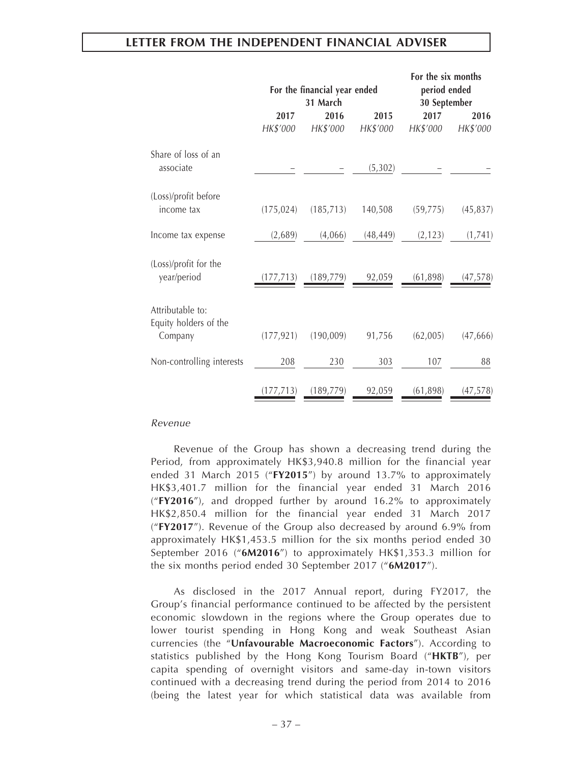|                                                      |                  | For the financial year ended<br>31 March |                  | For the six months<br>period ended<br>30 September |                  |
|------------------------------------------------------|------------------|------------------------------------------|------------------|----------------------------------------------------|------------------|
|                                                      | 2017<br>HK\$'000 | 2016<br>HK\$'000                         | 2015<br>HK\$'000 | 2017<br>HK\$'000                                   | 2016<br>HK\$'000 |
| Share of loss of an<br>associate                     |                  |                                          | (5, 302)         |                                                    |                  |
| (Loss)/profit before<br>income tax                   | (175, 024)       | (185, 713)                               | 140,508          | (59, 775)                                          | (45, 837)        |
| Income tax expense                                   | (2,689)          | (4,066)                                  | (48, 449)        | (2, 123)                                           | (1,741)          |
| (Loss)/profit for the<br>year/period                 | (177, 713)       | (189, 779)                               | 92,059           | (61,898)                                           | (47, 578)        |
| Attributable to:<br>Equity holders of the<br>Company | (177, 921)       | (190,009)                                | 91,756           | (62,005)                                           | (47, 666)        |
| Non-controlling interests                            | 208              | 230                                      | 303              | 107                                                | 88               |
|                                                      | (177, 713)       | (189, 779)                               | 92,059           | (61, 898)                                          | (47, 578)        |

#### *Revenue*

Revenue of the Group has shown a decreasing trend during the Period, from approximately HK\$3,940.8 million for the financial year ended 31 March 2015 ("**FY2015**") by around 13.7% to approximately HK\$3,401.7 million for the financial year ended 31 March 2016 ("**FY2016**"), and dropped further by around 16.2% to approximately HK\$2,850.4 million for the financial year ended 31 March 2017 ("**FY2017**"). Revenue of the Group also decreased by around 6.9% from approximately HK\$1,453.5 million for the six months period ended 30 September 2016 ("**6M2016**") to approximately HK\$1,353.3 million for the six months period ended 30 September 2017 ("**6M2017**").

As disclosed in the 2017 Annual report, during FY2017, the Group's financial performance continued to be affected by the persistent economic slowdown in the regions where the Group operates due to lower tourist spending in Hong Kong and weak Southeast Asian currencies (the "**Unfavourable Macroeconomic Factors**"). According to statistics published by the Hong Kong Tourism Board ("**HKTB**"), per capita spending of overnight visitors and same-day in-town visitors continued with a decreasing trend during the period from 2014 to 2016 (being the latest year for which statistical data was available from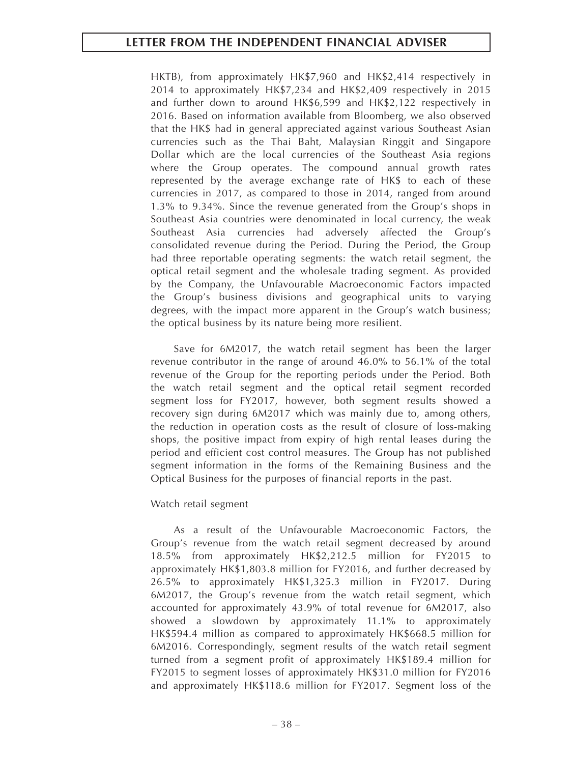HKTB), from approximately HK\$7,960 and HK\$2,414 respectively in 2014 to approximately HK\$7,234 and HK\$2,409 respectively in 2015 and further down to around HK\$6,599 and HK\$2,122 respectively in 2016. Based on information available from Bloomberg, we also observed that the HK\$ had in general appreciated against various Southeast Asian currencies such as the Thai Baht, Malaysian Ringgit and Singapore Dollar which are the local currencies of the Southeast Asia regions where the Group operates. The compound annual growth rates represented by the average exchange rate of HK\$ to each of these currencies in 2017, as compared to those in 2014, ranged from around 1.3% to 9.34%. Since the revenue generated from the Group's shops in Southeast Asia countries were denominated in local currency, the weak Southeast Asia currencies had adversely affected the Group's consolidated revenue during the Period. During the Period, the Group had three reportable operating segments: the watch retail segment, the optical retail segment and the wholesale trading segment. As provided by the Company, the Unfavourable Macroeconomic Factors impacted the Group's business divisions and geographical units to varying degrees, with the impact more apparent in the Group's watch business; the optical business by its nature being more resilient.

Save for 6M2017, the watch retail segment has been the larger revenue contributor in the range of around 46.0% to 56.1% of the total revenue of the Group for the reporting periods under the Period. Both the watch retail segment and the optical retail segment recorded segment loss for FY2017, however, both segment results showed a recovery sign during 6M2017 which was mainly due to, among others, the reduction in operation costs as the result of closure of loss-making shops, the positive impact from expiry of high rental leases during the period and efficient cost control measures. The Group has not published segment information in the forms of the Remaining Business and the Optical Business for the purposes of financial reports in the past.

## Watch retail segment

As a result of the Unfavourable Macroeconomic Factors, the Group's revenue from the watch retail segment decreased by around 18.5% from approximately HK\$2,212.5 million for FY2015 to approximately HK\$1,803.8 million for FY2016, and further decreased by 26.5% to approximately HK\$1,325.3 million in FY2017. During 6M2017, the Group's revenue from the watch retail segment, which accounted for approximately 43.9% of total revenue for 6M2017, also showed a slowdown by approximately 11.1% to approximately HK\$594.4 million as compared to approximately HK\$668.5 million for 6M2016. Correspondingly, segment results of the watch retail segment turned from a segment profit of approximately HK\$189.4 million for FY2015 to segment losses of approximately HK\$31.0 million for FY2016 and approximately HK\$118.6 million for FY2017. Segment loss of the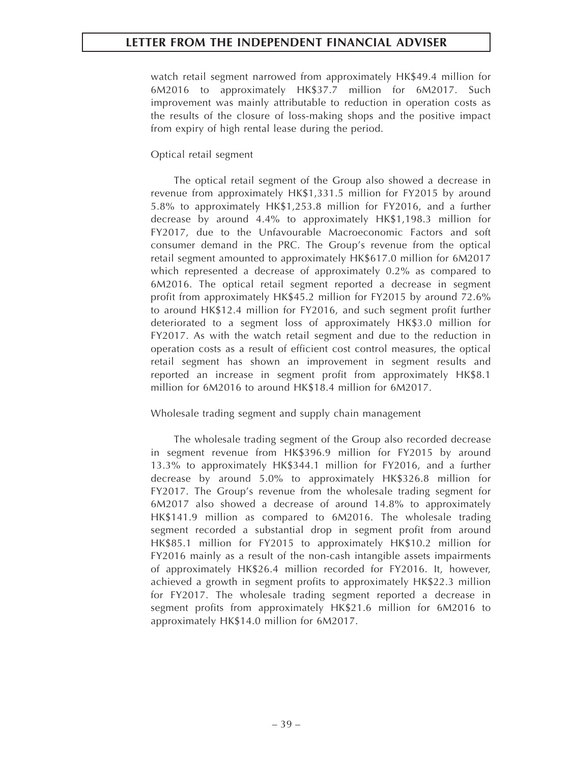watch retail segment narrowed from approximately HK\$49.4 million for 6M2016 to approximately HK\$37.7 million for 6M2017. Such improvement was mainly attributable to reduction in operation costs as the results of the closure of loss-making shops and the positive impact from expiry of high rental lease during the period.

# Optical retail segment

The optical retail segment of the Group also showed a decrease in revenue from approximately HK\$1,331.5 million for FY2015 by around 5.8% to approximately HK\$1,253.8 million for FY2016, and a further decrease by around 4.4% to approximately HK\$1,198.3 million for FY2017, due to the Unfavourable Macroeconomic Factors and soft consumer demand in the PRC. The Group's revenue from the optical retail segment amounted to approximately HK\$617.0 million for 6M2017 which represented a decrease of approximately 0.2% as compared to 6M2016. The optical retail segment reported a decrease in segment profit from approximately HK\$45.2 million for FY2015 by around 72.6% to around HK\$12.4 million for FY2016, and such segment profit further deteriorated to a segment loss of approximately HK\$3.0 million for FY2017. As with the watch retail segment and due to the reduction in operation costs as a result of efficient cost control measures, the optical retail segment has shown an improvement in segment results and reported an increase in segment profit from approximately HK\$8.1 million for 6M2016 to around HK\$18.4 million for 6M2017.

## Wholesale trading segment and supply chain management

The wholesale trading segment of the Group also recorded decrease in segment revenue from HK\$396.9 million for FY2015 by around 13.3% to approximately HK\$344.1 million for FY2016, and a further decrease by around 5.0% to approximately HK\$326.8 million for FY2017. The Group's revenue from the wholesale trading segment for 6M2017 also showed a decrease of around 14.8% to approximately HK\$141.9 million as compared to 6M2016. The wholesale trading segment recorded a substantial drop in segment profit from around HK\$85.1 million for FY2015 to approximately HK\$10.2 million for FY2016 mainly as a result of the non-cash intangible assets impairments of approximately HK\$26.4 million recorded for FY2016. It, however, achieved a growth in segment profits to approximately HK\$22.3 million for FY2017. The wholesale trading segment reported a decrease in segment profits from approximately HK\$21.6 million for 6M2016 to approximately HK\$14.0 million for 6M2017.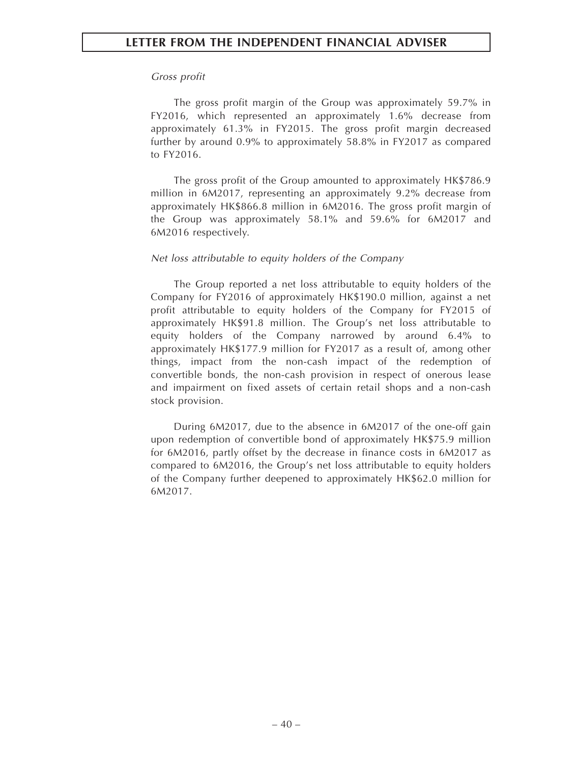#### *Gross profit*

The gross profit margin of the Group was approximately 59.7% in FY2016, which represented an approximately 1.6% decrease from approximately 61.3% in FY2015. The gross profit margin decreased further by around 0.9% to approximately 58.8% in FY2017 as compared to FY2016.

The gross profit of the Group amounted to approximately HK\$786.9 million in 6M2017, representing an approximately 9.2% decrease from approximately HK\$866.8 million in 6M2016. The gross profit margin of the Group was approximately 58.1% and 59.6% for 6M2017 and 6M2016 respectively.

#### *Net loss attributable to equity holders of the Company*

The Group reported a net loss attributable to equity holders of the Company for FY2016 of approximately HK\$190.0 million, against a net profit attributable to equity holders of the Company for FY2015 of approximately HK\$91.8 million. The Group's net loss attributable to equity holders of the Company narrowed by around 6.4% to approximately HK\$177.9 million for FY2017 as a result of, among other things, impact from the non-cash impact of the redemption of convertible bonds, the non-cash provision in respect of onerous lease and impairment on fixed assets of certain retail shops and a non-cash stock provision.

During 6M2017, due to the absence in 6M2017 of the one-off gain upon redemption of convertible bond of approximately HK\$75.9 million for 6M2016, partly offset by the decrease in finance costs in 6M2017 as compared to 6M2016, the Group's net loss attributable to equity holders of the Company further deepened to approximately HK\$62.0 million for 6M2017.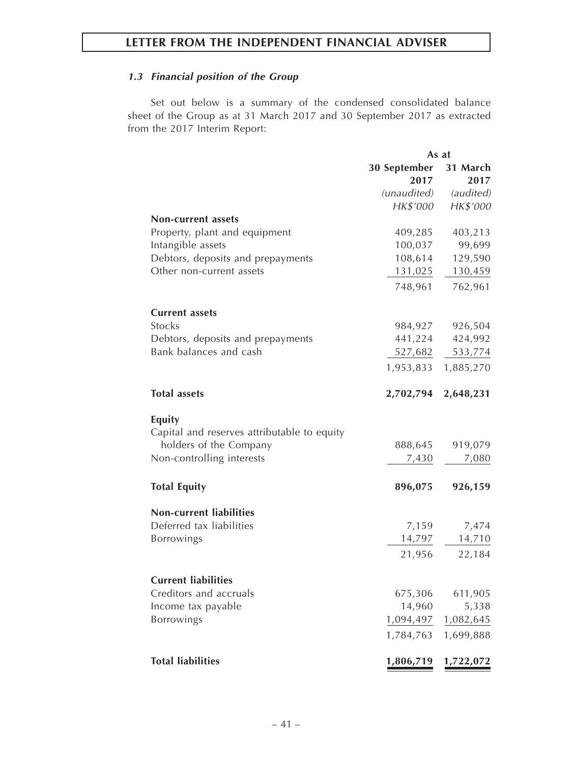# *1.3 Financial position of the Group*

Set out below is a summary of the condensed consolidated balance sheet of the Group as at 31 March 2017 and 30 September 2017 as extracted from the 2017 Interim Report:

|                                             |              | As at     |
|---------------------------------------------|--------------|-----------|
|                                             | 30 September | 31 March  |
|                                             | 2017         | 2017      |
|                                             | (unaudited)  | (audited) |
|                                             | HK\$'000     | HK\$'000  |
| Non-current assets                          |              |           |
| Property, plant and equipment               | 409,285      | 403,213   |
| Intangible assets                           | 100,037      | 99,699    |
| Debtors, deposits and prepayments           | 108,614      | 129,590   |
| Other non-current assets                    | 131,025      | 130,459   |
|                                             | 748,961      | 762,961   |
| <b>Current assets</b>                       |              |           |
| <b>Stocks</b>                               | 984,927      | 926,504   |
| Debtors, deposits and prepayments           | 441,224      | 424,992   |
| Bank balances and cash                      | 527,682      | 533,774   |
|                                             | 1,953,833    | 1,885,270 |
| <b>Total assets</b>                         | 2,702,794    | 2,648,231 |
| <b>Equity</b>                               |              |           |
| Capital and reserves attributable to equity |              |           |
| holders of the Company                      | 888,645      | 919,079   |
| Non-controlling interests                   | 7,430        | 7,080     |
| <b>Total Equity</b>                         | 896,075      | 926,159   |
| <b>Non-current liabilities</b>              |              |           |
| Deferred tax liabilities                    | 7,159        | 7,474     |
| Borrowings                                  | 14,797       | 14,710    |
|                                             | 21,956       | 22,184    |
| <b>Current liabilities</b>                  |              |           |
| Creditors and accruals                      | 675,306      | 611,905   |
| Income tax payable                          | 14,960       | 5,338     |
| Borrowings                                  | 1,094,497    | 1,082,645 |
|                                             | 1,784,763    | 1,699,888 |
| <b>Total liabilities</b>                    | 1,806,719    | 1,722,072 |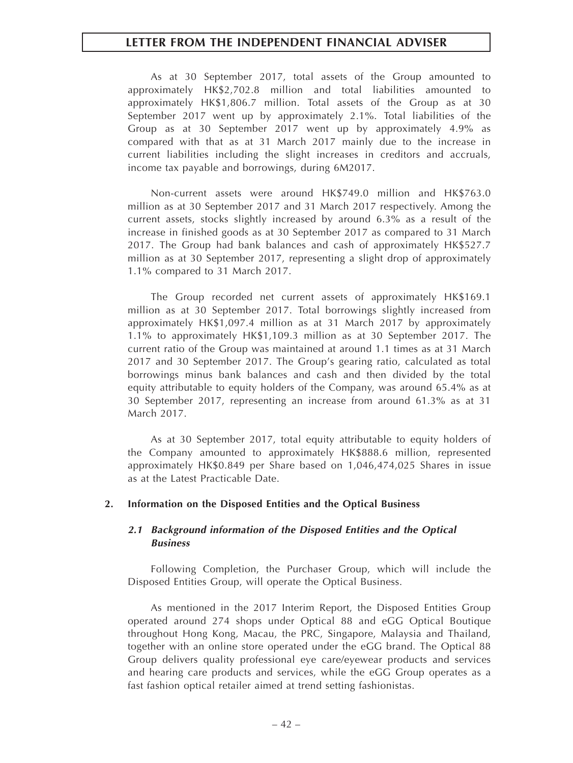As at 30 September 2017, total assets of the Group amounted to approximately HK\$2,702.8 million and total liabilities amounted to approximately HK\$1,806.7 million. Total assets of the Group as at 30 September 2017 went up by approximately 2.1%. Total liabilities of the Group as at 30 September 2017 went up by approximately 4.9% as compared with that as at 31 March 2017 mainly due to the increase in current liabilities including the slight increases in creditors and accruals, income tax payable and borrowings, during 6M2017.

Non-current assets were around HK\$749.0 million and HK\$763.0 million as at 30 September 2017 and 31 March 2017 respectively. Among the current assets, stocks slightly increased by around 6.3% as a result of the increase in finished goods as at 30 September 2017 as compared to 31 March 2017. The Group had bank balances and cash of approximately HK\$527.7 million as at 30 September 2017, representing a slight drop of approximately 1.1% compared to 31 March 2017.

The Group recorded net current assets of approximately HK\$169.1 million as at 30 September 2017. Total borrowings slightly increased from approximately HK\$1,097.4 million as at 31 March 2017 by approximately 1.1% to approximately HK\$1,109.3 million as at 30 September 2017. The current ratio of the Group was maintained at around 1.1 times as at 31 March 2017 and 30 September 2017. The Group's gearing ratio, calculated as total borrowings minus bank balances and cash and then divided by the total equity attributable to equity holders of the Company, was around 65.4% as at 30 September 2017, representing an increase from around 61.3% as at 31 March 2017.

As at 30 September 2017, total equity attributable to equity holders of the Company amounted to approximately HK\$888.6 million, represented approximately HK\$0.849 per Share based on 1,046,474,025 Shares in issue as at the Latest Practicable Date.

## **2. Information on the Disposed Entities and the Optical Business**

# *2.1 Background information of the Disposed Entities and the Optical Business*

Following Completion, the Purchaser Group, which will include the Disposed Entities Group, will operate the Optical Business.

As mentioned in the 2017 Interim Report, the Disposed Entities Group operated around 274 shops under Optical 88 and eGG Optical Boutique throughout Hong Kong, Macau, the PRC, Singapore, Malaysia and Thailand, together with an online store operated under the eGG brand. The Optical 88 Group delivers quality professional eye care/eyewear products and services and hearing care products and services, while the eGG Group operates as a fast fashion optical retailer aimed at trend setting fashionistas.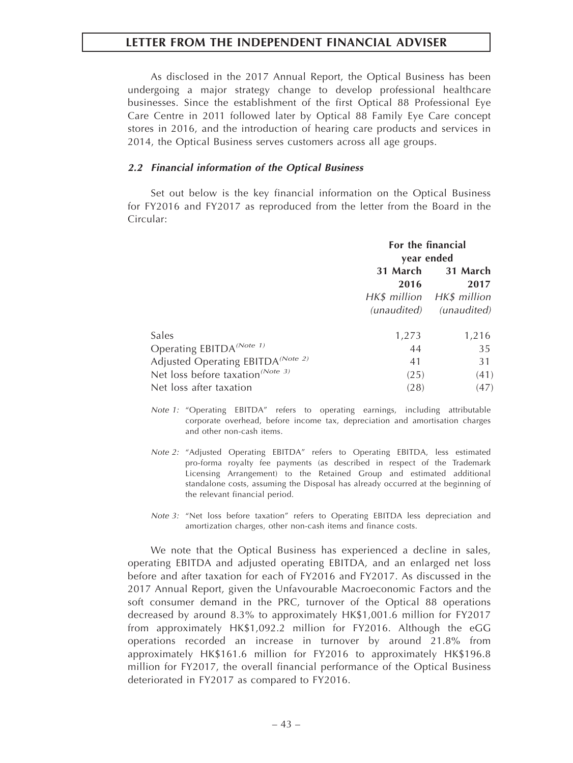As disclosed in the 2017 Annual Report, the Optical Business has been undergoing a major strategy change to develop professional healthcare businesses. Since the establishment of the first Optical 88 Professional Eye Care Centre in 2011 followed later by Optical 88 Family Eye Care concept stores in 2016, and the introduction of hearing care products and services in 2014, the Optical Business serves customers across all age groups.

#### *2.2 Financial information of the Optical Business*

Set out below is the key financial information on the Optical Business for FY2016 and FY2017 as reproduced from the letter from the Board in the Circular:

|                                                                                       | For the financial<br>year ended |                                                                          |  |
|---------------------------------------------------------------------------------------|---------------------------------|--------------------------------------------------------------------------|--|
|                                                                                       | 31 March<br>2016                | 31 March<br>2017<br>HK\$ million HK\$ million<br>(unaudited) (unaudited) |  |
| Sales                                                                                 | 1,273                           | 1,216                                                                    |  |
| Operating EBITDA <sup>(Note 1)</sup><br>Adjusted Operating EBITDA <sup>(Note 2)</sup> | 44<br>41                        | 35<br>31                                                                 |  |
| Net loss before taxation <sup>(Note 3)</sup>                                          | (25)                            | (41)                                                                     |  |
| Net loss after taxation                                                               | (28)                            | (47)                                                                     |  |

- *Note 1:* "Operating EBITDA" refers to operating earnings, including attributable corporate overhead, before income tax, depreciation and amortisation charges and other non-cash items.
- *Note 2:* "Adjusted Operating EBITDA" refers to Operating EBITDA, less estimated pro-forma royalty fee payments (as described in respect of the Trademark Licensing Arrangement) to the Retained Group and estimated additional standalone costs, assuming the Disposal has already occurred at the beginning of the relevant financial period.
- *Note 3:* "Net loss before taxation" refers to Operating EBITDA less depreciation and amortization charges, other non-cash items and finance costs.

We note that the Optical Business has experienced a decline in sales, operating EBITDA and adjusted operating EBITDA, and an enlarged net loss before and after taxation for each of FY2016 and FY2017. As discussed in the 2017 Annual Report, given the Unfavourable Macroeconomic Factors and the soft consumer demand in the PRC, turnover of the Optical 88 operations decreased by around 8.3% to approximately HK\$1,001.6 million for FY2017 from approximately HK\$1,092.2 million for FY2016. Although the eGG operations recorded an increase in turnover by around 21.8% from approximately HK\$161.6 million for FY2016 to approximately HK\$196.8 million for FY2017, the overall financial performance of the Optical Business deteriorated in FY2017 as compared to FY2016.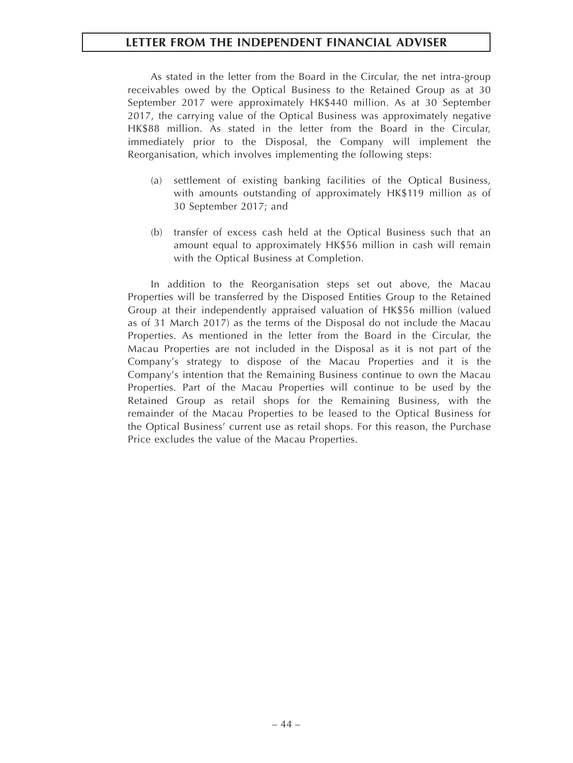As stated in the letter from the Board in the Circular, the net intra-group receivables owed by the Optical Business to the Retained Group as at 30 September 2017 were approximately HK\$440 million. As at 30 September 2017, the carrying value of the Optical Business was approximately negative HK\$88 million. As stated in the letter from the Board in the Circular, immediately prior to the Disposal, the Company will implement the Reorganisation, which involves implementing the following steps:

- (a) settlement of existing banking facilities of the Optical Business, with amounts outstanding of approximately HK\$119 million as of 30 September 2017; and
- (b) transfer of excess cash held at the Optical Business such that an amount equal to approximately HK\$56 million in cash will remain with the Optical Business at Completion.

In addition to the Reorganisation steps set out above, the Macau Properties will be transferred by the Disposed Entities Group to the Retained Group at their independently appraised valuation of HK\$56 million (valued as of 31 March 2017) as the terms of the Disposal do not include the Macau Properties. As mentioned in the letter from the Board in the Circular, the Macau Properties are not included in the Disposal as it is not part of the Company's strategy to dispose of the Macau Properties and it is the Company's intention that the Remaining Business continue to own the Macau Properties. Part of the Macau Properties will continue to be used by the Retained Group as retail shops for the Remaining Business, with the remainder of the Macau Properties to be leased to the Optical Business for the Optical Business' current use as retail shops. For this reason, the Purchase Price excludes the value of the Macau Properties.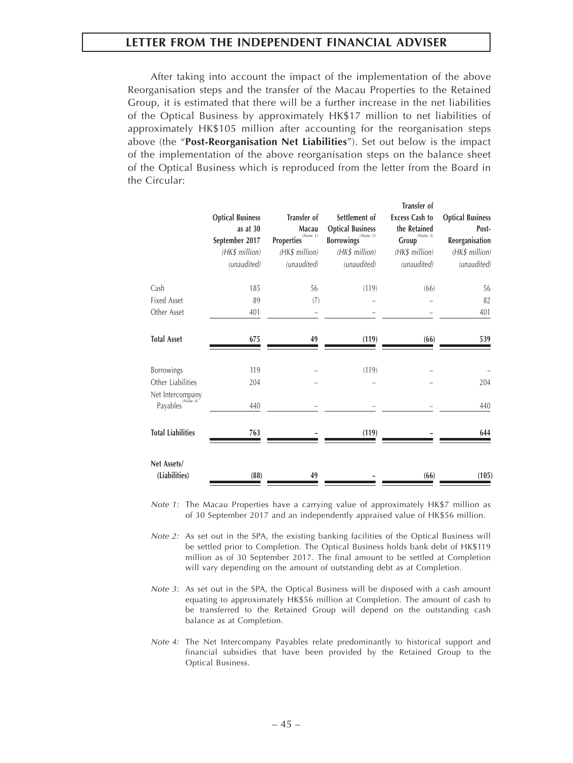After taking into account the impact of the implementation of the above Reorganisation steps and the transfer of the Macau Properties to the Retained Group, it is estimated that there will be a further increase in the net liabilities of the Optical Business by approximately HK\$17 million to net liabilities of approximately HK\$105 million after accounting for the reorganisation steps above (the "**Post-Reorganisation Net Liabilities**"). Set out below is the impact of the implementation of the above reorganisation steps on the balance sheet of the Optical Business which is reproduced from the letter from the Board in the Circular:

|                                                  | <b>Optical Business</b><br>as at 30<br>September 2017<br>(HK\$ million)<br>(unaudited) | <b>Transfer of</b><br>Macau<br>Properties $\overbrace{ }^{(Note 1)}$<br>(HK\$ million)<br>(unaudited) | Settlement of<br><b>Optical Business</b><br>$\textbf{Borrowings}^{(\textit{Note 2})}$<br>(HK\$ million)<br>(unaudited) | Transfer of<br><b>Excess Cash to</b><br>the Retained<br>$\overbrace{\textsf{Group}}^{\textcolor{blue}{(Note 3)}}$<br>(HK\$ million)<br>(unaudited) | <b>Optical Business</b><br>Post-<br>Reorganisation<br>(HK\$ million)<br>(unaudited) |
|--------------------------------------------------|----------------------------------------------------------------------------------------|-------------------------------------------------------------------------------------------------------|------------------------------------------------------------------------------------------------------------------------|----------------------------------------------------------------------------------------------------------------------------------------------------|-------------------------------------------------------------------------------------|
| Cash                                             | 185                                                                                    | 56                                                                                                    | (119)                                                                                                                  | (66)                                                                                                                                               | 56                                                                                  |
| <b>Fixed Asset</b>                               | 89                                                                                     | (7)                                                                                                   |                                                                                                                        |                                                                                                                                                    | 82                                                                                  |
| Other Asset                                      | 401                                                                                    |                                                                                                       |                                                                                                                        |                                                                                                                                                    | 401                                                                                 |
| <b>Total Asset</b>                               | 675                                                                                    | 49                                                                                                    | (119)                                                                                                                  | (66)                                                                                                                                               | 539                                                                                 |
| Borrowings                                       | 119                                                                                    |                                                                                                       | (119)                                                                                                                  |                                                                                                                                                    |                                                                                     |
| Other Liabilities                                | 204                                                                                    |                                                                                                       |                                                                                                                        |                                                                                                                                                    | 204                                                                                 |
| Net Intercompany<br>Payables <sup>(Note 4)</sup> | 440                                                                                    |                                                                                                       |                                                                                                                        |                                                                                                                                                    | 440                                                                                 |
| <b>Total Liabilities</b>                         | 763                                                                                    |                                                                                                       | (119)                                                                                                                  |                                                                                                                                                    | 644                                                                                 |
| Net Assets/<br>(Liabilities)                     | (88)                                                                                   | 49                                                                                                    |                                                                                                                        | (66)                                                                                                                                               | (105)                                                                               |

*Note 1:* The Macau Properties have a carrying value of approximately HK\$7 million as of 30 September 2017 and an independently appraised value of HK\$56 million.

- *Note 2:* As set out in the SPA, the existing banking facilities of the Optical Business will be settled prior to Completion. The Optical Business holds bank debt of HK\$119 million as of 30 September 2017. The final amount to be settled at Completion will vary depending on the amount of outstanding debt as at Completion.
- *Note 3:* As set out in the SPA, the Optical Business will be disposed with a cash amount equating to approximately HK\$56 million at Completion. The amount of cash to be transferred to the Retained Group will depend on the outstanding cash balance as at Completion.
- *Note 4:* The Net Intercompany Payables relate predominantly to historical support and financial subsidies that have been provided by the Retained Group to the Optical Business.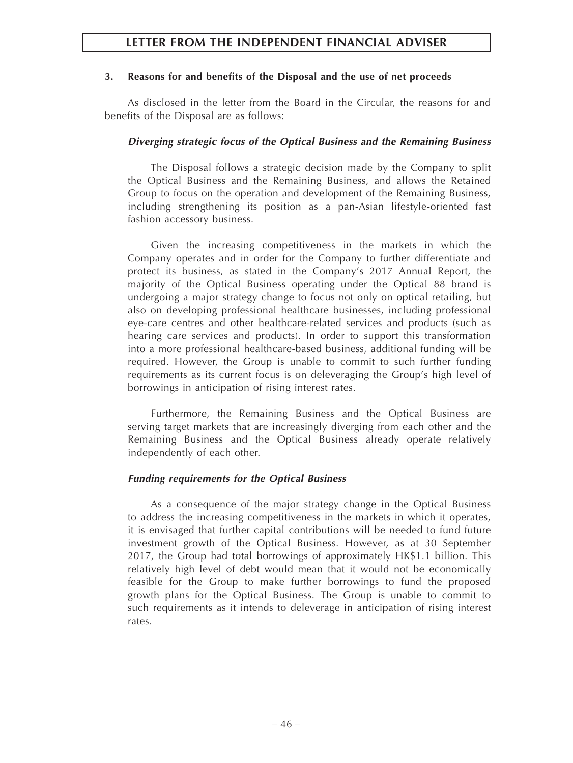# **3. Reasons for and benefits of the Disposal and the use of net proceeds**

As disclosed in the letter from the Board in the Circular, the reasons for and benefits of the Disposal are as follows:

# *Diverging strategic focus of the Optical Business and the Remaining Business*

The Disposal follows a strategic decision made by the Company to split the Optical Business and the Remaining Business, and allows the Retained Group to focus on the operation and development of the Remaining Business, including strengthening its position as a pan-Asian lifestyle-oriented fast fashion accessory business.

Given the increasing competitiveness in the markets in which the Company operates and in order for the Company to further differentiate and protect its business, as stated in the Company's 2017 Annual Report, the majority of the Optical Business operating under the Optical 88 brand is undergoing a major strategy change to focus not only on optical retailing, but also on developing professional healthcare businesses, including professional eye-care centres and other healthcare-related services and products (such as hearing care services and products). In order to support this transformation into a more professional healthcare-based business, additional funding will be required. However, the Group is unable to commit to such further funding requirements as its current focus is on deleveraging the Group's high level of borrowings in anticipation of rising interest rates.

Furthermore, the Remaining Business and the Optical Business are serving target markets that are increasingly diverging from each other and the Remaining Business and the Optical Business already operate relatively independently of each other.

# *Funding requirements for the Optical Business*

As a consequence of the major strategy change in the Optical Business to address the increasing competitiveness in the markets in which it operates, it is envisaged that further capital contributions will be needed to fund future investment growth of the Optical Business. However, as at 30 September 2017, the Group had total borrowings of approximately HK\$1.1 billion. This relatively high level of debt would mean that it would not be economically feasible for the Group to make further borrowings to fund the proposed growth plans for the Optical Business. The Group is unable to commit to such requirements as it intends to deleverage in anticipation of rising interest rates.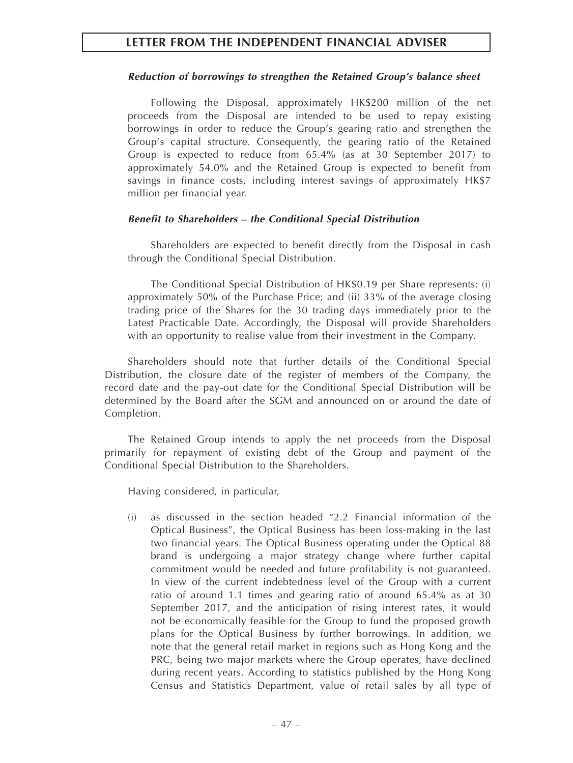# *Reduction of borrowings to strengthen the Retained Group's balance sheet*

Following the Disposal, approximately HK\$200 million of the net proceeds from the Disposal are intended to be used to repay existing borrowings in order to reduce the Group's gearing ratio and strengthen the Group's capital structure. Consequently, the gearing ratio of the Retained Group is expected to reduce from 65.4% (as at 30 September 2017) to approximately 54.0% and the Retained Group is expected to benefit from savings in finance costs, including interest savings of approximately HK\$7 million per financial year.

# *Benefit to Shareholders – the Conditional Special Distribution*

Shareholders are expected to benefit directly from the Disposal in cash through the Conditional Special Distribution.

The Conditional Special Distribution of HK\$0.19 per Share represents: (i) approximately 50% of the Purchase Price; and (ii) 33% of the average closing trading price of the Shares for the 30 trading days immediately prior to the Latest Practicable Date. Accordingly, the Disposal will provide Shareholders with an opportunity to realise value from their investment in the Company.

Shareholders should note that further details of the Conditional Special Distribution, the closure date of the register of members of the Company, the record date and the pay-out date for the Conditional Special Distribution will be determined by the Board after the SGM and announced on or around the date of Completion.

The Retained Group intends to apply the net proceeds from the Disposal primarily for repayment of existing debt of the Group and payment of the Conditional Special Distribution to the Shareholders.

Having considered, in particular,

(i) as discussed in the section headed "2.2 Financial information of the Optical Business", the Optical Business has been loss-making in the last two financial years. The Optical Business operating under the Optical 88 brand is undergoing a major strategy change where further capital commitment would be needed and future profitability is not guaranteed. In view of the current indebtedness level of the Group with a current ratio of around 1.1 times and gearing ratio of around 65.4% as at 30 September 2017, and the anticipation of rising interest rates, it would not be economically feasible for the Group to fund the proposed growth plans for the Optical Business by further borrowings. In addition, we note that the general retail market in regions such as Hong Kong and the PRC, being two major markets where the Group operates, have declined during recent years. According to statistics published by the Hong Kong Census and Statistics Department, value of retail sales by all type of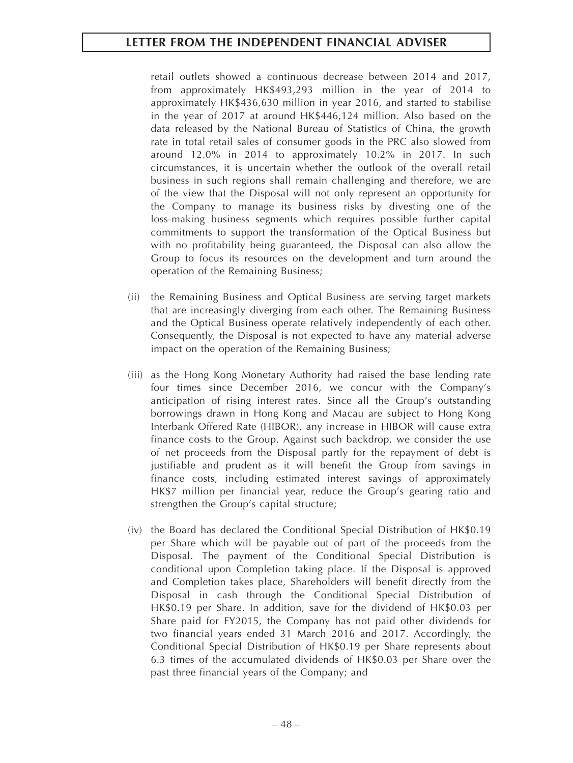retail outlets showed a continuous decrease between 2014 and 2017, from approximately HK\$493,293 million in the year of 2014 to approximately HK\$436,630 million in year 2016, and started to stabilise in the year of 2017 at around HK\$446,124 million. Also based on the data released by the National Bureau of Statistics of China, the growth rate in total retail sales of consumer goods in the PRC also slowed from around 12.0% in 2014 to approximately 10.2% in 2017. In such circumstances, it is uncertain whether the outlook of the overall retail business in such regions shall remain challenging and therefore, we are of the view that the Disposal will not only represent an opportunity for the Company to manage its business risks by divesting one of the loss-making business segments which requires possible further capital commitments to support the transformation of the Optical Business but with no profitability being guaranteed, the Disposal can also allow the Group to focus its resources on the development and turn around the operation of the Remaining Business;

- (ii) the Remaining Business and Optical Business are serving target markets that are increasingly diverging from each other. The Remaining Business and the Optical Business operate relatively independently of each other. Consequently, the Disposal is not expected to have any material adverse impact on the operation of the Remaining Business;
- (iii) as the Hong Kong Monetary Authority had raised the base lending rate four times since December 2016, we concur with the Company's anticipation of rising interest rates. Since all the Group's outstanding borrowings drawn in Hong Kong and Macau are subject to Hong Kong Interbank Offered Rate (HIBOR), any increase in HIBOR will cause extra finance costs to the Group. Against such backdrop, we consider the use of net proceeds from the Disposal partly for the repayment of debt is justifiable and prudent as it will benefit the Group from savings in finance costs, including estimated interest savings of approximately HK\$7 million per financial year, reduce the Group's gearing ratio and strengthen the Group's capital structure;
- (iv) the Board has declared the Conditional Special Distribution of HK\$0.19 per Share which will be payable out of part of the proceeds from the Disposal. The payment of the Conditional Special Distribution is conditional upon Completion taking place. If the Disposal is approved and Completion takes place, Shareholders will benefit directly from the Disposal in cash through the Conditional Special Distribution of HK\$0.19 per Share. In addition, save for the dividend of HK\$0.03 per Share paid for FY2015, the Company has not paid other dividends for two financial years ended 31 March 2016 and 2017. Accordingly, the Conditional Special Distribution of HK\$0.19 per Share represents about 6.3 times of the accumulated dividends of HK\$0.03 per Share over the past three financial years of the Company; and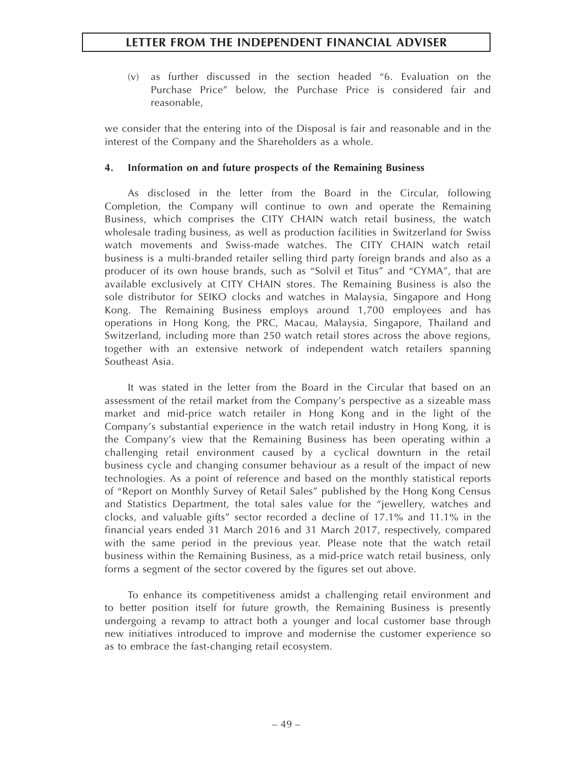(v) as further discussed in the section headed "6. Evaluation on the Purchase Price" below, the Purchase Price is considered fair and reasonable,

we consider that the entering into of the Disposal is fair and reasonable and in the interest of the Company and the Shareholders as a whole.

# **4. Information on and future prospects of the Remaining Business**

As disclosed in the letter from the Board in the Circular, following Completion, the Company will continue to own and operate the Remaining Business, which comprises the CITY CHAIN watch retail business, the watch wholesale trading business, as well as production facilities in Switzerland for Swiss watch movements and Swiss-made watches. The CITY CHAIN watch retail business is a multi-branded retailer selling third party foreign brands and also as a producer of its own house brands, such as "Solvil et Titus" and "CYMA", that are available exclusively at CITY CHAIN stores. The Remaining Business is also the sole distributor for SEIKO clocks and watches in Malaysia, Singapore and Hong Kong. The Remaining Business employs around 1,700 employees and has operations in Hong Kong, the PRC, Macau, Malaysia, Singapore, Thailand and Switzerland, including more than 250 watch retail stores across the above regions, together with an extensive network of independent watch retailers spanning Southeast Asia.

It was stated in the letter from the Board in the Circular that based on an assessment of the retail market from the Company's perspective as a sizeable mass market and mid-price watch retailer in Hong Kong and in the light of the Company's substantial experience in the watch retail industry in Hong Kong, it is the Company's view that the Remaining Business has been operating within a challenging retail environment caused by a cyclical downturn in the retail business cycle and changing consumer behaviour as a result of the impact of new technologies. As a point of reference and based on the monthly statistical reports of "Report on Monthly Survey of Retail Sales" published by the Hong Kong Census and Statistics Department, the total sales value for the "jewellery, watches and clocks, and valuable gifts" sector recorded a decline of 17.1% and 11.1% in the financial years ended 31 March 2016 and 31 March 2017, respectively, compared with the same period in the previous year. Please note that the watch retail business within the Remaining Business, as a mid-price watch retail business, only forms a segment of the sector covered by the figures set out above.

To enhance its competitiveness amidst a challenging retail environment and to better position itself for future growth, the Remaining Business is presently undergoing a revamp to attract both a younger and local customer base through new initiatives introduced to improve and modernise the customer experience so as to embrace the fast-changing retail ecosystem.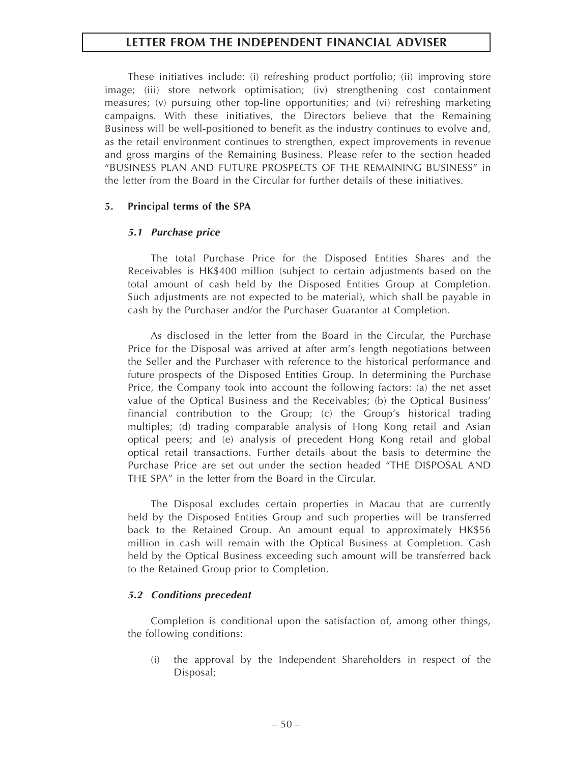These initiatives include: (i) refreshing product portfolio; (ii) improving store image; (iii) store network optimisation; (iv) strengthening cost containment measures; (v) pursuing other top-line opportunities; and (vi) refreshing marketing campaigns. With these initiatives, the Directors believe that the Remaining Business will be well-positioned to benefit as the industry continues to evolve and, as the retail environment continues to strengthen, expect improvements in revenue and gross margins of the Remaining Business. Please refer to the section headed "BUSINESS PLAN AND FUTURE PROSPECTS OF THE REMAINING BUSINESS" in the letter from the Board in the Circular for further details of these initiatives.

## **5. Principal terms of the SPA**

## *5.1 Purchase price*

The total Purchase Price for the Disposed Entities Shares and the Receivables is HK\$400 million (subject to certain adjustments based on the total amount of cash held by the Disposed Entities Group at Completion. Such adjustments are not expected to be material), which shall be payable in cash by the Purchaser and/or the Purchaser Guarantor at Completion.

As disclosed in the letter from the Board in the Circular, the Purchase Price for the Disposal was arrived at after arm's length negotiations between the Seller and the Purchaser with reference to the historical performance and future prospects of the Disposed Entities Group. In determining the Purchase Price, the Company took into account the following factors: (a) the net asset value of the Optical Business and the Receivables; (b) the Optical Business' financial contribution to the Group; (c) the Group's historical trading multiples; (d) trading comparable analysis of Hong Kong retail and Asian optical peers; and (e) analysis of precedent Hong Kong retail and global optical retail transactions. Further details about the basis to determine the Purchase Price are set out under the section headed "THE DISPOSAL AND THE SPA" in the letter from the Board in the Circular.

The Disposal excludes certain properties in Macau that are currently held by the Disposed Entities Group and such properties will be transferred back to the Retained Group. An amount equal to approximately HK\$56 million in cash will remain with the Optical Business at Completion. Cash held by the Optical Business exceeding such amount will be transferred back to the Retained Group prior to Completion.

## *5.2 Conditions precedent*

Completion is conditional upon the satisfaction of, among other things, the following conditions:

(i) the approval by the Independent Shareholders in respect of the Disposal;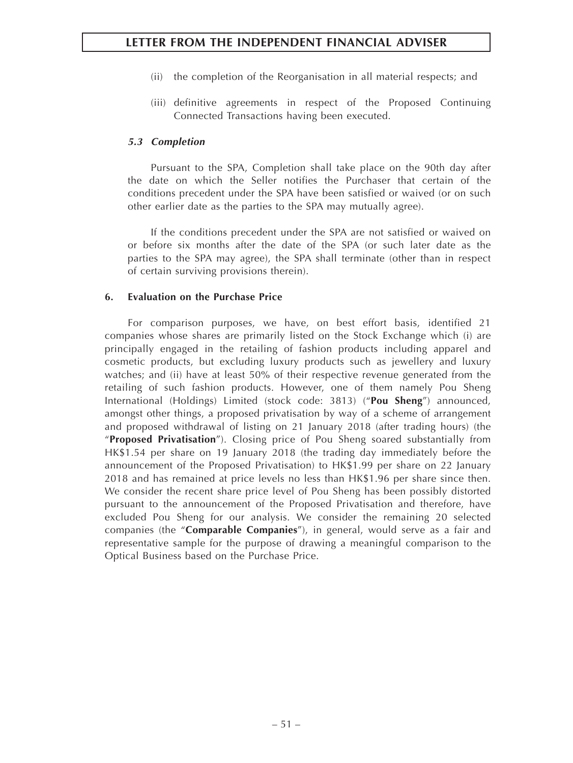- (ii) the completion of the Reorganisation in all material respects; and
- (iii) definitive agreements in respect of the Proposed Continuing Connected Transactions having been executed.

# *5.3 Completion*

Pursuant to the SPA, Completion shall take place on the 90th day after the date on which the Seller notifies the Purchaser that certain of the conditions precedent under the SPA have been satisfied or waived (or on such other earlier date as the parties to the SPA may mutually agree).

If the conditions precedent under the SPA are not satisfied or waived on or before six months after the date of the SPA (or such later date as the parties to the SPA may agree), the SPA shall terminate (other than in respect of certain surviving provisions therein).

## **6. Evaluation on the Purchase Price**

For comparison purposes, we have, on best effort basis, identified 21 companies whose shares are primarily listed on the Stock Exchange which (i) are principally engaged in the retailing of fashion products including apparel and cosmetic products, but excluding luxury products such as jewellery and luxury watches; and (ii) have at least 50% of their respective revenue generated from the retailing of such fashion products. However, one of them namely Pou Sheng International (Holdings) Limited (stock code: 3813) ("**Pou Sheng**") announced, amongst other things, a proposed privatisation by way of a scheme of arrangement and proposed withdrawal of listing on 21 January 2018 (after trading hours) (the "**Proposed Privatisation**"). Closing price of Pou Sheng soared substantially from HK\$1.54 per share on 19 January 2018 (the trading day immediately before the announcement of the Proposed Privatisation) to HK\$1.99 per share on 22 January 2018 and has remained at price levels no less than HK\$1.96 per share since then. We consider the recent share price level of Pou Sheng has been possibly distorted pursuant to the announcement of the Proposed Privatisation and therefore, have excluded Pou Sheng for our analysis. We consider the remaining 20 selected companies (the "**Comparable Companies**"), in general, would serve as a fair and representative sample for the purpose of drawing a meaningful comparison to the Optical Business based on the Purchase Price.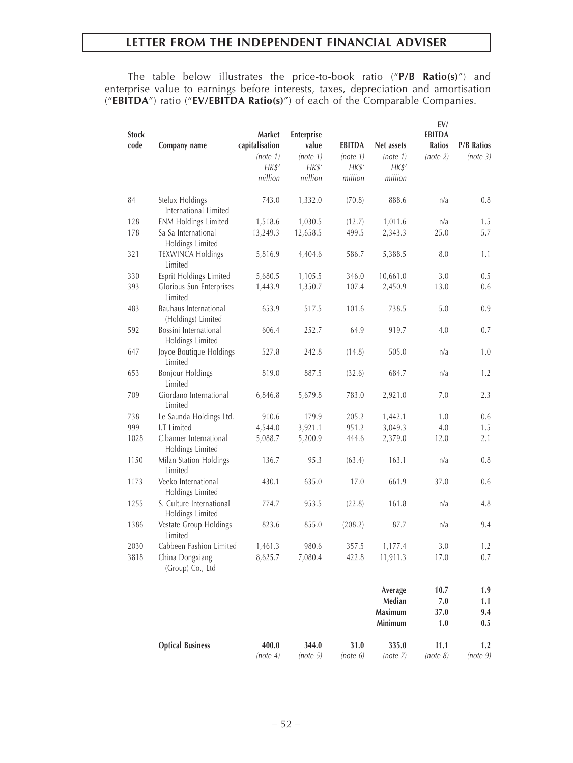The table below illustrates the price-to-book ratio ("**P/B Ratio(s)**") and enterprise value to earnings before interests, taxes, depreciation and amortisation ("**EBITDA**") ratio ("**EV/EBITDA Ratio(s)**") of each of the Comparable Companies.

| <b>Stock</b><br>code | Company name                                 | Market<br>capitalisation<br>(note 1)<br>HK\$'<br>million | Enterprise<br>value<br>(note 1)<br>H K S'<br>million | <b>EBITDA</b><br>(note 1)<br>HK\$'<br>million | Net assets<br>(note 1)<br>H K S'<br>million | EV/<br><b>EBITDA</b><br><b>Ratios</b><br>(note 2) | <b>P/B Ratios</b><br>(note 3) |
|----------------------|----------------------------------------------|----------------------------------------------------------|------------------------------------------------------|-----------------------------------------------|---------------------------------------------|---------------------------------------------------|-------------------------------|
| 84                   | Stelux Holdings<br>International Limited     | 743.0                                                    | 1,332.0                                              | (70.8)                                        | 888.6                                       | n/a                                               | 0.8                           |
| 128                  | <b>ENM Holdings Limited</b>                  | 1,518.6                                                  | 1,030.5                                              | (12.7)                                        | 1,011.6                                     | n/a                                               | 1.5                           |
| 178                  | Sa Sa International<br>Holdings Limited      | 13,249.3                                                 | 12,658.5                                             | 499.5                                         | 2,343.3                                     | 25.0                                              | 5.7                           |
| 321                  | <b>TEXWINCA Holdings</b><br>Limited          | 5,816.9                                                  | 4,404.6                                              | 586.7                                         | 5,388.5                                     | 8.0                                               | 1.1                           |
| 330                  | Esprit Holdings Limited                      | 5,680.5                                                  | 1,105.5                                              | 346.0                                         | 10,661.0                                    | 3.0                                               | 0.5                           |
| 393                  | Glorious Sun Enterprises<br>Limited          | 1,443.9                                                  | 1,350.7                                              | 107.4                                         | 2,450.9                                     | 13.0                                              | 0.6                           |
| 483                  | Bauhaus International<br>(Holdings) Limited  | 653.9                                                    | 517.5                                                | 101.6                                         | 738.5                                       | 5.0                                               | 0.9                           |
| 592                  | Bossini International<br>Holdings Limited    | 606.4                                                    | 252.7                                                | 64.9                                          | 919.7                                       | 4.0                                               | 0.7                           |
| 647                  | Joyce Boutique Holdings<br>Limited           | 527.8                                                    | 242.8                                                | (14.8)                                        | 505.0                                       | n/a                                               | 1.0                           |
| 653                  | <b>Bonjour Holdings</b><br>Limited           | 819.0                                                    | 887.5                                                | (32.6)                                        | 684.7                                       | n/a                                               | 1.2                           |
| 709                  | Giordano International<br>Limited            | 6,846.8                                                  | 5,679.8                                              | 783.0                                         | 2,921.0                                     | 7.0                                               | 2.3                           |
| 738                  | Le Saunda Holdings Ltd.                      | 910.6                                                    | 179.9                                                | 205.2                                         | 1,442.1                                     | 1.0                                               | 0.6                           |
| 999                  | I.T Limited                                  | 4,544.0                                                  | 3,921.1                                              | 951.2                                         | 3,049.3                                     | 4.0                                               | 1.5                           |
| 1028                 | C.banner International<br>Holdings Limited   | 5,088.7                                                  | 5,200.9                                              | 444.6                                         | 2,379.0                                     | 12.0                                              | 2.1                           |
| 1150                 | Milan Station Holdings<br>Limited            | 136.7                                                    | 95.3                                                 | (63.4)                                        | 163.1                                       | n/a                                               | 0.8                           |
| 1173                 | Veeko International<br>Holdings Limited      | 430.1                                                    | 635.0                                                | 17.0                                          | 661.9                                       | 37.0                                              | 0.6                           |
| 1255                 | S. Culture International<br>Holdings Limited | 774.7                                                    | 953.5                                                | (22.8)                                        | 161.8                                       | n/a                                               | 4.8                           |
| 1386                 | Vestate Group Holdings<br>Limited            | 823.6                                                    | 855.0                                                | (208.2)                                       | 87.7                                        | n/a                                               | 9.4                           |
| 2030                 | Cabbeen Fashion Limited                      | 1,461.3                                                  | 980.6                                                | 357.5                                         | 1,177.4                                     | 3.0                                               | 1.2                           |
| 3818                 | China Dongxiang<br>(Group) Co., Ltd          | 8,625.7                                                  | 7,080.4                                              | 422.8                                         | 11,911.3                                    | 17.0                                              | $0.7\,$                       |
|                      |                                              |                                                          |                                                      |                                               | Average                                     | 10.7                                              | 1.9                           |
|                      |                                              |                                                          |                                                      |                                               | Median                                      | 7.0                                               | 1.1                           |
|                      |                                              |                                                          |                                                      |                                               | Maximum                                     | 37.0                                              | 9.4                           |
|                      |                                              |                                                          |                                                      |                                               | Minimum                                     | 1.0                                               | 0.5                           |
|                      | <b>Optical Business</b>                      | 400.0                                                    | 344.0                                                | 31.0                                          | 335.0                                       | 11.1                                              | 1.2                           |
|                      |                                              | (note 4)                                                 | (note 5)                                             | (note 6)                                      | (note 7)                                    | (note 8)                                          | (note 9)                      |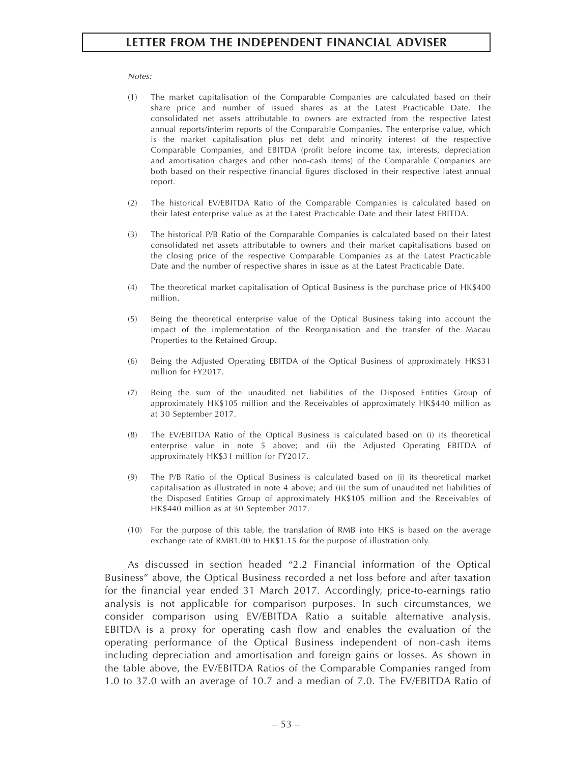#### *Notes:*

- (1) The market capitalisation of the Comparable Companies are calculated based on their share price and number of issued shares as at the Latest Practicable Date. The consolidated net assets attributable to owners are extracted from the respective latest annual reports/interim reports of the Comparable Companies. The enterprise value, which is the market capitalisation plus net debt and minority interest of the respective Comparable Companies, and EBITDA (profit before income tax, interests, depreciation and amortisation charges and other non-cash items) of the Comparable Companies are both based on their respective financial figures disclosed in their respective latest annual report.
- (2) The historical EV/EBITDA Ratio of the Comparable Companies is calculated based on their latest enterprise value as at the Latest Practicable Date and their latest EBITDA.
- (3) The historical P/B Ratio of the Comparable Companies is calculated based on their latest consolidated net assets attributable to owners and their market capitalisations based on the closing price of the respective Comparable Companies as at the Latest Practicable Date and the number of respective shares in issue as at the Latest Practicable Date.
- (4) The theoretical market capitalisation of Optical Business is the purchase price of HK\$400 million.
- (5) Being the theoretical enterprise value of the Optical Business taking into account the impact of the implementation of the Reorganisation and the transfer of the Macau Properties to the Retained Group.
- (6) Being the Adjusted Operating EBITDA of the Optical Business of approximately HK\$31 million for FY2017.
- (7) Being the sum of the unaudited net liabilities of the Disposed Entities Group of approximately HK\$105 million and the Receivables of approximately HK\$440 million as at 30 September 2017.
- (8) The EV/EBITDA Ratio of the Optical Business is calculated based on (i) its theoretical enterprise value in note 5 above; and (ii) the Adjusted Operating EBITDA of approximately HK\$31 million for FY2017.
- (9) The P/B Ratio of the Optical Business is calculated based on (i) its theoretical market capitalisation as illustrated in note 4 above; and (ii) the sum of unaudited net liabilities of the Disposed Entities Group of approximately HK\$105 million and the Receivables of HK\$440 million as at 30 September 2017.
- (10) For the purpose of this table, the translation of RMB into HK\$ is based on the average exchange rate of RMB1.00 to HK\$1.15 for the purpose of illustration only.

As discussed in section headed "2.2 Financial information of the Optical Business" above, the Optical Business recorded a net loss before and after taxation for the financial year ended 31 March 2017. Accordingly, price-to-earnings ratio analysis is not applicable for comparison purposes. In such circumstances, we consider comparison using EV/EBITDA Ratio a suitable alternative analysis. EBITDA is a proxy for operating cash flow and enables the evaluation of the operating performance of the Optical Business independent of non-cash items including depreciation and amortisation and foreign gains or losses. As shown in the table above, the EV/EBITDA Ratios of the Comparable Companies ranged from 1.0 to 37.0 with an average of 10.7 and a median of 7.0. The EV/EBITDA Ratio of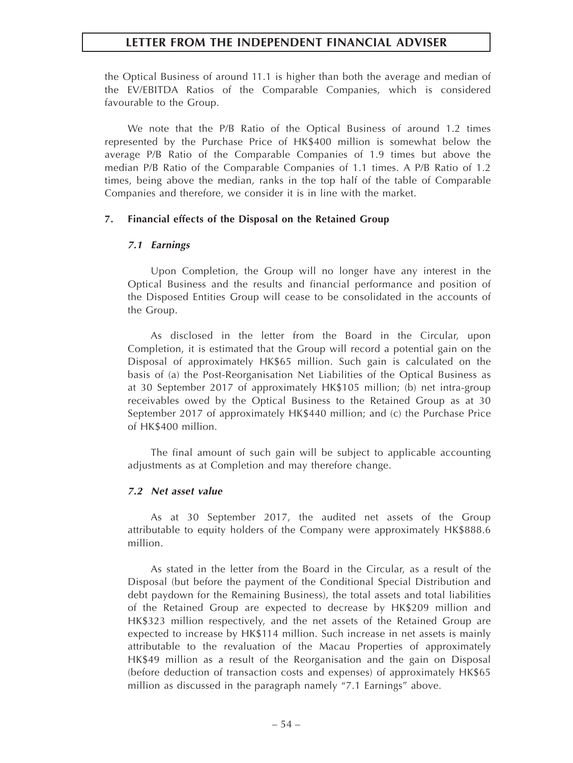the Optical Business of around 11.1 is higher than both the average and median of the EV/EBITDA Ratios of the Comparable Companies, which is considered favourable to the Group.

We note that the P/B Ratio of the Optical Business of around 1.2 times represented by the Purchase Price of HK\$400 million is somewhat below the average P/B Ratio of the Comparable Companies of 1.9 times but above the median P/B Ratio of the Comparable Companies of 1.1 times. A P/B Ratio of 1.2 times, being above the median, ranks in the top half of the table of Comparable Companies and therefore, we consider it is in line with the market.

#### **7. Financial effects of the Disposal on the Retained Group**

#### *7.1 Earnings*

Upon Completion, the Group will no longer have any interest in the Optical Business and the results and financial performance and position of the Disposed Entities Group will cease to be consolidated in the accounts of the Group.

As disclosed in the letter from the Board in the Circular, upon Completion, it is estimated that the Group will record a potential gain on the Disposal of approximately HK\$65 million. Such gain is calculated on the basis of (a) the Post-Reorganisation Net Liabilities of the Optical Business as at 30 September 2017 of approximately HK\$105 million; (b) net intra-group receivables owed by the Optical Business to the Retained Group as at 30 September 2017 of approximately HK\$440 million; and (c) the Purchase Price of HK\$400 million.

The final amount of such gain will be subject to applicable accounting adjustments as at Completion and may therefore change.

#### *7.2 Net asset value*

As at 30 September 2017, the audited net assets of the Group attributable to equity holders of the Company were approximately HK\$888.6 million.

As stated in the letter from the Board in the Circular, as a result of the Disposal (but before the payment of the Conditional Special Distribution and debt paydown for the Remaining Business), the total assets and total liabilities of the Retained Group are expected to decrease by HK\$209 million and HK\$323 million respectively, and the net assets of the Retained Group are expected to increase by HK\$114 million. Such increase in net assets is mainly attributable to the revaluation of the Macau Properties of approximately HK\$49 million as a result of the Reorganisation and the gain on Disposal (before deduction of transaction costs and expenses) of approximately HK\$65 million as discussed in the paragraph namely "7.1 Earnings" above.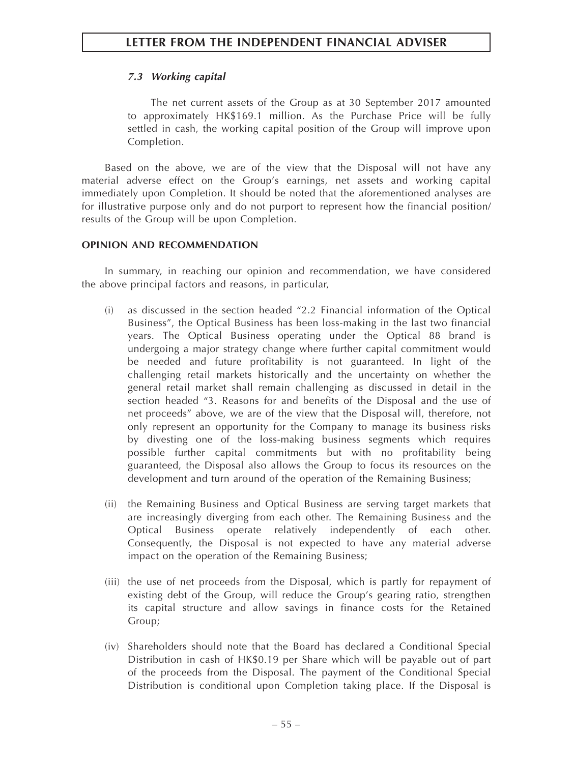# *7.3 Working capital*

The net current assets of the Group as at 30 September 2017 amounted to approximately HK\$169.1 million. As the Purchase Price will be fully settled in cash, the working capital position of the Group will improve upon Completion.

Based on the above, we are of the view that the Disposal will not have any material adverse effect on the Group's earnings, net assets and working capital immediately upon Completion. It should be noted that the aforementioned analyses are for illustrative purpose only and do not purport to represent how the financial position/ results of the Group will be upon Completion.

# **OPINION AND RECOMMENDATION**

In summary, in reaching our opinion and recommendation, we have considered the above principal factors and reasons, in particular,

- (i) as discussed in the section headed "2.2 Financial information of the Optical Business", the Optical Business has been loss-making in the last two financial years. The Optical Business operating under the Optical 88 brand is undergoing a major strategy change where further capital commitment would be needed and future profitability is not guaranteed. In light of the challenging retail markets historically and the uncertainty on whether the general retail market shall remain challenging as discussed in detail in the section headed "3. Reasons for and benefits of the Disposal and the use of net proceeds" above, we are of the view that the Disposal will, therefore, not only represent an opportunity for the Company to manage its business risks by divesting one of the loss-making business segments which requires possible further capital commitments but with no profitability being guaranteed, the Disposal also allows the Group to focus its resources on the development and turn around of the operation of the Remaining Business;
- (ii) the Remaining Business and Optical Business are serving target markets that are increasingly diverging from each other. The Remaining Business and the Optical Business operate relatively independently of each other. Consequently, the Disposal is not expected to have any material adverse impact on the operation of the Remaining Business;
- (iii) the use of net proceeds from the Disposal, which is partly for repayment of existing debt of the Group, will reduce the Group's gearing ratio, strengthen its capital structure and allow savings in finance costs for the Retained Group;
- (iv) Shareholders should note that the Board has declared a Conditional Special Distribution in cash of HK\$0.19 per Share which will be payable out of part of the proceeds from the Disposal. The payment of the Conditional Special Distribution is conditional upon Completion taking place. If the Disposal is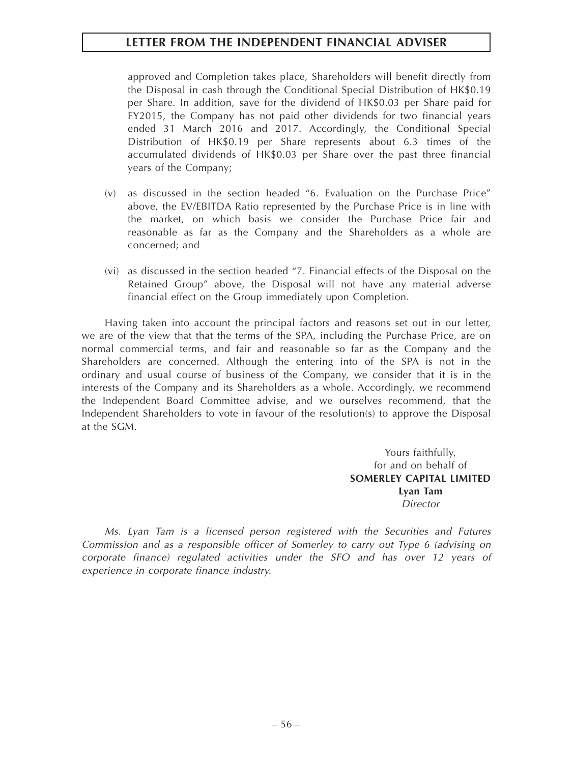approved and Completion takes place, Shareholders will benefit directly from the Disposal in cash through the Conditional Special Distribution of HK\$0.19 per Share. In addition, save for the dividend of HK\$0.03 per Share paid for FY2015, the Company has not paid other dividends for two financial years ended 31 March 2016 and 2017. Accordingly, the Conditional Special Distribution of HK\$0.19 per Share represents about 6.3 times of the accumulated dividends of HK\$0.03 per Share over the past three financial years of the Company;

- (v) as discussed in the section headed "6. Evaluation on the Purchase Price" above, the EV/EBITDA Ratio represented by the Purchase Price is in line with the market, on which basis we consider the Purchase Price fair and reasonable as far as the Company and the Shareholders as a whole are concerned; and
- (vi) as discussed in the section headed "7. Financial effects of the Disposal on the Retained Group" above, the Disposal will not have any material adverse financial effect on the Group immediately upon Completion.

Having taken into account the principal factors and reasons set out in our letter, we are of the view that that the terms of the SPA, including the Purchase Price, are on normal commercial terms, and fair and reasonable so far as the Company and the Shareholders are concerned. Although the entering into of the SPA is not in the ordinary and usual course of business of the Company, we consider that it is in the interests of the Company and its Shareholders as a whole. Accordingly, we recommend the Independent Board Committee advise, and we ourselves recommend, that the Independent Shareholders to vote in favour of the resolution(s) to approve the Disposal at the SGM.

> Yours faithfully, for and on behalf of **SOMERLEY CAPITAL LIMITED Lyan Tam** *Director*

*Ms. Lyan Tam is a licensed person registered with the Securities and Futures Commission and as a responsible officer of Somerley to carry out Type 6 (advising on corporate finance) regulated activities under the SFO and has over 12 years of experience in corporate finance industry.*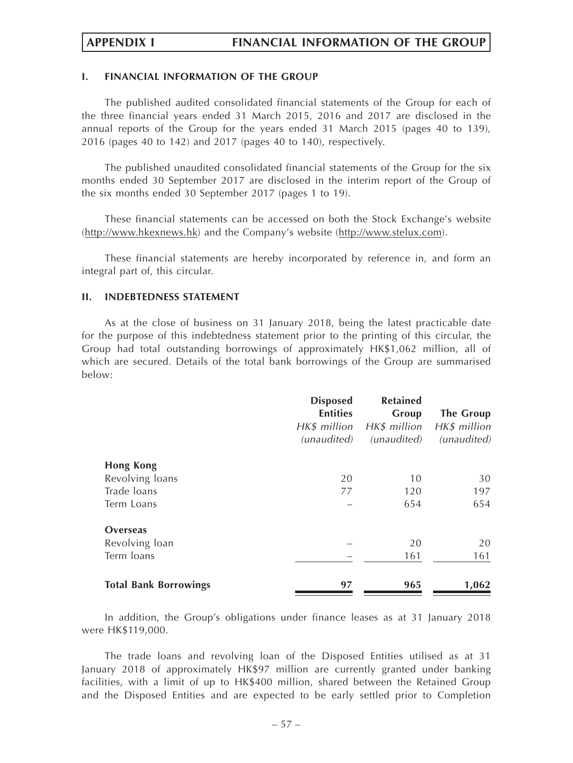# **I. FINANCIAL INFORMATION OF THE GROUP**

The published audited consolidated financial statements of the Group for each of the three financial years ended 31 March 2015, 2016 and 2017 are disclosed in the annual reports of the Group for the years ended 31 March 2015 (pages 40 to 139), 2016 (pages 40 to 142) and 2017 (pages 40 to 140), respectively.

The published unaudited consolidated financial statements of the Group for the six months ended 30 September 2017 are disclosed in the interim report of the Group of the six months ended 30 September 2017 (pages 1 to 19).

These financial statements can be accessed on both the Stock Exchange's website (http://www.hkexnews.hk) and the Company's website (http://www.stelux.com).

These financial statements are hereby incorporated by reference in, and form an integral part of, this circular.

# **II. INDEBTEDNESS STATEMENT**

As at the close of business on 31 January 2018, being the latest practicable date for the purpose of this indebtedness statement prior to the printing of this circular, the Group had total outstanding borrowings of approximately HK\$1,062 million, all of which are secured. Details of the total bank borrowings of the Group are summarised below:

|                              | <b>Disposed</b><br><b>Entities</b><br>HK\$ million<br>(unaudited) | <b>Retained</b><br>Group<br>HK\$ million<br>( <i>unaudited</i> ) | The Group<br>HK\$ million<br>( <i>unaudited</i> ) |
|------------------------------|-------------------------------------------------------------------|------------------------------------------------------------------|---------------------------------------------------|
| <b>Hong Kong</b>             |                                                                   |                                                                  |                                                   |
| Revolving loans              | 20                                                                | 10                                                               | 30                                                |
| Trade loans                  | 77                                                                | 120                                                              | 197                                               |
| Term Loans                   |                                                                   | 654                                                              | 654                                               |
| Overseas                     |                                                                   |                                                                  |                                                   |
| Revolving loan               |                                                                   | 20                                                               | 20                                                |
| Term loans                   |                                                                   | 161                                                              | 161                                               |
| <b>Total Bank Borrowings</b> | 97                                                                | 965                                                              | 1,062                                             |

In addition, the Group's obligations under finance leases as at 31 January 2018 were HK\$119,000.

The trade loans and revolving loan of the Disposed Entities utilised as at 31 January 2018 of approximately HK\$97 million are currently granted under banking facilities, with a limit of up to HK\$400 million, shared between the Retained Group and the Disposed Entities and are expected to be early settled prior to Completion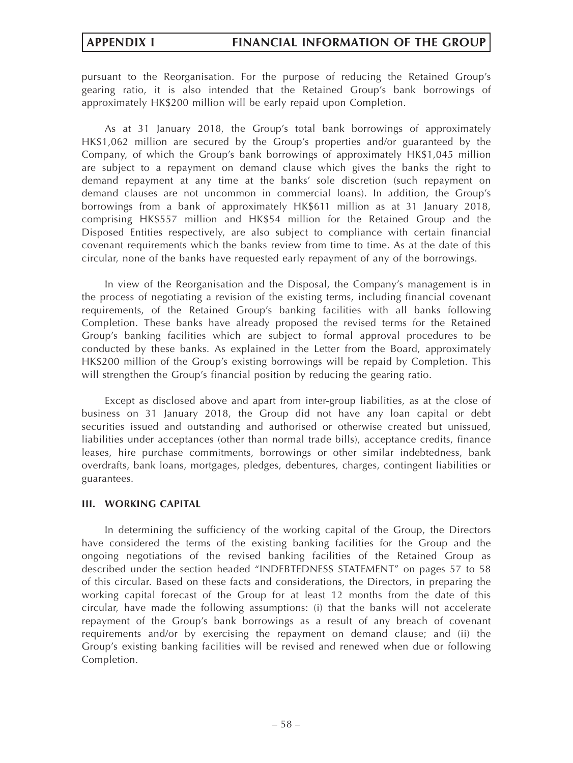pursuant to the Reorganisation. For the purpose of reducing the Retained Group's gearing ratio, it is also intended that the Retained Group's bank borrowings of approximately HK\$200 million will be early repaid upon Completion.

As at 31 January 2018, the Group's total bank borrowings of approximately HK\$1,062 million are secured by the Group's properties and/or guaranteed by the Company, of which the Group's bank borrowings of approximately HK\$1,045 million are subject to a repayment on demand clause which gives the banks the right to demand repayment at any time at the banks' sole discretion (such repayment on demand clauses are not uncommon in commercial loans). In addition, the Group's borrowings from a bank of approximately HK\$611 million as at 31 January 2018, comprising HK\$557 million and HK\$54 million for the Retained Group and the Disposed Entities respectively, are also subject to compliance with certain financial covenant requirements which the banks review from time to time. As at the date of this circular, none of the banks have requested early repayment of any of the borrowings.

In view of the Reorganisation and the Disposal, the Company's management is in the process of negotiating a revision of the existing terms, including financial covenant requirements, of the Retained Group's banking facilities with all banks following Completion. These banks have already proposed the revised terms for the Retained Group's banking facilities which are subject to formal approval procedures to be conducted by these banks. As explained in the Letter from the Board, approximately HK\$200 million of the Group's existing borrowings will be repaid by Completion. This will strengthen the Group's financial position by reducing the gearing ratio.

Except as disclosed above and apart from inter-group liabilities, as at the close of business on 31 January 2018, the Group did not have any loan capital or debt securities issued and outstanding and authorised or otherwise created but unissued, liabilities under acceptances (other than normal trade bills), acceptance credits, finance leases, hire purchase commitments, borrowings or other similar indebtedness, bank overdrafts, bank loans, mortgages, pledges, debentures, charges, contingent liabilities or guarantees.

# **III. WORKING CAPITAL**

In determining the sufficiency of the working capital of the Group, the Directors have considered the terms of the existing banking facilities for the Group and the ongoing negotiations of the revised banking facilities of the Retained Group as described under the section headed "INDEBTEDNESS STATEMENT" on pages 57 to 58 of this circular. Based on these facts and considerations, the Directors, in preparing the working capital forecast of the Group for at least 12 months from the date of this circular, have made the following assumptions: (i) that the banks will not accelerate repayment of the Group's bank borrowings as a result of any breach of covenant requirements and/or by exercising the repayment on demand clause; and (ii) the Group's existing banking facilities will be revised and renewed when due or following Completion.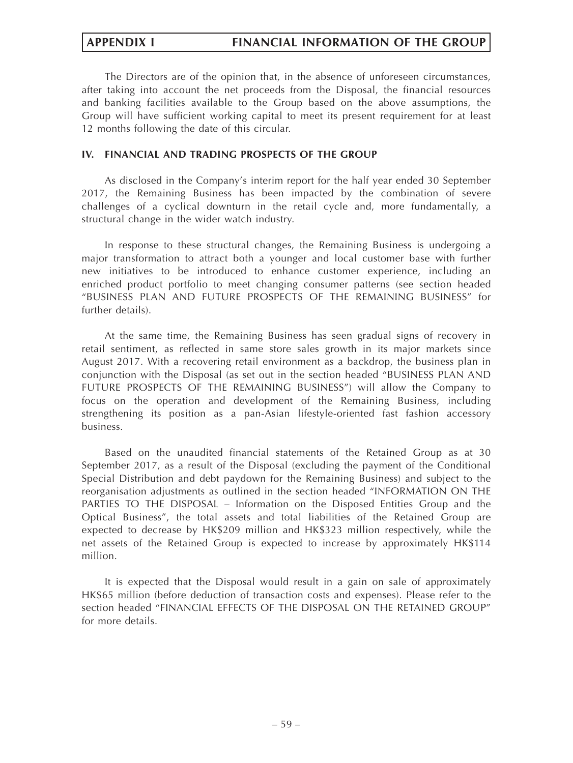# **APPENDIX I FINANCIAL INFORMATION OF THE GROUP**

The Directors are of the opinion that, in the absence of unforeseen circumstances, after taking into account the net proceeds from the Disposal, the financial resources and banking facilities available to the Group based on the above assumptions, the Group will have sufficient working capital to meet its present requirement for at least 12 months following the date of this circular.

# **IV. FINANCIAL AND TRADING PROSPECTS OF THE GROUP**

As disclosed in the Company's interim report for the half year ended 30 September 2017, the Remaining Business has been impacted by the combination of severe challenges of a cyclical downturn in the retail cycle and, more fundamentally, a structural change in the wider watch industry.

In response to these structural changes, the Remaining Business is undergoing a major transformation to attract both a younger and local customer base with further new initiatives to be introduced to enhance customer experience, including an enriched product portfolio to meet changing consumer patterns (see section headed "BUSINESS PLAN AND FUTURE PROSPECTS OF THE REMAINING BUSINESS" for further details).

At the same time, the Remaining Business has seen gradual signs of recovery in retail sentiment, as reflected in same store sales growth in its major markets since August 2017. With a recovering retail environment as a backdrop, the business plan in conjunction with the Disposal (as set out in the section headed "BUSINESS PLAN AND FUTURE PROSPECTS OF THE REMAINING BUSINESS") will allow the Company to focus on the operation and development of the Remaining Business, including strengthening its position as a pan-Asian lifestyle-oriented fast fashion accessory business.

Based on the unaudited financial statements of the Retained Group as at 30 September 2017, as a result of the Disposal (excluding the payment of the Conditional Special Distribution and debt paydown for the Remaining Business) and subject to the reorganisation adjustments as outlined in the section headed "INFORMATION ON THE PARTIES TO THE DISPOSAL – Information on the Disposed Entities Group and the Optical Business", the total assets and total liabilities of the Retained Group are expected to decrease by HK\$209 million and HK\$323 million respectively, while the net assets of the Retained Group is expected to increase by approximately HK\$114 million.

It is expected that the Disposal would result in a gain on sale of approximately HK\$65 million (before deduction of transaction costs and expenses). Please refer to the section headed "FINANCIAL EFFECTS OF THE DISPOSAL ON THE RETAINED GROUP" for more details.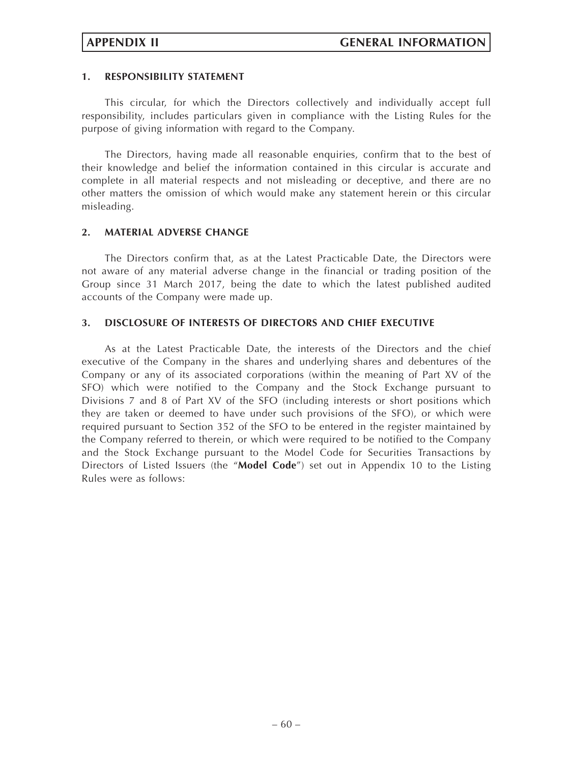# **1. RESPONSIBILITY STATEMENT**

This circular, for which the Directors collectively and individually accept full responsibility, includes particulars given in compliance with the Listing Rules for the purpose of giving information with regard to the Company.

The Directors, having made all reasonable enquiries, confirm that to the best of their knowledge and belief the information contained in this circular is accurate and complete in all material respects and not misleading or deceptive, and there are no other matters the omission of which would make any statement herein or this circular misleading.

## **2. MATERIAL ADVERSE CHANGE**

The Directors confirm that, as at the Latest Practicable Date, the Directors were not aware of any material adverse change in the financial or trading position of the Group since 31 March 2017, being the date to which the latest published audited accounts of the Company were made up.

# **3. DISCLOSURE OF INTERESTS OF DIRECTORS AND CHIEF EXECUTIVE**

As at the Latest Practicable Date, the interests of the Directors and the chief executive of the Company in the shares and underlying shares and debentures of the Company or any of its associated corporations (within the meaning of Part XV of the SFO) which were notified to the Company and the Stock Exchange pursuant to Divisions 7 and 8 of Part XV of the SFO (including interests or short positions which they are taken or deemed to have under such provisions of the SFO), or which were required pursuant to Section 352 of the SFO to be entered in the register maintained by the Company referred to therein, or which were required to be notified to the Company and the Stock Exchange pursuant to the Model Code for Securities Transactions by Directors of Listed Issuers (the "**Model Code**") set out in Appendix 10 to the Listing Rules were as follows: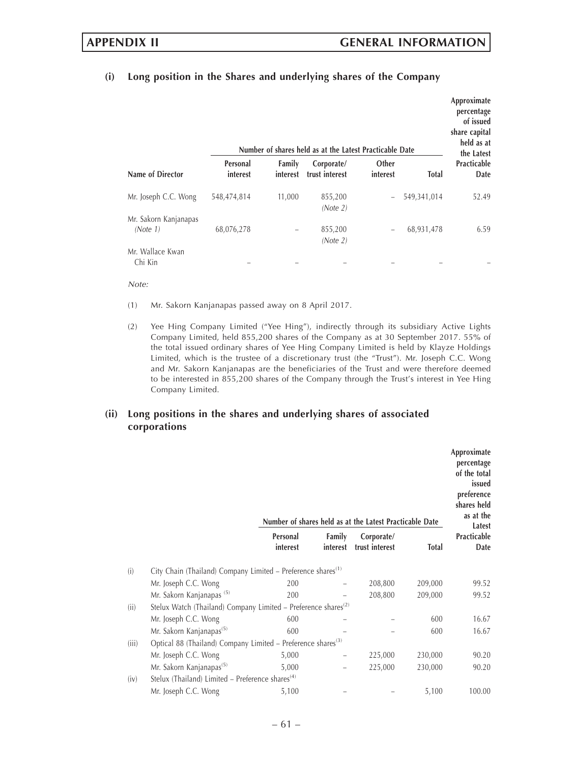**Approximate**

# **(i) Long position in the Shares and underlying shares of the Company**

|                                   |                      |                    | Number of shares held as at the Latest Practicable Date |                   |              | percentage<br>of issued<br>share capital<br>held as at<br>the Latest |
|-----------------------------------|----------------------|--------------------|---------------------------------------------------------|-------------------|--------------|----------------------------------------------------------------------|
| Name of Director                  | Personal<br>interest | Family<br>interest | Corporate/<br>trust interest                            | Other<br>interest | <b>Total</b> | Practicable<br>Date                                                  |
| Mr. Joseph C.C. Wong              | 548,474,814          | 11,000             | 855,200<br>(Note 2)                                     |                   | 549,341,014  | 52.49                                                                |
| Mr. Sakorn Kanjanapas<br>(Note 1) | 68,076,278           |                    | 855,200<br>(Note 2)                                     |                   | 68,931,478   | 6.59                                                                 |
| Mr. Wallace Kwan<br>Chi Kin       |                      |                    |                                                         |                   |              |                                                                      |

#### *Note:*

- (1) Mr. Sakorn Kanjanapas passed away on 8 April 2017.
- (2) Yee Hing Company Limited ("Yee Hing"), indirectly through its subsidiary Active Lights Company Limited, held 855,200 shares of the Company as at 30 September 2017. 55% of the total issued ordinary shares of Yee Hing Company Limited is held by Klayze Holdings Limited, which is the trustee of a discretionary trust (the "Trust"). Mr. Joseph C.C. Wong and Mr. Sakorn Kanjanapas are the beneficiaries of the Trust and were therefore deemed to be interested in 855,200 shares of the Company through the Trust's interest in Yee Hing Company Limited.

# **(ii) Long positions in the shares and underlying shares of associated corporations**

|       |                                                                            |                      |                    | Number of shares held as at the Latest Practicable Date |              | Approximate<br>percentage<br>of the total<br>issued<br>preference<br>shares held<br>as at the<br>Latest |
|-------|----------------------------------------------------------------------------|----------------------|--------------------|---------------------------------------------------------|--------------|---------------------------------------------------------------------------------------------------------|
|       |                                                                            | Personal<br>interest | Family<br>interest | Corporate/<br>trust interest                            | <b>Total</b> | Practicable<br>Date                                                                                     |
| (i)   | City Chain (Thailand) Company Limited - Preference shares <sup>(1)</sup>   |                      |                    |                                                         |              |                                                                                                         |
|       | Mr. Joseph C.C. Wong                                                       | 200                  |                    | 208,800                                                 | 209,000      | 99.52                                                                                                   |
|       | Mr. Sakorn Kanjanapas <sup>(5)</sup>                                       | 200                  |                    | 208,800                                                 | 209,000      | 99.52                                                                                                   |
| (ii)  | Stelux Watch (Thailand) Company Limited – Preference shares <sup>(2)</sup> |                      |                    |                                                         |              |                                                                                                         |
|       | Mr. Joseph C.C. Wong                                                       | 600                  |                    |                                                         | 600          | 16.67                                                                                                   |
|       | Mr. Sakorn Kanjanapas <sup>(5)</sup>                                       | 600                  |                    |                                                         | 600          | 16.67                                                                                                   |
| (iii) | Optical 88 (Thailand) Company Limited – Preference shares <sup>(3)</sup>   |                      |                    |                                                         |              |                                                                                                         |
|       | Mr. Joseph C.C. Wong                                                       | 5,000                |                    | 225,000                                                 | 230,000      | 90.20                                                                                                   |
|       | Mr. Sakorn Kanjanapas <sup>(5)</sup>                                       | 5,000                |                    | 225,000                                                 | 230,000      | 90.20                                                                                                   |
| (iv)  | Stelux (Thailand) Limited – Preference shares <sup>(4)</sup>               |                      |                    |                                                         |              |                                                                                                         |
|       | Mr. Joseph C.C. Wong                                                       | 5,100                |                    |                                                         | 5,100        | 100.00                                                                                                  |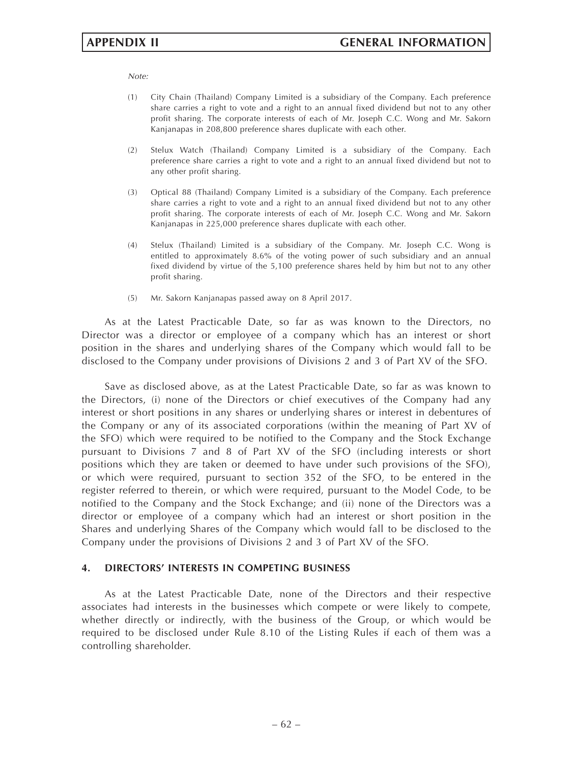*Note:*

- (1) City Chain (Thailand) Company Limited is a subsidiary of the Company. Each preference share carries a right to vote and a right to an annual fixed dividend but not to any other profit sharing. The corporate interests of each of Mr. Joseph C.C. Wong and Mr. Sakorn Kanjanapas in 208,800 preference shares duplicate with each other.
- (2) Stelux Watch (Thailand) Company Limited is a subsidiary of the Company. Each preference share carries a right to vote and a right to an annual fixed dividend but not to any other profit sharing.
- (3) Optical 88 (Thailand) Company Limited is a subsidiary of the Company. Each preference share carries a right to vote and a right to an annual fixed dividend but not to any other profit sharing. The corporate interests of each of Mr. Joseph C.C. Wong and Mr. Sakorn Kanjanapas in 225,000 preference shares duplicate with each other.
- (4) Stelux (Thailand) Limited is a subsidiary of the Company. Mr. Joseph C.C. Wong is entitled to approximately 8.6% of the voting power of such subsidiary and an annual fixed dividend by virtue of the 5,100 preference shares held by him but not to any other profit sharing.
- (5) Mr. Sakorn Kanjanapas passed away on 8 April 2017.

As at the Latest Practicable Date, so far as was known to the Directors, no Director was a director or employee of a company which has an interest or short position in the shares and underlying shares of the Company which would fall to be disclosed to the Company under provisions of Divisions 2 and 3 of Part XV of the SFO.

Save as disclosed above, as at the Latest Practicable Date, so far as was known to the Directors, (i) none of the Directors or chief executives of the Company had any interest or short positions in any shares or underlying shares or interest in debentures of the Company or any of its associated corporations (within the meaning of Part XV of the SFO) which were required to be notified to the Company and the Stock Exchange pursuant to Divisions 7 and 8 of Part XV of the SFO (including interests or short positions which they are taken or deemed to have under such provisions of the SFO), or which were required, pursuant to section 352 of the SFO, to be entered in the register referred to therein, or which were required, pursuant to the Model Code, to be notified to the Company and the Stock Exchange; and (ii) none of the Directors was a director or employee of a company which had an interest or short position in the Shares and underlying Shares of the Company which would fall to be disclosed to the Company under the provisions of Divisions 2 and 3 of Part XV of the SFO.

## **4. DIRECTORS' INTERESTS IN COMPETING BUSINESS**

As at the Latest Practicable Date, none of the Directors and their respective associates had interests in the businesses which compete or were likely to compete, whether directly or indirectly, with the business of the Group, or which would be required to be disclosed under Rule 8.10 of the Listing Rules if each of them was a controlling shareholder.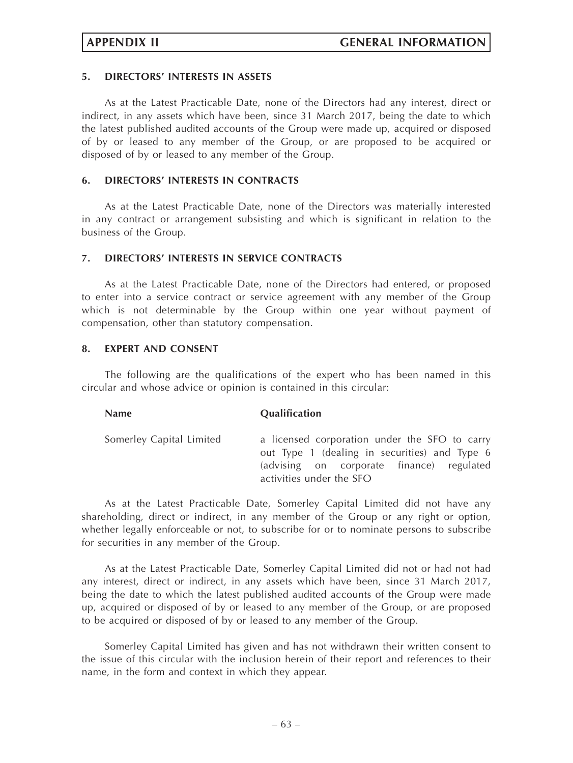# **5. DIRECTORS' INTERESTS IN ASSETS**

As at the Latest Practicable Date, none of the Directors had any interest, direct or indirect, in any assets which have been, since 31 March 2017, being the date to which the latest published audited accounts of the Group were made up, acquired or disposed of by or leased to any member of the Group, or are proposed to be acquired or disposed of by or leased to any member of the Group.

# **6. DIRECTORS' INTERESTS IN CONTRACTS**

As at the Latest Practicable Date, none of the Directors was materially interested in any contract or arrangement subsisting and which is significant in relation to the business of the Group.

# **7. DIRECTORS' INTERESTS IN SERVICE CONTRACTS**

As at the Latest Practicable Date, none of the Directors had entered, or proposed to enter into a service contract or service agreement with any member of the Group which is not determinable by the Group within one year without payment of compensation, other than statutory compensation.

# **8. EXPERT AND CONSENT**

The following are the qualifications of the expert who has been named in this circular and whose advice or opinion is contained in this circular:

| a licensed corporation under the SFO to carry<br>out Type 1 (dealing in securities) and Type 6<br>(advising on corporate finance) regulated<br>activities under the SFO |
|-------------------------------------------------------------------------------------------------------------------------------------------------------------------------|
|                                                                                                                                                                         |

As at the Latest Practicable Date, Somerley Capital Limited did not have any shareholding, direct or indirect, in any member of the Group or any right or option, whether legally enforceable or not, to subscribe for or to nominate persons to subscribe for securities in any member of the Group.

As at the Latest Practicable Date, Somerley Capital Limited did not or had not had any interest, direct or indirect, in any assets which have been, since 31 March 2017, being the date to which the latest published audited accounts of the Group were made up, acquired or disposed of by or leased to any member of the Group, or are proposed to be acquired or disposed of by or leased to any member of the Group.

Somerley Capital Limited has given and has not withdrawn their written consent to the issue of this circular with the inclusion herein of their report and references to their name, in the form and context in which they appear.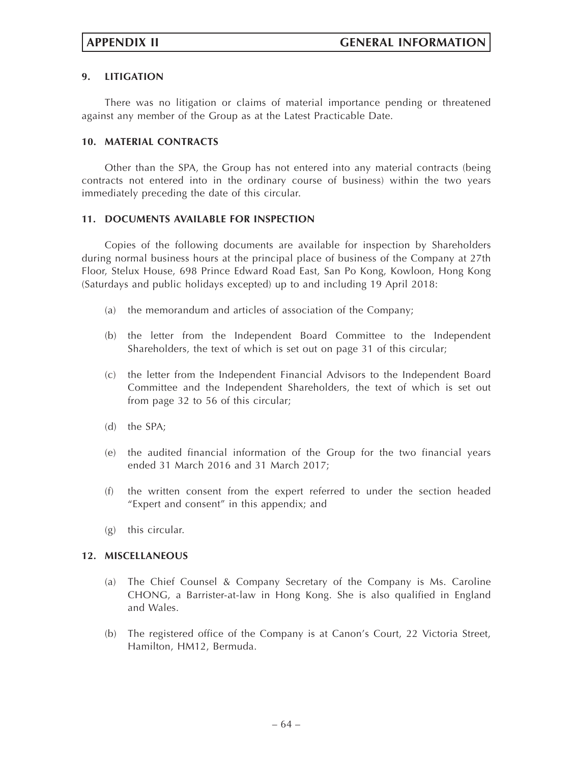# **9. LITIGATION**

There was no litigation or claims of material importance pending or threatened against any member of the Group as at the Latest Practicable Date.

# **10. MATERIAL CONTRACTS**

Other than the SPA, the Group has not entered into any material contracts (being contracts not entered into in the ordinary course of business) within the two years immediately preceding the date of this circular.

# **11. DOCUMENTS AVAILABLE FOR INSPECTION**

Copies of the following documents are available for inspection by Shareholders during normal business hours at the principal place of business of the Company at 27th Floor, Stelux House, 698 Prince Edward Road East, San Po Kong, Kowloon, Hong Kong (Saturdays and public holidays excepted) up to and including 19 April 2018:

- (a) the memorandum and articles of association of the Company;
- (b) the letter from the Independent Board Committee to the Independent Shareholders, the text of which is set out on page 31 of this circular;
- (c) the letter from the Independent Financial Advisors to the Independent Board Committee and the Independent Shareholders, the text of which is set out from page 32 to 56 of this circular;
- (d) the SPA;
- (e) the audited financial information of the Group for the two financial years ended 31 March 2016 and 31 March 2017;
- (f) the written consent from the expert referred to under the section headed "Expert and consent" in this appendix; and
- (g) this circular.

## **12. MISCELLANEOUS**

- (a) The Chief Counsel & Company Secretary of the Company is Ms. Caroline CHONG, a Barrister-at-law in Hong Kong. She is also qualified in England and Wales.
- (b) The registered office of the Company is at Canon's Court, 22 Victoria Street, Hamilton, HM12, Bermuda.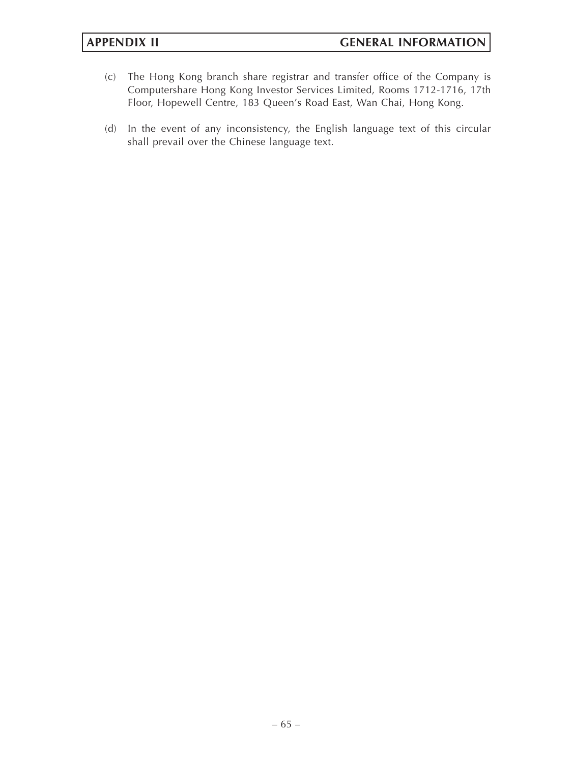- (c) The Hong Kong branch share registrar and transfer office of the Company is Computershare Hong Kong Investor Services Limited, Rooms 1712-1716, 17th Floor, Hopewell Centre, 183 Queen's Road East, Wan Chai, Hong Kong.
- (d) In the event of any inconsistency, the English language text of this circular shall prevail over the Chinese language text.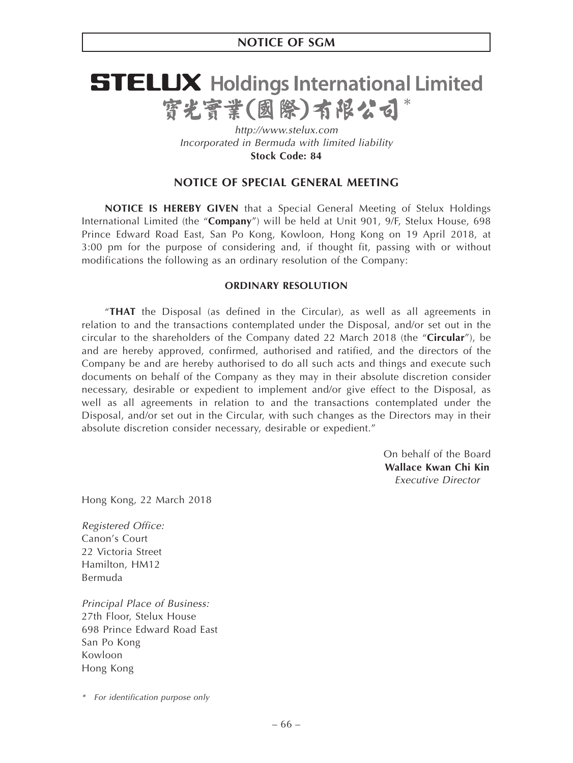# **STELUX** Holdings International Limited 寳光寳業(國際)有限公司

*http://www.stelux.com Incorporated in Bermuda with limited liability* **Stock Code: 84**

# **NOTICE OF SPECIAL GENERAL MEETING**

**NOTICE IS HEREBY GIVEN** that a Special General Meeting of Stelux Holdings International Limited (the "**Company**") will be held at Unit 901, 9/F, Stelux House, 698 Prince Edward Road East, San Po Kong, Kowloon, Hong Kong on 19 April 2018, at 3:00 pm for the purpose of considering and, if thought fit, passing with or without modifications the following as an ordinary resolution of the Company:

### **ORDINARY RESOLUTION**

"**THAT** the Disposal (as defined in the Circular), as well as all agreements in relation to and the transactions contemplated under the Disposal, and/or set out in the circular to the shareholders of the Company dated 22 March 2018 (the "**Circular**"), be and are hereby approved, confirmed, authorised and ratified, and the directors of the Company be and are hereby authorised to do all such acts and things and execute such documents on behalf of the Company as they may in their absolute discretion consider necessary, desirable or expedient to implement and/or give effect to the Disposal, as well as all agreements in relation to and the transactions contemplated under the Disposal, and/or set out in the Circular, with such changes as the Directors may in their absolute discretion consider necessary, desirable or expedient."

> On behalf of the Board **Wallace Kwan Chi Kin** *Executive Director*

Hong Kong, 22 March 2018

*Registered Office:* Canon's Court 22 Victoria Street Hamilton, HM12 Bermuda

*Principal Place of Business:* 27th Floor, Stelux House 698 Prince Edward Road East San Po Kong Kowloon Hong Kong

*<sup>\*</sup> For identification purpose only*